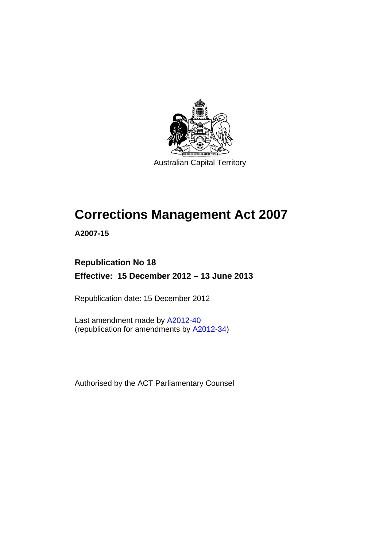

Australian Capital Territory

# **Corrections Management Act 2007**

**A2007-15** 

### **Republication No 18 Effective: 15 December 2012 – 13 June 2013**

Republication date: 15 December 2012

Last amendment made by [A2012-40](http://www.legislation.act.gov.au/a/2012-40) (republication for amendments by [A2012-34](http://www.legislation.act.gov.au/a/2012-34))

Authorised by the ACT Parliamentary Counsel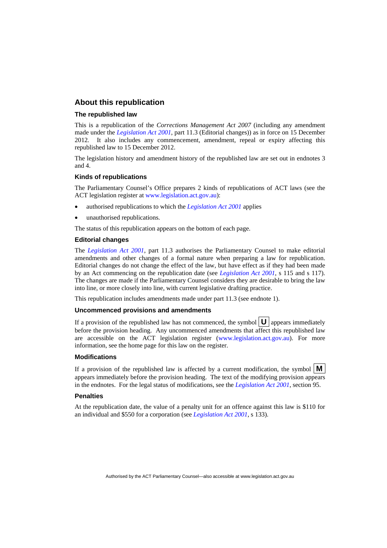### **About this republication**

#### **The republished law**

This is a republication of the *Corrections Management Act 2007* (including any amendment made under the *[Legislation Act 2001](http://www.legislation.act.gov.au/a/2001-14)*, part 11.3 (Editorial changes)) as in force on 15 December 2012*.* It also includes any commencement, amendment, repeal or expiry affecting this republished law to 15 December 2012.

The legislation history and amendment history of the republished law are set out in endnotes 3 and 4.

#### **Kinds of republications**

The Parliamentary Counsel's Office prepares 2 kinds of republications of ACT laws (see the ACT legislation register at [www.legislation.act.gov.au](http://www.legislation.act.gov.au/)):

- authorised republications to which the *[Legislation Act 2001](http://www.legislation.act.gov.au/a/2001-14)* applies
- unauthorised republications.

The status of this republication appears on the bottom of each page.

#### **Editorial changes**

The *[Legislation Act 2001](http://www.legislation.act.gov.au/a/2001-14)*, part 11.3 authorises the Parliamentary Counsel to make editorial amendments and other changes of a formal nature when preparing a law for republication. Editorial changes do not change the effect of the law, but have effect as if they had been made by an Act commencing on the republication date (see *[Legislation Act 2001](http://www.legislation.act.gov.au/a/2001-14)*, s 115 and s 117). The changes are made if the Parliamentary Counsel considers they are desirable to bring the law into line, or more closely into line, with current legislative drafting practice.

This republication includes amendments made under part 11.3 (see endnote 1).

#### **Uncommenced provisions and amendments**

If a provision of the republished law has not commenced, the symbol  $\mathbf{U}$  appears immediately before the provision heading. Any uncommenced amendments that affect this republished law are accessible on the ACT legislation register [\(www.legislation.act.gov.au\)](http://www.legislation.act.gov.au/). For more information, see the home page for this law on the register.

#### **Modifications**

If a provision of the republished law is affected by a current modification, the symbol  $\mathbf{M}$ appears immediately before the provision heading. The text of the modifying provision appears in the endnotes. For the legal status of modifications, see the *[Legislation Act 2001](http://www.legislation.act.gov.au/a/2001-14)*, section 95.

#### **Penalties**

At the republication date, the value of a penalty unit for an offence against this law is \$110 for an individual and \$550 for a corporation (see *[Legislation Act 2001](http://www.legislation.act.gov.au/a/2001-14)*, s 133).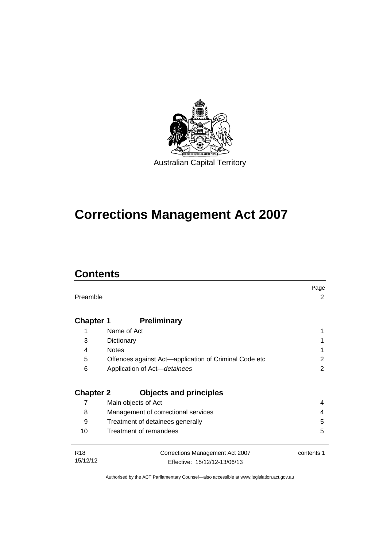

# **Corrections Management Act 2007**

## **Contents**

|                  |                                                       | Page       |
|------------------|-------------------------------------------------------|------------|
| Preamble         |                                                       | 2          |
|                  |                                                       |            |
|                  |                                                       |            |
| <b>Chapter 1</b> | <b>Preliminary</b>                                    |            |
| 1                | Name of Act                                           |            |
| 3                | Dictionary                                            |            |
| 4                | <b>Notes</b>                                          |            |
| 5                | Offences against Act-application of Criminal Code etc | 2          |
| 6                | Application of Act-detainees                          | 2          |
|                  |                                                       |            |
| <b>Chapter 2</b> | <b>Objects and principles</b>                         |            |
| 7                | Main objects of Act                                   | 4          |
| 8                | Management of correctional services                   | 4          |
| 9                | Treatment of detainees generally                      | 5          |
| 10               | Treatment of remandees                                | 5          |
|                  |                                                       |            |
| R <sub>18</sub>  | Corrections Management Act 2007                       | contents 1 |
| 15/12/12         | Effective: 15/12/12-13/06/13                          |            |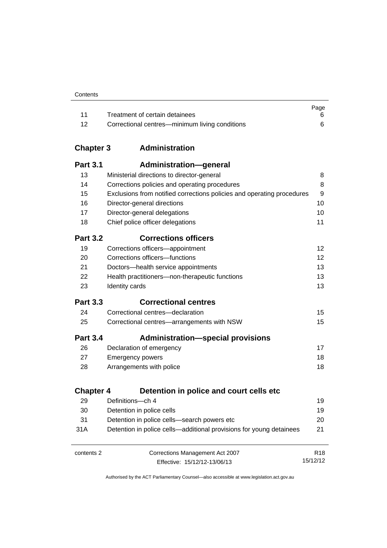| Contents |
|----------|
|----------|

|       |                                                | Page |
|-------|------------------------------------------------|------|
| - 11  | Treatment of certain detainees                 |      |
| $-12$ | Correctional centres—minimum living conditions |      |

### **Chapter 3 [Administration](#page-23-0)**

| <b>Part 3.1</b>  | <b>Administration-general</b>                                          |                 |
|------------------|------------------------------------------------------------------------|-----------------|
| 13               | Ministerial directions to director-general                             | 8               |
| 14               | Corrections policies and operating procedures                          | 8               |
| 15               | Exclusions from notified corrections policies and operating procedures | 9               |
| 16               | Director-general directions                                            | 10              |
| 17               | Director-general delegations                                           | 10              |
| 18               | Chief police officer delegations                                       | 11              |
| <b>Part 3.2</b>  | <b>Corrections officers</b>                                            |                 |
| 19               | Corrections officers-appointment                                       | 12              |
| 20               | Corrections officers-functions                                         | 12              |
| 21               | Doctors-health service appointments                                    | 13              |
| 22               | Health practitioners-non-therapeutic functions                         | 13              |
| 23               | Identity cards                                                         | 13              |
| <b>Part 3.3</b>  | <b>Correctional centres</b>                                            |                 |
| 24               | Correctional centres-declaration                                       | 15              |
| 25               | Correctional centres—arrangements with NSW                             | 15              |
| <b>Part 3.4</b>  | <b>Administration-special provisions</b>                               |                 |
| 26               | Declaration of emergency                                               | 17              |
| 27               | <b>Emergency powers</b>                                                | 18              |
| 28               | Arrangements with police                                               | 18              |
| <b>Chapter 4</b> | Detention in police and court cells etc                                |                 |
| 29               | Definitions-ch 4                                                       | 19              |
| 30               | Detention in police cells                                              | 19              |
| 31               | Detention in police cells-search powers etc                            | 20              |
| 31A              | Detention in police cells—additional provisions for young detainees    | 21              |
| contents 2       | Corrections Management Act 2007                                        | R <sub>18</sub> |
|                  | Effective: 15/12/12-13/06/13                                           | 15/12/12        |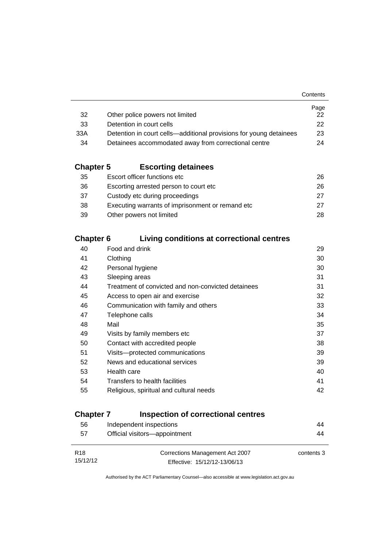|                                                                    | Page         |
|--------------------------------------------------------------------|--------------|
| Other police powers not limited                                    | 22.          |
| Detention in court cells                                           | $22^{\circ}$ |
| Detention in court cells—additional provisions for young detainees | 23           |
| Detainees accommodated away from correctional centre               | 24           |
|                                                                    |              |

### **Chapter 5 [Escorting detainees](#page-41-0)**

| 35 | Escort officer functions etc                      | 26. |
|----|---------------------------------------------------|-----|
| 36 | Escorting arrested person to court etc.           | 26. |
| 37 | Custody etc during proceedings                    | 27  |
| 38 | Executing warrants of imprisonment or remand etc. | 27  |
| 39 | Other powers not limited                          | 28. |

### **Chapter 6 [Living conditions at correctional centres](#page-44-0)**

| 40 | Food and drink                                     | 29 |
|----|----------------------------------------------------|----|
| 41 | Clothing                                           | 30 |
| 42 | Personal hygiene                                   | 30 |
| 43 | Sleeping areas                                     | 31 |
| 44 | Treatment of convicted and non-convicted detainees | 31 |
| 45 | Access to open air and exercise                    | 32 |
| 46 | Communication with family and others               | 33 |
| 47 | Telephone calls                                    | 34 |
| 48 | Mail                                               | 35 |
| 49 | Visits by family members etc                       | 37 |
| 50 | Contact with accredited people                     | 38 |
| 51 | Visits---protected communications                  | 39 |
| 52 | News and educational services                      | 39 |
| 53 | Health care                                        | 40 |
| 54 | Transfers to health facilities                     | 41 |
| 55 | Religious, spiritual and cultural needs            | 42 |
|    |                                                    |    |

### **Chapter 7 [Inspection of correctional centres](#page-59-0)**

| 56              | Independent inspections         | 44         |
|-----------------|---------------------------------|------------|
| 57              | Official visitors-appointment   | 44         |
|                 |                                 |            |
| R <sub>18</sub> | Corrections Management Act 2007 | contents 3 |
| 15/12/12        | Effective: 15/12/12-13/06/13    |            |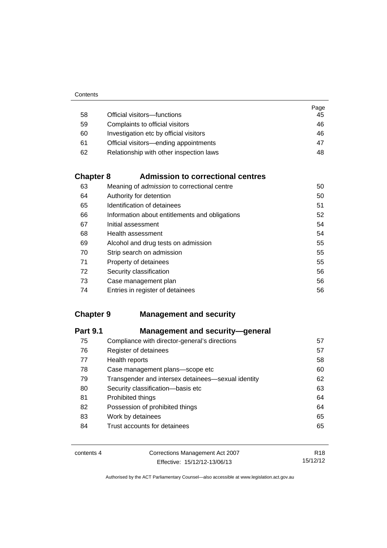|    |                                         | Page |
|----|-----------------------------------------|------|
| 58 | Official visitors-functions             | 45   |
| 59 | Complaints to official visitors         | 46   |
| 60 | Investigation etc by official visitors  | 46   |
| 61 | Official visitors—ending appointments   | 47   |
| 62 | Relationship with other inspection laws | 48   |

### **Chapter 8 [Admission to correctional centres](#page-65-0)**

| 63 | Meaning of <i>admission</i> to correctional centre | 50 |
|----|----------------------------------------------------|----|
| 64 | Authority for detention                            | 50 |
| 65 | Identification of detainees                        | 51 |
| 66 | Information about entitlements and obligations     | 52 |
| 67 | Initial assessment                                 | 54 |
| 68 | Health assessment                                  | 54 |
| 69 | Alcohol and drug tests on admission                | 55 |
| 70 | Strip search on admission                          | 55 |
| 71 | Property of detainees                              | 55 |
| 72 | Security classification                            | 56 |
| 73 | Case management plan                               | 56 |
| 74 | Entries in register of detainees                   | 56 |

### **Chapter 9 [Management and security](#page-72-0)**

| 75<br>Compliance with director-general's directions<br>76<br>Register of detainees<br>77<br>Health reports<br>78<br>Case management plans-scope etc<br>79<br>Transgender and intersex detainees—sexual identity<br>80<br>Security classification-basis etc<br>81<br>Prohibited things<br>82<br>Possession of prohibited things<br>83<br>Work by detainees<br>Trust accounts for detainees<br>84 | <b>Part 9.1</b> | <b>Management and security-general</b> |    |
|-------------------------------------------------------------------------------------------------------------------------------------------------------------------------------------------------------------------------------------------------------------------------------------------------------------------------------------------------------------------------------------------------|-----------------|----------------------------------------|----|
|                                                                                                                                                                                                                                                                                                                                                                                                 |                 |                                        | 57 |
|                                                                                                                                                                                                                                                                                                                                                                                                 |                 |                                        | 57 |
|                                                                                                                                                                                                                                                                                                                                                                                                 |                 |                                        | 58 |
|                                                                                                                                                                                                                                                                                                                                                                                                 |                 |                                        | 60 |
|                                                                                                                                                                                                                                                                                                                                                                                                 |                 |                                        | 62 |
|                                                                                                                                                                                                                                                                                                                                                                                                 |                 |                                        | 63 |
|                                                                                                                                                                                                                                                                                                                                                                                                 |                 |                                        | 64 |
|                                                                                                                                                                                                                                                                                                                                                                                                 |                 |                                        | 64 |
|                                                                                                                                                                                                                                                                                                                                                                                                 |                 |                                        | 65 |
|                                                                                                                                                                                                                                                                                                                                                                                                 |                 |                                        | 65 |

| contents 4 | Corrections Management Act 2007 | R <sub>18</sub> |
|------------|---------------------------------|-----------------|
|            | Effective: 15/12/12-13/06/13    | 15/12/12        |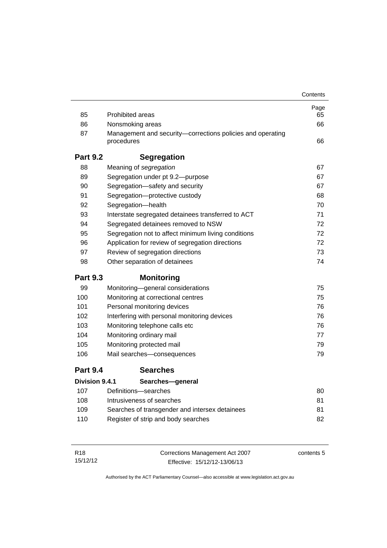|                       |                                                                          | Contents |
|-----------------------|--------------------------------------------------------------------------|----------|
|                       |                                                                          | Page     |
| 85                    | <b>Prohibited areas</b>                                                  | 65       |
| 86                    | Nonsmoking areas                                                         | 66       |
| 87                    | Management and security-corrections policies and operating<br>procedures | 66       |
| <b>Part 9.2</b>       | <b>Segregation</b>                                                       |          |
| 88                    | Meaning of segregation                                                   | 67       |
| 89                    | Segregation under pt 9.2-purpose                                         | 67       |
| 90                    | Segregation-safety and security                                          | 67       |
| 91                    | Segregation-protective custody                                           | 68       |
| 92                    | Segregation-health                                                       | 70       |
| 93                    | Interstate segregated detainees transferred to ACT                       | 71       |
| 94                    | Segregated detainees removed to NSW                                      | 72       |
| 95                    | Segregation not to affect minimum living conditions                      | 72       |
| 96                    | Application for review of segregation directions                         | 72       |
| 97                    | Review of segregation directions                                         | 73       |
| 98                    | Other separation of detainees                                            | 74       |
| <b>Part 9.3</b>       | <b>Monitoring</b>                                                        |          |
| 99                    | Monitoring-general considerations                                        | 75       |
| 100                   | Monitoring at correctional centres                                       | 75       |
| 101                   | Personal monitoring devices                                              | 76       |
| 102                   | Interfering with personal monitoring devices                             | 76       |
| 103                   | Monitoring telephone calls etc                                           | 76       |
| 104                   | Monitoring ordinary mail                                                 | 77       |
| 105                   | Monitoring protected mail                                                | 79       |
| 106                   | Mail searches-consequences                                               | 79       |
| <b>Part 9.4</b>       | <b>Searches</b>                                                          |          |
| <b>Division 9.4.1</b> | Searches-general                                                         |          |
| 107                   | Definitions-searches                                                     | 80       |
| 108                   | Intrusiveness of searches                                                | 81       |
| 109                   | Searches of transgender and intersex detainees                           | 81       |
| 110                   | Register of strip and body searches                                      | 82       |
|                       |                                                                          |          |

| R18      | Corrections Management Act 2007 | contents 5 |
|----------|---------------------------------|------------|
| 15/12/12 | Effective: 15/12/12-13/06/13    |            |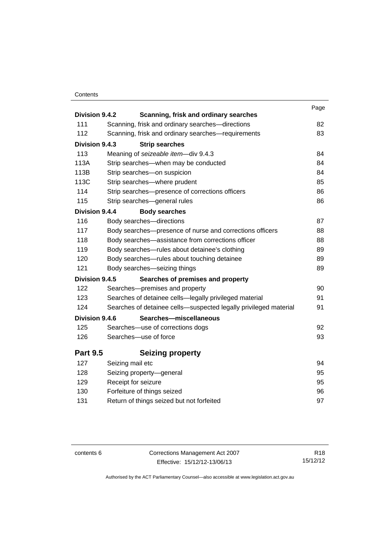### **Contents**

| Division 9.4.2  | Scanning, frisk and ordinary searches                            | Page |
|-----------------|------------------------------------------------------------------|------|
| 111             | Scanning, frisk and ordinary searches-directions                 | 82   |
| 112             | Scanning, frisk and ordinary searches-requirements               | 83   |
| Division 9.4.3  | <b>Strip searches</b>                                            |      |
| 113             | Meaning of seizeable item-div 9.4.3                              | 84   |
| 113A            | Strip searches-when may be conducted                             | 84   |
| 113B            | Strip searches-on suspicion                                      | 84   |
| 113C            | Strip searches-where prudent                                     | 85   |
| 114             | Strip searches-presence of corrections officers                  | 86   |
| 115             | Strip searches-general rules                                     | 86   |
| Division 9.4.4  | <b>Body searches</b>                                             |      |
| 116             | Body searches-directions                                         | 87   |
| 117             | Body searches-presence of nurse and corrections officers         | 88   |
| 118             | Body searches—assistance from corrections officer                | 88   |
| 119             | Body searches—rules about detainee's clothing                    | 89   |
| 120             | Body searches—rules about touching detainee                      | 89   |
| 121             | Body searches-seizing things                                     | 89   |
| Division 9.4.5  | Searches of premises and property                                |      |
| 122             | Searches-premises and property                                   | 90   |
| 123             | Searches of detainee cells-legally privileged material           | 91   |
| 124             | Searches of detainee cells-suspected legally privileged material | 91   |
| Division 9.4.6  | Searches-miscellaneous                                           |      |
| 125             | Searches-use of corrections dogs                                 | 92   |
| 126             | Searches-use of force                                            | 93   |
| <b>Part 9.5</b> | <b>Seizing property</b>                                          |      |
| 127             | Seizing mail etc                                                 | 94   |
| 128             | Seizing property-general                                         | 95   |
| 129             | Receipt for seizure                                              | 95   |
| 130             | Forfeiture of things seized                                      | 96   |
| 131             | Return of things seized but not forfeited                        | 97   |
|                 |                                                                  |      |

contents 6 Corrections Management Act 2007 Effective: 15/12/12-13/06/13

R18 15/12/12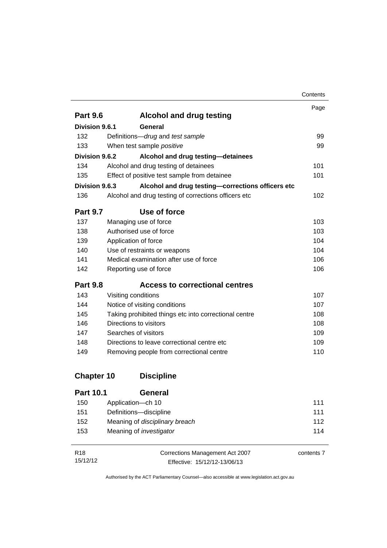|                   |                                                       | Contents |
|-------------------|-------------------------------------------------------|----------|
|                   |                                                       | Page     |
| <b>Part 9.6</b>   | <b>Alcohol and drug testing</b>                       |          |
| Division 9.6.1    | General                                               |          |
| 132               | Definitions-drug and test sample                      | 99       |
| 133               | When test sample positive                             | 99       |
| Division 9.6.2    | Alcohol and drug testing-detainees                    |          |
| 134               | Alcohol and drug testing of detainees                 | 101      |
| 135               | Effect of positive test sample from detainee          | 101      |
| Division 9.6.3    | Alcohol and drug testing-corrections officers etc     |          |
| 136               | Alcohol and drug testing of corrections officers etc  | 102      |
| <b>Part 9.7</b>   | Use of force                                          |          |
| 137               | Managing use of force                                 | 103      |
| 138               | Authorised use of force                               | 103      |
| 139               | Application of force                                  | 104      |
| 140               | Use of restraints or weapons                          | 104      |
| 141               | Medical examination after use of force                | 106      |
| 142               | Reporting use of force                                | 106      |
| <b>Part 9.8</b>   | <b>Access to correctional centres</b>                 |          |
| 143               | Visiting conditions                                   | 107      |
| 144               | Notice of visiting conditions                         | 107      |
| 145               | Taking prohibited things etc into correctional centre | 108      |
| 146               | Directions to visitors                                | 108      |
| 147               | Searches of visitors                                  | 109      |
| 148               | Directions to leave correctional centre etc.          | 109      |
| 149               | Removing people from correctional centre              | 110      |
| <b>Chapter 10</b> | <b>Discipline</b>                                     |          |
| <b>Part 10.1</b>  | General                                               |          |

| 1 AIL 1V. 1 | וסוסט                          |     |
|-------------|--------------------------------|-----|
| 150         | Application—ch 10              | 111 |
| 151         | Definitions—discipline         | 111 |
| 152         | Meaning of disciplinary breach | 112 |
| 153         | Meaning of <i>investigator</i> | 114 |
|             |                                |     |

| R18      | Corrections Management Act 2007 | contents 7 |
|----------|---------------------------------|------------|
| 15/12/12 | Effective: 15/12/12-13/06/13    |            |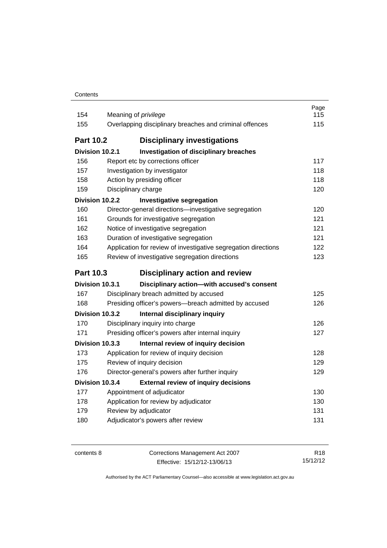| 154              | Meaning of privilege                                           | Page<br>115 |  |
|------------------|----------------------------------------------------------------|-------------|--|
| 155              | Overlapping disciplinary breaches and criminal offences        | 115         |  |
|                  |                                                                |             |  |
| <b>Part 10.2</b> | <b>Disciplinary investigations</b>                             |             |  |
| Division 10.2.1  | <b>Investigation of disciplinary breaches</b>                  |             |  |
| 156              | Report etc by corrections officer                              | 117         |  |
| 157              | Investigation by investigator                                  | 118         |  |
| 158              | Action by presiding officer                                    | 118         |  |
| 159              | Disciplinary charge                                            | 120         |  |
| Division 10.2.2  | <b>Investigative segregation</b>                               |             |  |
| 160              | Director-general directions-investigative segregation          | 120         |  |
| 161              | Grounds for investigative segregation                          | 121         |  |
| 162              | Notice of investigative segregation                            | 121         |  |
| 163              | Duration of investigative segregation                          | 121         |  |
| 164              | Application for review of investigative segregation directions | 122         |  |
| 165              | Review of investigative segregation directions                 | 123         |  |
|                  |                                                                |             |  |
| <b>Part 10.3</b> | <b>Disciplinary action and review</b>                          |             |  |
| Division 10.3.1  | Disciplinary action-with accused's consent                     |             |  |
| 167              | Disciplinary breach admitted by accused                        | 125         |  |
| 168              | Presiding officer's powers-breach admitted by accused          | 126         |  |
| Division 10.3.2  | Internal disciplinary inquiry                                  |             |  |
| 170              | Disciplinary inquiry into charge                               | 126         |  |
| 171              | Presiding officer's powers after internal inquiry              | 127         |  |
| Division 10.3.3  | Internal review of inquiry decision                            |             |  |
| 173              | Application for review of inquiry decision                     | 128         |  |
| 175              | Review of inquiry decision                                     | 129         |  |
| 176              | Director-general's powers after further inquiry                | 129         |  |
| Division 10.3.4  | <b>External review of inquiry decisions</b>                    |             |  |
| 177              | Appointment of adjudicator                                     | 130         |  |
| 178              | Application for review by adjudicator                          | 130         |  |
| 179              | Review by adjudicator                                          | 131         |  |
| 180              | Adjudicator's powers after review                              | 131         |  |

| contents 8 | Corrections Management Act 2007 | R <sub>18</sub> |
|------------|---------------------------------|-----------------|
|            | Effective: 15/12/12-13/06/13    | 15/12/12        |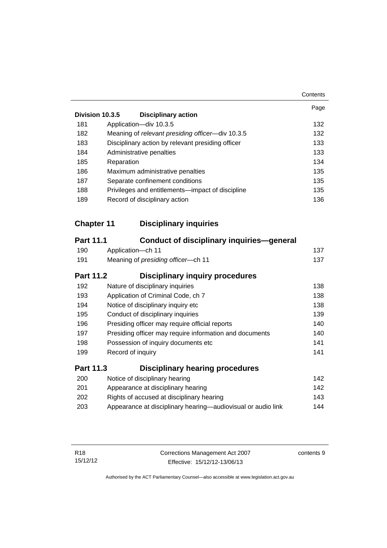|                   |                                                              | Contents |
|-------------------|--------------------------------------------------------------|----------|
|                   |                                                              | Page     |
|                   | Division 10.3.5<br><b>Disciplinary action</b>                |          |
| 181               | Application-div 10.3.5                                       | 132      |
| 182               | Meaning of relevant presiding officer-div 10.3.5             | 132      |
| 183               | Disciplinary action by relevant presiding officer            | 133      |
| 184               | Administrative penalties                                     | 133      |
| 185               | Reparation                                                   | 134      |
| 186               | Maximum administrative penalties                             | 135      |
| 187               | Separate confinement conditions                              | 135      |
| 188               | Privileges and entitlements-impact of discipline             | 135      |
| 189               | Record of disciplinary action                                | 136      |
|                   |                                                              |          |
| <b>Chapter 11</b> | <b>Disciplinary inquiries</b>                                |          |
| <b>Part 11.1</b>  | <b>Conduct of disciplinary inquiries—general</b>             |          |
| 190               | Application-ch 11                                            | 137      |
| 191               | Meaning of presiding officer-ch 11                           | 137      |
| <b>Part 11.2</b>  | <b>Disciplinary inquiry procedures</b>                       |          |
| 192               | Nature of disciplinary inquiries                             | 138      |
| 193               | Application of Criminal Code, ch 7                           | 138      |
| 194               | Notice of disciplinary inquiry etc                           | 138      |
| 195               | Conduct of disciplinary inquiries                            | 139      |
| 196               | Presiding officer may require official reports               | 140      |
| 197               | Presiding officer may require information and documents      | 140      |
| 198               | Possession of inquiry documents etc                          | 141      |
| 199               | Record of inquiry                                            | 141      |
| <b>Part 11.3</b>  | <b>Disciplinary hearing procedures</b>                       |          |
| 200               | Notice of disciplinary hearing                               | 142      |
| 201               | Appearance at disciplinary hearing                           | 142      |
| 202               | Rights of accused at disciplinary hearing                    | 143      |
| 203               | Appearance at disciplinary hearing-audiovisual or audio link | 144      |
|                   |                                                              |          |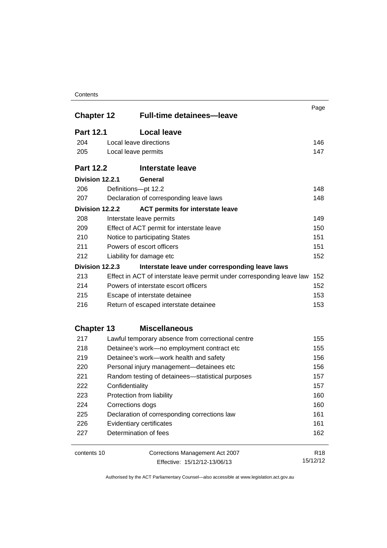### **Contents**

| <b>Chapter 12</b> |                 | <b>Full-time detainees-leave</b>                                       | Page            |
|-------------------|-----------------|------------------------------------------------------------------------|-----------------|
| <b>Part 12.1</b>  |                 | <b>Local leave</b>                                                     |                 |
| 204               |                 | Local leave directions                                                 | 146             |
| 205               |                 | Local leave permits                                                    | 147             |
| <b>Part 12.2</b>  |                 | <b>Interstate leave</b>                                                |                 |
|                   | Division 12.2.1 | General                                                                |                 |
| 206               |                 | Definitions-pt 12.2                                                    | 148             |
| 207               |                 | Declaration of corresponding leave laws                                | 148             |
|                   | Division 12.2.2 | <b>ACT permits for interstate leave</b>                                |                 |
| 208               |                 | Interstate leave permits                                               | 149             |
| 209               |                 | Effect of ACT permit for interstate leave                              | 150             |
| 210               |                 | Notice to participating States                                         | 151             |
| 211               |                 | Powers of escort officers                                              | 151             |
| 212               |                 | Liability for damage etc                                               | 152             |
|                   | Division 12.2.3 | Interstate leave under corresponding leave laws                        |                 |
| 213               |                 | Effect in ACT of interstate leave permit under corresponding leave law | 152             |
| 214               |                 | Powers of interstate escort officers                                   | 152             |
| 215               |                 | Escape of interstate detainee                                          |                 |
| 216               |                 | Return of escaped interstate detainee                                  | 153             |
| <b>Chapter 13</b> |                 | <b>Miscellaneous</b>                                                   |                 |
| 217               |                 | Lawful temporary absence from correctional centre                      | 155             |
| 218               |                 | Detainee's work-no employment contract etc                             | 155             |
| 219               |                 | Detainee's work-work health and safety                                 | 156             |
| 220               |                 | Personal injury management-detainees etc                               | 156             |
| 221               |                 | Random testing of detainees—statistical purposes                       | 157             |
| 222               |                 | Confidentiality                                                        | 157             |
| 223               |                 | Protection from liability                                              | 160             |
| 224               |                 | Corrections dogs                                                       | 160             |
| 225               |                 | Declaration of corresponding corrections law                           | 161             |
| 226               |                 | Evidentiary certificates                                               | 161             |
| 227               |                 | Determination of fees                                                  | 162             |
| contents 10       |                 | Corrections Management Act 2007                                        | R <sub>18</sub> |
|                   |                 | Effective: 15/12/12-13/06/13                                           | 15/12/12        |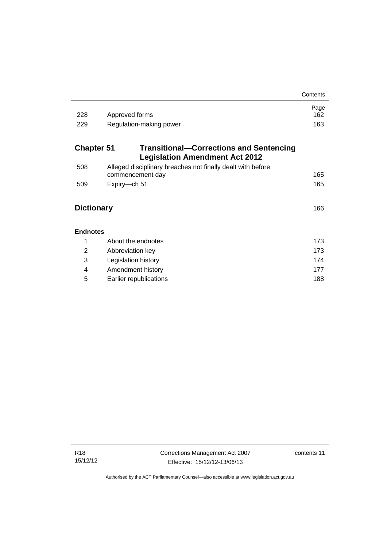|                   |                                                                                         | Contents    |  |
|-------------------|-----------------------------------------------------------------------------------------|-------------|--|
| 228               | Approved forms                                                                          | Page<br>162 |  |
| 229               | Regulation-making power                                                                 |             |  |
| <b>Chapter 51</b> | <b>Transitional–Corrections and Sentencing</b><br><b>Legislation Amendment Act 2012</b> |             |  |
| 508               | Alleged disciplinary breaches not finally dealt with before<br>commencement day         | 165         |  |
| 509               | Expiry-ch 51                                                                            | 165         |  |
| <b>Dictionary</b> |                                                                                         |             |  |
| <b>Endnotes</b>   |                                                                                         |             |  |
| 1                 | About the endnotes                                                                      | 173         |  |
| 2                 | Abbreviation key                                                                        | 173         |  |
| 3                 | Legislation history                                                                     | 174         |  |
| 4                 | Amendment history                                                                       | 177         |  |
| 5                 | Earlier republications                                                                  | 188         |  |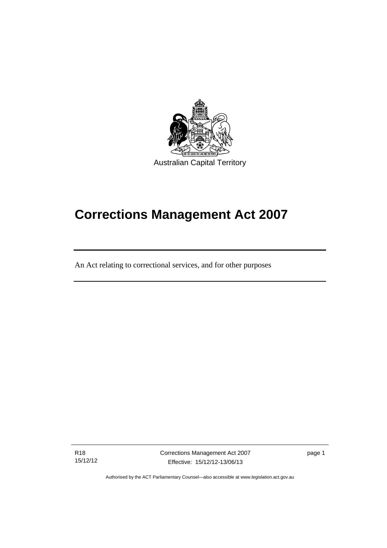

# **Corrections Management Act 2007**

An Act relating to correctional services, and for other purposes

R18 15/12/12

֖֚֚֚֬

Corrections Management Act 2007 Effective: 15/12/12-13/06/13

page 1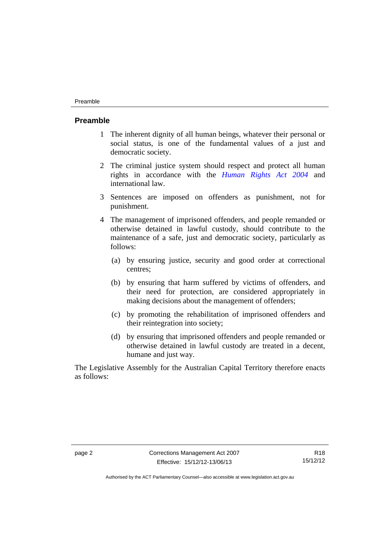#### Preamble

#### <span id="page-15-0"></span>**Preamble**

- 1 The inherent dignity of all human beings, whatever their personal or social status, is one of the fundamental values of a just and democratic society.
- 2 The criminal justice system should respect and protect all human rights in accordance with the *[Human Rights Act 2004](http://www.legislation.act.gov.au/a/2004-5)* and international law.
- 3 Sentences are imposed on offenders as punishment, not for punishment.
- 4 The management of imprisoned offenders, and people remanded or otherwise detained in lawful custody, should contribute to the maintenance of a safe, just and democratic society, particularly as follows:
	- (a) by ensuring justice, security and good order at correctional centres;
	- (b) by ensuring that harm suffered by victims of offenders, and their need for protection, are considered appropriately in making decisions about the management of offenders;
	- (c) by promoting the rehabilitation of imprisoned offenders and their reintegration into society;
	- (d) by ensuring that imprisoned offenders and people remanded or otherwise detained in lawful custody are treated in a decent, humane and just way.

The Legislative Assembly for the Australian Capital Territory therefore enacts as follows: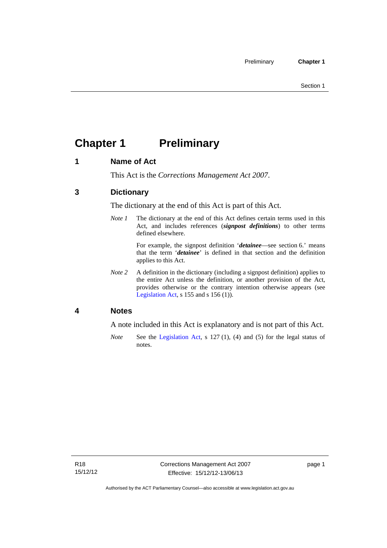## <span id="page-16-0"></span>**Chapter 1 Preliminary**

### <span id="page-16-1"></span>**1 Name of Act**

This Act is the *Corrections Management Act 2007*.

### <span id="page-16-2"></span>**3 Dictionary**

The dictionary at the end of this Act is part of this Act.

*Note 1* The dictionary at the end of this Act defines certain terms used in this Act, and includes references (*signpost definitions*) to other terms defined elsewhere.

> For example, the signpost definition '*detainee*—see section 6.' means that the term '*detainee*' is defined in that section and the definition applies to this Act.

*Note 2* A definition in the dictionary (including a signpost definition) applies to the entire Act unless the definition, or another provision of the Act, provides otherwise or the contrary intention otherwise appears (see [Legislation Act,](http://www.legislation.act.gov.au/a/2001-14) s 155 and s 156 (1)).

### <span id="page-16-3"></span>**4 Notes**

A note included in this Act is explanatory and is not part of this Act.

*Note* See the [Legislation Act,](http://www.legislation.act.gov.au/a/2001-14) s 127 (1), (4) and (5) for the legal status of notes.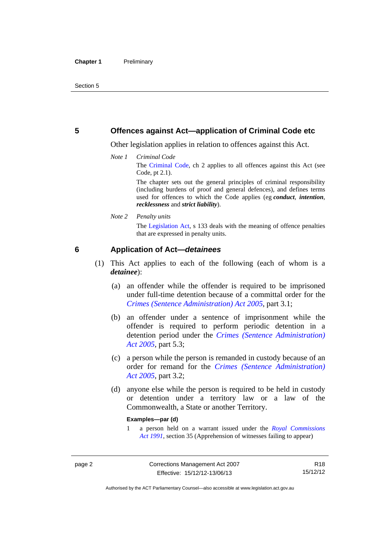### <span id="page-17-0"></span>**5 Offences against Act—application of Criminal Code etc**

Other legislation applies in relation to offences against this Act.

*Note 1 Criminal Code* The [Criminal Code](http://www.legislation.act.gov.au/a/2002-51), ch 2 applies to all offences against this Act (see Code, pt 2.1).

> The chapter sets out the general principles of criminal responsibility (including burdens of proof and general defences), and defines terms used for offences to which the Code applies (eg *conduct*, *intention*, *recklessness* and *strict liability*).

*Note 2 Penalty units* 

The [Legislation Act,](http://www.legislation.act.gov.au/a/2001-14) s 133 deals with the meaning of offence penalties that are expressed in penalty units.

### <span id="page-17-1"></span>**6 Application of Act—***detainees*

- (1) This Act applies to each of the following (each of whom is a *detainee*):
	- (a) an offender while the offender is required to be imprisoned under full-time detention because of a committal order for the *[Crimes \(Sentence Administration\) Act 2005](http://www.legislation.act.gov.au/a/2005-59)*, part 3.1;
	- (b) an offender under a sentence of imprisonment while the offender is required to perform periodic detention in a detention period under the *[Crimes \(Sentence Administration\)](http://www.legislation.act.gov.au/a/2005-59)  [Act 2005](http://www.legislation.act.gov.au/a/2005-59),* part 5.3;
	- (c) a person while the person is remanded in custody because of an order for remand for the *[Crimes \(Sentence Administration\)](http://www.legislation.act.gov.au/a/2005-59)  [Act 2005](http://www.legislation.act.gov.au/a/2005-59)*, part 3.2;
	- (d) anyone else while the person is required to be held in custody or detention under a territory law or a law of the Commonwealth, a State or another Territory.

#### **Examples—par (d)**

1 a person held on a warrant issued under the *[Royal Commissions](http://www.legislation.act.gov.au/a/1991-1)  [Act 1991](http://www.legislation.act.gov.au/a/1991-1)*, section 35 (Apprehension of witnesses failing to appear)

Authorised by the ACT Parliamentary Counsel—also accessible at www.legislation.act.gov.au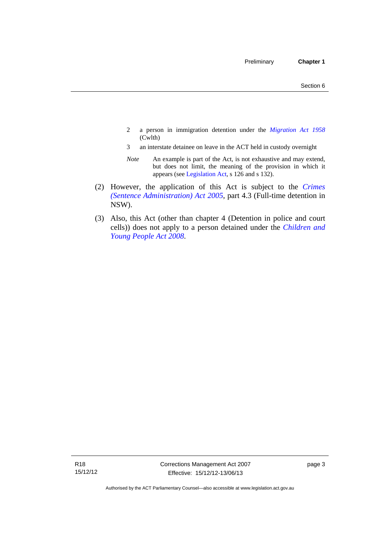- 2 a person in immigration detention under the *[Migration Act 1958](http://www.comlaw.gov.au/Series/C2004A07412)* (Cwlth)
- 3 an interstate detainee on leave in the ACT held in custody overnight
- *Note* An example is part of the Act, is not exhaustive and may extend, but does not limit, the meaning of the provision in which it appears (see [Legislation Act,](http://www.legislation.act.gov.au/a/2001-14) s 126 and s 132).
- (2) However, the application of this Act is subject to the *[Crimes](http://www.legislation.act.gov.au/a/2005-59)  [\(Sentence Administration\) Act 2005](http://www.legislation.act.gov.au/a/2005-59)*, part 4.3 (Full-time detention in NSW).
- (3) Also, this Act (other than chapter 4 (Detention in police and court cells)) does not apply to a person detained under the *[Children and](http://www.legislation.act.gov.au/a/2008-19)  [Young People Act 2008](http://www.legislation.act.gov.au/a/2008-19)*.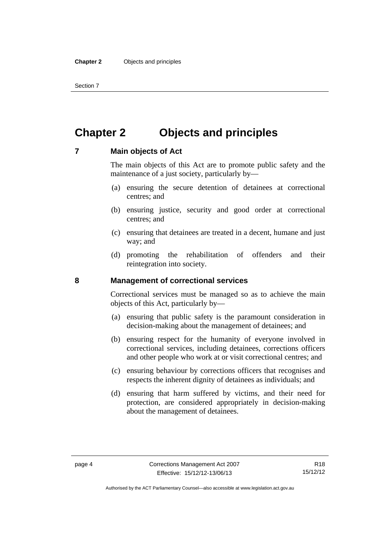Section 7

### <span id="page-19-0"></span>**Chapter 2 Objects and principles**

### <span id="page-19-1"></span>**7 Main objects of Act**

The main objects of this Act are to promote public safety and the maintenance of a just society, particularly by—

- (a) ensuring the secure detention of detainees at correctional centres; and
- (b) ensuring justice, security and good order at correctional centres; and
- (c) ensuring that detainees are treated in a decent, humane and just way; and
- (d) promoting the rehabilitation of offenders and their reintegration into society.

### **8 Management of correctional services**

Correctional services must be managed so as to achieve the main objects of this Act, particularly by—

- (a) ensuring that public safety is the paramount consideration in decision-making about the management of detainees; and
- (b) ensuring respect for the humanity of everyone involved in correctional services, including detainees, corrections officers and other people who work at or visit correctional centres; and
- (c) ensuring behaviour by corrections officers that recognises and respects the inherent dignity of detainees as individuals; and
- (d) ensuring that harm suffered by victims, and their need for protection, are considered appropriately in decision-making about the management of detainees.

<span id="page-19-2"></span>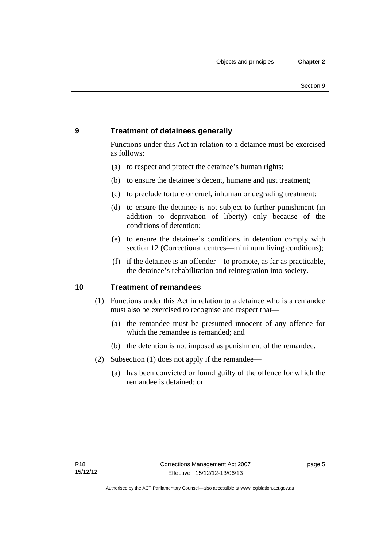### <span id="page-20-0"></span>**9 Treatment of detainees generally**

Functions under this Act in relation to a detainee must be exercised as follows:

- (a) to respect and protect the detainee's human rights;
- (b) to ensure the detainee's decent, humane and just treatment;
- (c) to preclude torture or cruel, inhuman or degrading treatment;
- (d) to ensure the detainee is not subject to further punishment (in addition to deprivation of liberty) only because of the conditions of detention;
- (e) to ensure the detainee's conditions in detention comply with section 12 (Correctional centres—minimum living conditions);
- (f) if the detainee is an offender—to promote, as far as practicable, the detainee's rehabilitation and reintegration into society.

### <span id="page-20-1"></span>**10 Treatment of remandees**

- (1) Functions under this Act in relation to a detainee who is a remandee must also be exercised to recognise and respect that—
	- (a) the remandee must be presumed innocent of any offence for which the remandee is remanded; and
	- (b) the detention is not imposed as punishment of the remandee.
- (2) Subsection (1) does not apply if the remandee—
	- (a) has been convicted or found guilty of the offence for which the remandee is detained; or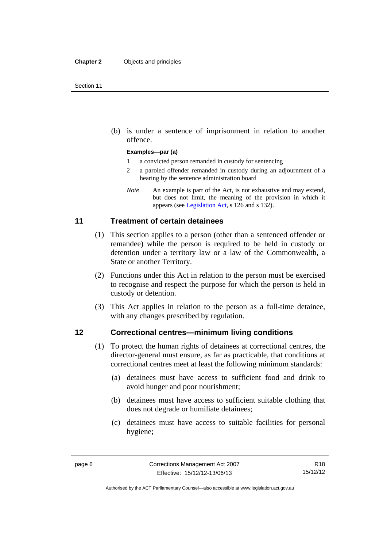(b) is under a sentence of imprisonment in relation to another offence.

#### **Examples—par (a)**

- 1 a convicted person remanded in custody for sentencing
- 2 a paroled offender remanded in custody during an adjournment of a hearing by the sentence administration board
- *Note* An example is part of the Act, is not exhaustive and may extend, but does not limit, the meaning of the provision in which it appears (see [Legislation Act,](http://www.legislation.act.gov.au/a/2001-14) s 126 and s 132).

### <span id="page-21-0"></span>**11 Treatment of certain detainees**

- (1) This section applies to a person (other than a sentenced offender or remandee) while the person is required to be held in custody or detention under a territory law or a law of the Commonwealth, a State or another Territory.
- (2) Functions under this Act in relation to the person must be exercised to recognise and respect the purpose for which the person is held in custody or detention.
- (3) This Act applies in relation to the person as a full-time detainee, with any changes prescribed by regulation.

### <span id="page-21-1"></span>**12 Correctional centres—minimum living conditions**

- (1) To protect the human rights of detainees at correctional centres, the director-general must ensure, as far as practicable, that conditions at correctional centres meet at least the following minimum standards:
	- (a) detainees must have access to sufficient food and drink to avoid hunger and poor nourishment;
	- (b) detainees must have access to sufficient suitable clothing that does not degrade or humiliate detainees;
	- (c) detainees must have access to suitable facilities for personal hygiene;

Authorised by the ACT Parliamentary Counsel—also accessible at www.legislation.act.gov.au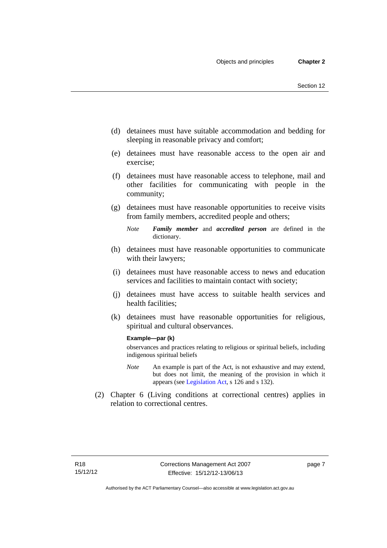- (d) detainees must have suitable accommodation and bedding for sleeping in reasonable privacy and comfort;
- (e) detainees must have reasonable access to the open air and exercise;
- (f) detainees must have reasonable access to telephone, mail and other facilities for communicating with people in the community;
- (g) detainees must have reasonable opportunities to receive visits from family members, accredited people and others;
	- *Note Family member* and *accredited person* are defined in the dictionary.
- (h) detainees must have reasonable opportunities to communicate with their lawyers;
- (i) detainees must have reasonable access to news and education services and facilities to maintain contact with society;
- (j) detainees must have access to suitable health services and health facilities;
- (k) detainees must have reasonable opportunities for religious, spiritual and cultural observances.

#### **Example—par (k)**

observances and practices relating to religious or spiritual beliefs, including indigenous spiritual beliefs

- *Note* An example is part of the Act, is not exhaustive and may extend, but does not limit, the meaning of the provision in which it appears (see [Legislation Act,](http://www.legislation.act.gov.au/a/2001-14) s 126 and s 132).
- (2) Chapter 6 (Living conditions at correctional centres) applies in relation to correctional centres.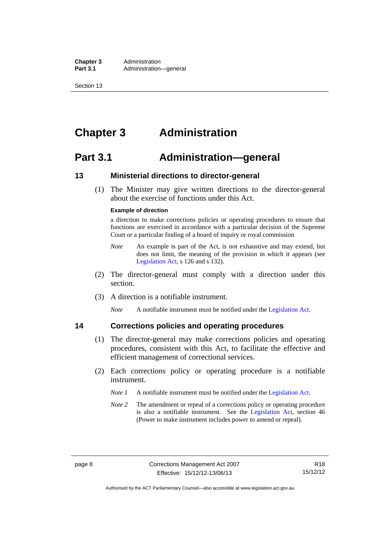**Chapter 3** Administration<br>**Part 3.1** Administration Administration—general

Section 13

### <span id="page-23-0"></span>**Chapter 3 Administration**

### <span id="page-23-1"></span>**Part 3.1 Administration—general**

### <span id="page-23-2"></span>**13 Ministerial directions to director-general**

 (1) The Minister may give written directions to the director-general about the exercise of functions under this Act.

#### **Example of direction**

a direction to make corrections policies or operating procedures to ensure that functions are exercised in accordance with a particular decision of the Supreme Court or a particular finding of a board of inquiry or royal commission

- *Note* An example is part of the Act, is not exhaustive and may extend, but does not limit, the meaning of the provision in which it appears (see [Legislation Act,](http://www.legislation.act.gov.au/a/2001-14) s 126 and s 132).
- (2) The director-general must comply with a direction under this section.
- (3) A direction is a notifiable instrument.

*Note* A notifiable instrument must be notified under the [Legislation Act](http://www.legislation.act.gov.au/a/2001-14).

### <span id="page-23-3"></span>**14 Corrections policies and operating procedures**

- (1) The director-general may make corrections policies and operating procedures, consistent with this Act, to facilitate the effective and efficient management of correctional services.
- (2) Each corrections policy or operating procedure is a notifiable instrument.
	- *Note 1* A notifiable instrument must be notified under the [Legislation Act](http://www.legislation.act.gov.au/a/2001-14).
	- *Note* 2 The amendment or repeal of a corrections policy or operating procedure is also a notifiable instrument. See the [Legislation Act,](http://www.legislation.act.gov.au/a/2001-14) section 46 (Power to make instrument includes power to amend or repeal).

Authorised by the ACT Parliamentary Counsel—also accessible at www.legislation.act.gov.au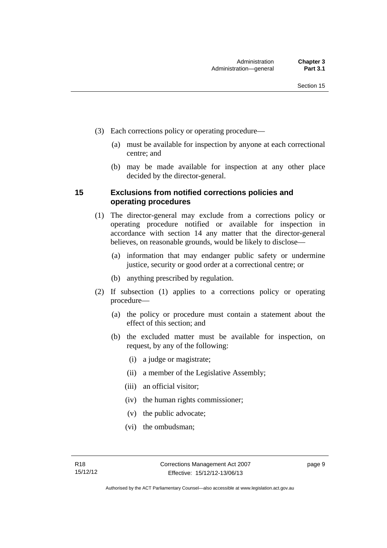- (3) Each corrections policy or operating procedure—
	- (a) must be available for inspection by anyone at each correctional centre; and
	- (b) may be made available for inspection at any other place decided by the director-general.

### <span id="page-24-0"></span>**15 Exclusions from notified corrections policies and operating procedures**

- (1) The director-general may exclude from a corrections policy or operating procedure notified or available for inspection in accordance with section 14 any matter that the director-general believes, on reasonable grounds, would be likely to disclose—
	- (a) information that may endanger public safety or undermine justice, security or good order at a correctional centre; or
	- (b) anything prescribed by regulation.
- (2) If subsection (1) applies to a corrections policy or operating procedure—
	- (a) the policy or procedure must contain a statement about the effect of this section; and
	- (b) the excluded matter must be available for inspection, on request, by any of the following:
		- (i) a judge or magistrate;
		- (ii) a member of the Legislative Assembly;
		- (iii) an official visitor;
		- (iv) the human rights commissioner;
		- (v) the public advocate;
		- (vi) the ombudsman;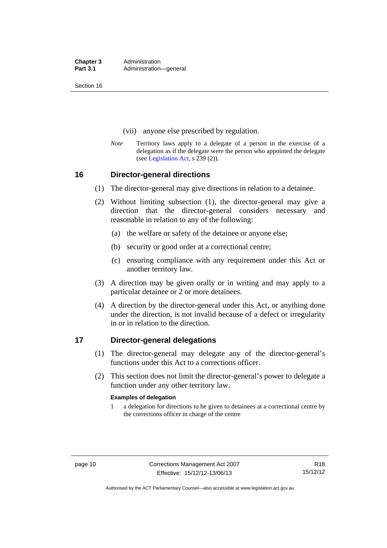**Chapter 3** Administration<br>**Part 3.1** Administration Administration—general

Section 16

- (vii) anyone else prescribed by regulation.
- *Note* Territory laws apply to a delegate of a person in the exercise of a delegation as if the delegate were the person who appointed the delegate (see [Legislation Act,](http://www.legislation.act.gov.au/a/2001-14) s 239 (2)).

### <span id="page-25-0"></span>**16 Director-general directions**

- (1) The director-general may give directions in relation to a detainee.
- (2) Without limiting subsection (1), the director-general may give a direction that the director-general considers necessary and reasonable in relation to any of the following:
	- (a) the welfare or safety of the detainee or anyone else;
	- (b) security or good order at a correctional centre;
	- (c) ensuring compliance with any requirement under this Act or another territory law.
- (3) A direction may be given orally or in writing and may apply to a particular detainee or 2 or more detainees.
- (4) A direction by the director-general under this Act, or anything done under the direction, is not invalid because of a defect or irregularity in or in relation to the direction.

### <span id="page-25-1"></span>**17 Director-general delegations**

- (1) The director-general may delegate any of the director-general's functions under this Act to a corrections officer.
- (2) This section does not limit the director-general's power to delegate a function under any other territory law.

#### **Examples of delegation**

1 a delegation for directions to be given to detainees at a correctional centre by the corrections officer in charge of the centre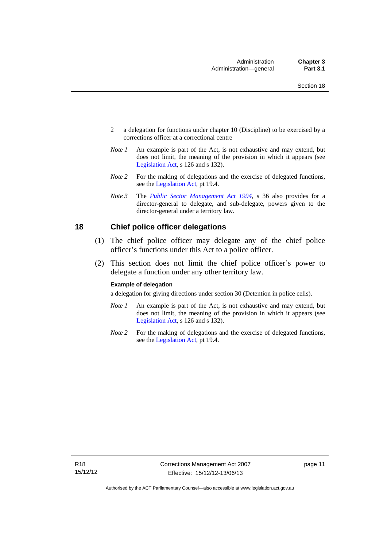- 2 a delegation for functions under chapter 10 (Discipline) to be exercised by a corrections officer at a correctional centre
- *Note 1* An example is part of the Act, is not exhaustive and may extend, but does not limit, the meaning of the provision in which it appears (see [Legislation Act,](http://www.legislation.act.gov.au/a/2001-14) s 126 and s 132).
- *Note 2* For the making of delegations and the exercise of delegated functions, see the [Legislation Act,](http://www.legislation.act.gov.au/a/2001-14) pt 19.4.
- *Note 3* The *[Public Sector Management Act 1994](http://www.legislation.act.gov.au/a/1994-37)*, s 36 also provides for a director-general to delegate, and sub-delegate, powers given to the director-general under a territory law.

### <span id="page-26-0"></span>**18 Chief police officer delegations**

- (1) The chief police officer may delegate any of the chief police officer's functions under this Act to a police officer.
- (2) This section does not limit the chief police officer's power to delegate a function under any other territory law.

#### **Example of delegation**

a delegation for giving directions under section 30 (Detention in police cells).

- *Note 1* An example is part of the Act, is not exhaustive and may extend, but does not limit, the meaning of the provision in which it appears (see [Legislation Act,](http://www.legislation.act.gov.au/a/2001-14) s 126 and s 132).
- *Note* 2 For the making of delegations and the exercise of delegated functions, see the [Legislation Act,](http://www.legislation.act.gov.au/a/2001-14) pt 19.4.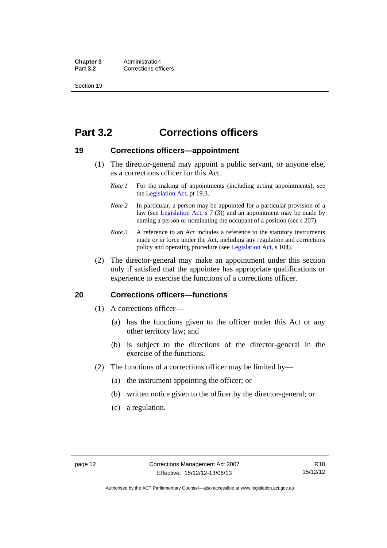**Chapter 3** Administration<br>**Part 3.2** Corrections of **Corrections officers** 

Section 19

### <span id="page-27-0"></span>**Part 3.2 Corrections officers**

### <span id="page-27-1"></span>**19 Corrections officers—appointment**

- (1) The director-general may appoint a public servant, or anyone else, as a corrections officer for this Act.
	- *Note 1* For the making of appointments (including acting appointments), see the [Legislation Act,](http://www.legislation.act.gov.au/a/2001-14) pt 19.3.
	- *Note* 2 In particular, a person may be appointed for a particular provision of a law (see [Legislation Act,](http://www.legislation.act.gov.au/a/2001-14) s 7 (3)) and an appointment may be made by naming a person or nominating the occupant of a position (see s 207).
	- *Note 3* A reference to an Act includes a reference to the statutory instruments made or in force under the Act, including any regulation and corrections policy and operating procedure (see [Legislation Act,](http://www.legislation.act.gov.au/a/2001-14) s 104).
- (2) The director-general may make an appointment under this section only if satisfied that the appointee has appropriate qualifications or experience to exercise the functions of a corrections officer.

### <span id="page-27-2"></span>**20 Corrections officers—functions**

- (1) A corrections officer—
	- (a) has the functions given to the officer under this Act or any other territory law; and
	- (b) is subject to the directions of the director-general in the exercise of the functions.
- (2) The functions of a corrections officer may be limited by—
	- (a) the instrument appointing the officer; or
	- (b) written notice given to the officer by the director-general; or
	- (c) a regulation.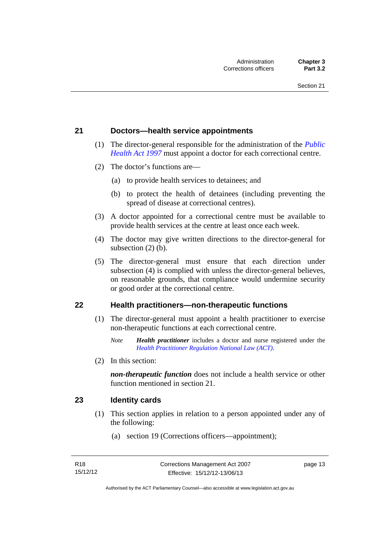### <span id="page-28-0"></span>**21 Doctors—health service appointments**

- (1) The director-general responsible for the administration of the *[Public](http://www.legislation.act.gov.au/a/1997-69)  [Health Act 1997](http://www.legislation.act.gov.au/a/1997-69)* must appoint a doctor for each correctional centre.
- (2) The doctor's functions are—
	- (a) to provide health services to detainees; and
	- (b) to protect the health of detainees (including preventing the spread of disease at correctional centres).
- (3) A doctor appointed for a correctional centre must be available to provide health services at the centre at least once each week.
- (4) The doctor may give written directions to the director-general for subsection (2) (b).
- (5) The director-general must ensure that each direction under subsection (4) is complied with unless the director-general believes, on reasonable grounds, that compliance would undermine security or good order at the correctional centre.

### <span id="page-28-1"></span>**22 Health practitioners—non-therapeutic functions**

- (1) The director-general must appoint a health practitioner to exercise non-therapeutic functions at each correctional centre.
	- *Note Health practitioner* includes a doctor and nurse registered under the *[Health Practitioner Regulation National Law \(ACT\)](http://www.legislation.act.gov.au/a/db_39269/default.asp)*.
- (2) In this section:

*non-therapeutic function* does not include a health service or other function mentioned in section 21.

### <span id="page-28-2"></span>**23 Identity cards**

- (1) This section applies in relation to a person appointed under any of the following:
	- (a) section 19 (Corrections officers—appointment);

page 13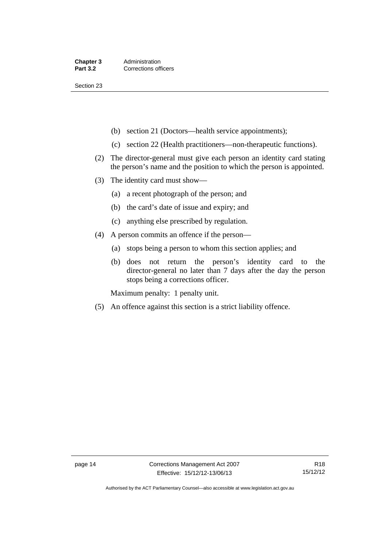Section 23

- (b) section 21 (Doctors—health service appointments);
- (c) section 22 (Health practitioners—non-therapeutic functions).
- (2) The director-general must give each person an identity card stating the person's name and the position to which the person is appointed.
- (3) The identity card must show—
	- (a) a recent photograph of the person; and
	- (b) the card's date of issue and expiry; and
	- (c) anything else prescribed by regulation.
- (4) A person commits an offence if the person—
	- (a) stops being a person to whom this section applies; and
	- (b) does not return the person's identity card to the director-general no later than 7 days after the day the person stops being a corrections officer.

Maximum penalty: 1 penalty unit.

(5) An offence against this section is a strict liability offence.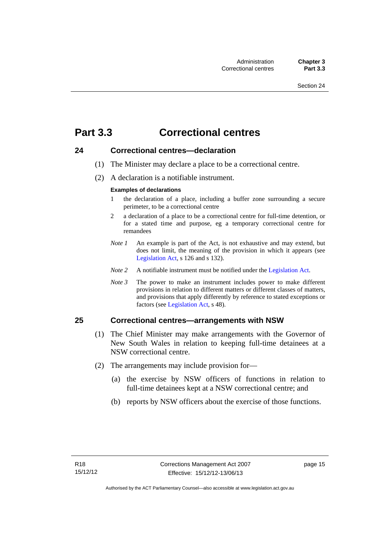### <span id="page-30-0"></span>**Part 3.3 Correctional centres**

### <span id="page-30-1"></span>**24 Correctional centres—declaration**

- (1) The Minister may declare a place to be a correctional centre.
- (2) A declaration is a notifiable instrument.

### **Examples of declarations**

- 1 the declaration of a place, including a buffer zone surrounding a secure perimeter, to be a correctional centre
- 2 a declaration of a place to be a correctional centre for full-time detention, or for a stated time and purpose, eg a temporary correctional centre for remandees
- *Note 1* An example is part of the Act, is not exhaustive and may extend, but does not limit, the meaning of the provision in which it appears (see [Legislation Act,](http://www.legislation.act.gov.au/a/2001-14) s 126 and s 132).
- *Note 2* A notifiable instrument must be notified under the [Legislation Act](http://www.legislation.act.gov.au/a/2001-14).
- *Note 3* The power to make an instrument includes power to make different provisions in relation to different matters or different classes of matters, and provisions that apply differently by reference to stated exceptions or factors (see [Legislation Act](http://www.legislation.act.gov.au/a/2001-14), s 48).

### <span id="page-30-2"></span>**25 Correctional centres—arrangements with NSW**

- (1) The Chief Minister may make arrangements with the Governor of New South Wales in relation to keeping full-time detainees at a NSW correctional centre.
- (2) The arrangements may include provision for—
	- (a) the exercise by NSW officers of functions in relation to full-time detainees kept at a NSW correctional centre; and
	- (b) reports by NSW officers about the exercise of those functions.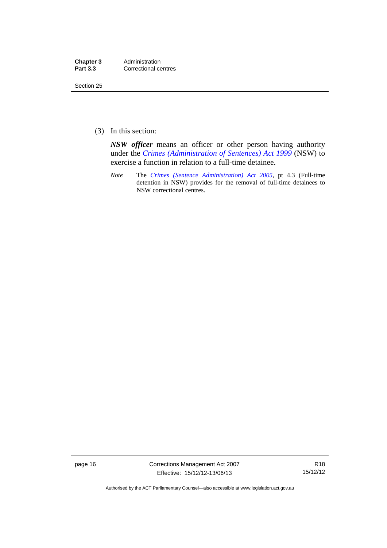| Chapter 3       | Administration       |
|-----------------|----------------------|
| <b>Part 3.3</b> | Correctional centres |

Section 25

(3) In this section:

*NSW officer* means an officer or other person having authority under the *[Crimes \(Administration of Sentences\) Act 1999](http://www.legislation.nsw.gov.au/maintop/view/inforce/act+93+1999+cd+0+N)* (NSW) to exercise a function in relation to a full-time detainee.

*Note* The *[Crimes \(Sentence Administration\) Act 2005](http://www.legislation.act.gov.au/a/2005-59)*, pt 4.3 (Full-time detention in NSW) provides for the removal of full-time detainees to NSW correctional centres.

page 16 Corrections Management Act 2007 Effective: 15/12/12-13/06/13

R18 15/12/12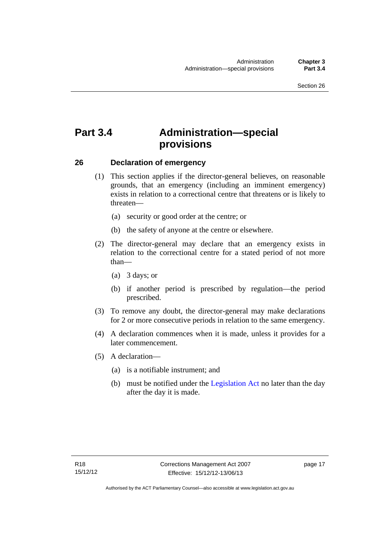### <span id="page-32-0"></span>**Part 3.4 Administration—special provisions**

### <span id="page-32-1"></span>**26 Declaration of emergency**

- (1) This section applies if the director-general believes, on reasonable grounds, that an emergency (including an imminent emergency) exists in relation to a correctional centre that threatens or is likely to threaten—
	- (a) security or good order at the centre; or
	- (b) the safety of anyone at the centre or elsewhere.
- (2) The director-general may declare that an emergency exists in relation to the correctional centre for a stated period of not more than—
	- (a) 3 days; or
	- (b) if another period is prescribed by regulation—the period prescribed.
- (3) To remove any doubt, the director-general may make declarations for 2 or more consecutive periods in relation to the same emergency.
- (4) A declaration commences when it is made, unless it provides for a later commencement.
- (5) A declaration—
	- (a) is a notifiable instrument; and
	- (b) must be notified under the [Legislation Act](http://www.legislation.act.gov.au/a/2001-14) no later than the day after the day it is made.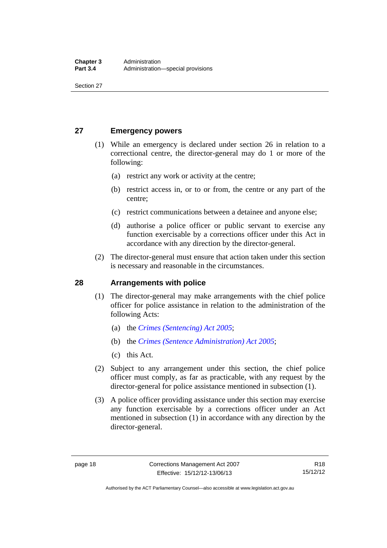Section 27

### <span id="page-33-0"></span>**27 Emergency powers**

- (1) While an emergency is declared under section 26 in relation to a correctional centre, the director-general may do 1 or more of the following:
	- (a) restrict any work or activity at the centre;
	- (b) restrict access in, or to or from, the centre or any part of the centre;
	- (c) restrict communications between a detainee and anyone else;
	- (d) authorise a police officer or public servant to exercise any function exercisable by a corrections officer under this Act in accordance with any direction by the director-general.
- (2) The director-general must ensure that action taken under this section is necessary and reasonable in the circumstances.

### <span id="page-33-1"></span>**28 Arrangements with police**

- (1) The director-general may make arrangements with the chief police officer for police assistance in relation to the administration of the following Acts:
	- (a) the *[Crimes \(Sentencing\) Act 2005](http://www.legislation.act.gov.au/a/2005-58)*;
	- (b) the *[Crimes \(Sentence Administration\) Act 2005](http://www.legislation.act.gov.au/a/2005-59)*;
	- (c) this Act.
- (2) Subject to any arrangement under this section, the chief police officer must comply, as far as practicable, with any request by the director-general for police assistance mentioned in subsection (1).
- (3) A police officer providing assistance under this section may exercise any function exercisable by a corrections officer under an Act mentioned in subsection (1) in accordance with any direction by the director-general.

Authorised by the ACT Parliamentary Counsel—also accessible at www.legislation.act.gov.au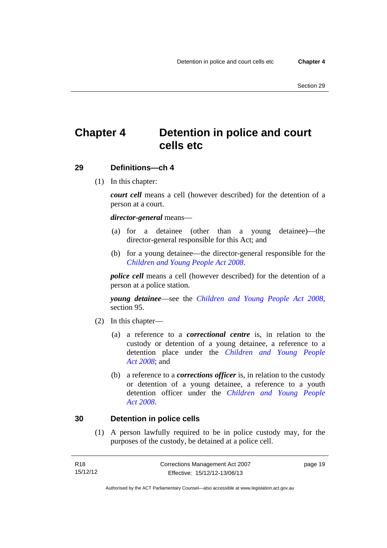### <span id="page-34-0"></span>**Chapter 4 Detention in police and court cells etc**

### <span id="page-34-1"></span>**29 Definitions—ch 4**

(1) In this chapter:

*court cell* means a cell (however described) for the detention of a person at a court.

### *director-general* means—

- (a) for a detainee (other than a young detainee)—the director-general responsible for this Act; and
- (b) for a young detainee—the director-general responsible for the *[Children and Young People Act 2008](http://www.legislation.act.gov.au/a/2008-19)*.

*police cell* means a cell (however described) for the detention of a person at a police station.

*young detainee*—see the *[Children and Young People Act 2008](http://www.legislation.act.gov.au/a/2008-19)*, section 95.

- (2) In this chapter—
	- (a) a reference to a *correctional centre* is, in relation to the custody or detention of a young detainee, a reference to a detention place under the *[Children and Young People](http://www.legislation.act.gov.au/a/2008-19)  [Act 2008](http://www.legislation.act.gov.au/a/2008-19)*; and
	- (b) a reference to a *corrections officer* is, in relation to the custody or detention of a young detainee, a reference to a youth detention officer under the *[Children and Young People](http://www.legislation.act.gov.au/a/2008-19)  [Act 2008](http://www.legislation.act.gov.au/a/2008-19)*.

### <span id="page-34-2"></span>**30 Detention in police cells**

 (1) A person lawfully required to be in police custody may, for the purposes of the custody, be detained at a police cell.

| R18      | Corrections Management Act 2007 | page 19 |
|----------|---------------------------------|---------|
| 15/12/12 | Effective: 15/12/12-13/06/13    |         |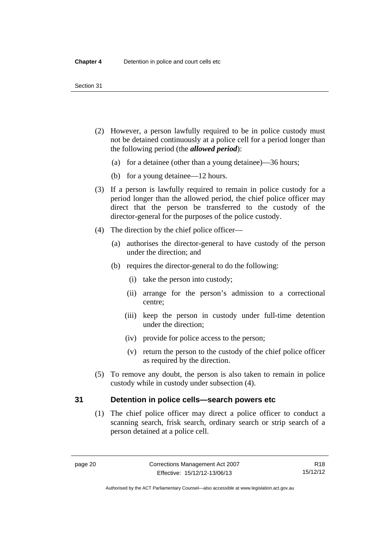- (2) However, a person lawfully required to be in police custody must not be detained continuously at a police cell for a period longer than the following period (the *allowed period*):
	- (a) for a detainee (other than a young detainee)—36 hours;
	- (b) for a young detainee—12 hours.
- (3) If a person is lawfully required to remain in police custody for a period longer than the allowed period, the chief police officer may direct that the person be transferred to the custody of the director-general for the purposes of the police custody.
- (4) The direction by the chief police officer—
	- (a) authorises the director-general to have custody of the person under the direction; and
	- (b) requires the director-general to do the following:
		- (i) take the person into custody;
		- (ii) arrange for the person's admission to a correctional centre;
		- (iii) keep the person in custody under full-time detention under the direction;
		- (iv) provide for police access to the person;
		- (v) return the person to the custody of the chief police officer as required by the direction.
- (5) To remove any doubt, the person is also taken to remain in police custody while in custody under subsection (4).

### <span id="page-35-0"></span>**31 Detention in police cells—search powers etc**

 (1) The chief police officer may direct a police officer to conduct a scanning search, frisk search, ordinary search or strip search of a person detained at a police cell.

Authorised by the ACT Parliamentary Counsel—also accessible at www.legislation.act.gov.au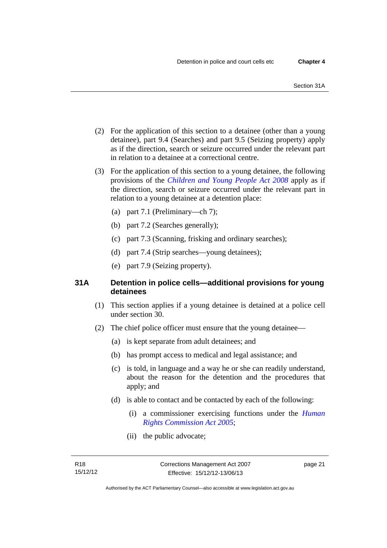- (2) For the application of this section to a detainee (other than a young detainee), part 9.4 (Searches) and part 9.5 (Seizing property) apply as if the direction, search or seizure occurred under the relevant part in relation to a detainee at a correctional centre.
- (3) For the application of this section to a young detainee, the following provisions of the *[Children and Young People Act 2008](http://www.legislation.act.gov.au/a/2008-19)* apply as if the direction, search or seizure occurred under the relevant part in relation to a young detainee at a detention place:
	- (a) part 7.1 (Preliminary—ch 7);
	- (b) part 7.2 (Searches generally);
	- (c) part 7.3 (Scanning, frisking and ordinary searches);
	- (d) part 7.4 (Strip searches—young detainees);
	- (e) part 7.9 (Seizing property).

# **31A Detention in police cells—additional provisions for young detainees**

- (1) This section applies if a young detainee is detained at a police cell under section 30.
- (2) The chief police officer must ensure that the young detainee—
	- (a) is kept separate from adult detainees; and
	- (b) has prompt access to medical and legal assistance; and
	- (c) is told, in language and a way he or she can readily understand, about the reason for the detention and the procedures that apply; and
	- (d) is able to contact and be contacted by each of the following:
		- (i) a commissioner exercising functions under the *[Human](http://www.legislation.act.gov.au/a/2005-40)  [Rights Commission Act 2005](http://www.legislation.act.gov.au/a/2005-40)*;
		- (ii) the public advocate;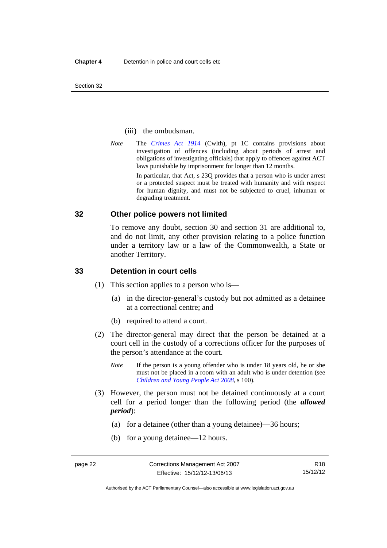Section 32

## (iii) the ombudsman.

*Note* The *[Crimes Act 1914](http://www.comlaw.gov.au/Series/C2004A07391)* (Cwlth), pt 1C contains provisions about investigation of offences (including about periods of arrest and obligations of investigating officials) that apply to offences against ACT laws punishable by imprisonment for longer than 12 months.

In particular, that Act, s 23Q provides that a person who is under arrest or a protected suspect must be treated with humanity and with respect for human dignity, and must not be subjected to cruel, inhuman or degrading treatment.

# **32 Other police powers not limited**

To remove any doubt, section 30 and section 31 are additional to, and do not limit, any other provision relating to a police function under a territory law or a law of the Commonwealth, a State or another Territory.

# **33 Detention in court cells**

- (1) This section applies to a person who is—
	- (a) in the director-general's custody but not admitted as a detainee at a correctional centre; and
	- (b) required to attend a court.
- (2) The director-general may direct that the person be detained at a court cell in the custody of a corrections officer for the purposes of the person's attendance at the court.
	- *Note* If the person is a young offender who is under 18 years old, he or she must not be placed in a room with an adult who is under detention (see *[Children and Young People Act 2008](http://www.legislation.act.gov.au/a/2008-19)*, s 100).
- (3) However, the person must not be detained continuously at a court cell for a period longer than the following period (the *allowed period*):
	- (a) for a detainee (other than a young detainee)—36 hours;
	- (b) for a young detainee—12 hours.

R18 15/12/12

Authorised by the ACT Parliamentary Counsel—also accessible at www.legislation.act.gov.au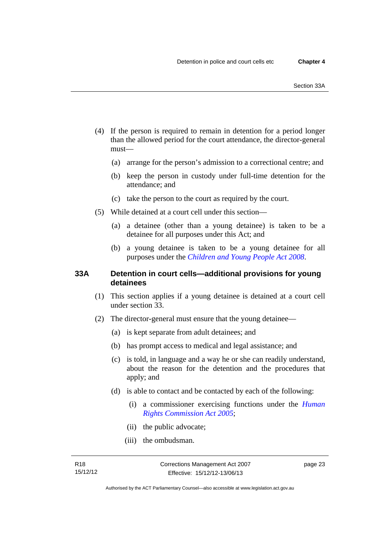- (4) If the person is required to remain in detention for a period longer than the allowed period for the court attendance, the director-general must—
	- (a) arrange for the person's admission to a correctional centre; and
	- (b) keep the person in custody under full-time detention for the attendance; and
	- (c) take the person to the court as required by the court.
- (5) While detained at a court cell under this section—
	- (a) a detainee (other than a young detainee) is taken to be a detainee for all purposes under this Act; and
	- (b) a young detainee is taken to be a young detainee for all purposes under the *[Children and Young People Act 2008](http://www.legislation.act.gov.au/a/2008-19)*.

# **33A Detention in court cells—additional provisions for young detainees**

- (1) This section applies if a young detainee is detained at a court cell under section 33.
- (2) The director-general must ensure that the young detainee—
	- (a) is kept separate from adult detainees; and
	- (b) has prompt access to medical and legal assistance; and
	- (c) is told, in language and a way he or she can readily understand, about the reason for the detention and the procedures that apply; and
	- (d) is able to contact and be contacted by each of the following:
		- (i) a commissioner exercising functions under the *[Human](http://www.legislation.act.gov.au/a/2005-40)  [Rights Commission Act 2005](http://www.legislation.act.gov.au/a/2005-40)*;
		- (ii) the public advocate;
		- (iii) the ombudsman.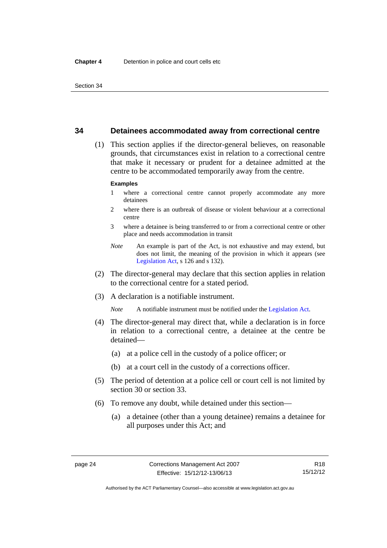# **34 Detainees accommodated away from correctional centre**

 (1) This section applies if the director-general believes, on reasonable grounds, that circumstances exist in relation to a correctional centre that make it necessary or prudent for a detainee admitted at the centre to be accommodated temporarily away from the centre.

#### **Examples**

- 1 where a correctional centre cannot properly accommodate any more detainees
- 2 where there is an outbreak of disease or violent behaviour at a correctional centre
- 3 where a detainee is being transferred to or from a correctional centre or other place and needs accommodation in transit
- *Note* An example is part of the Act, is not exhaustive and may extend, but does not limit, the meaning of the provision in which it appears (see [Legislation Act,](http://www.legislation.act.gov.au/a/2001-14) s 126 and s 132).
- (2) The director-general may declare that this section applies in relation to the correctional centre for a stated period.
- (3) A declaration is a notifiable instrument.

*Note* A notifiable instrument must be notified under the [Legislation Act](http://www.legislation.act.gov.au/a/2001-14).

- (4) The director-general may direct that, while a declaration is in force in relation to a correctional centre, a detainee at the centre be detained—
	- (a) at a police cell in the custody of a police officer; or
	- (b) at a court cell in the custody of a corrections officer.
- (5) The period of detention at a police cell or court cell is not limited by section 30 or section 33.
- (6) To remove any doubt, while detained under this section—
	- (a) a detainee (other than a young detainee) remains a detainee for all purposes under this Act; and

Authorised by the ACT Parliamentary Counsel—also accessible at www.legislation.act.gov.au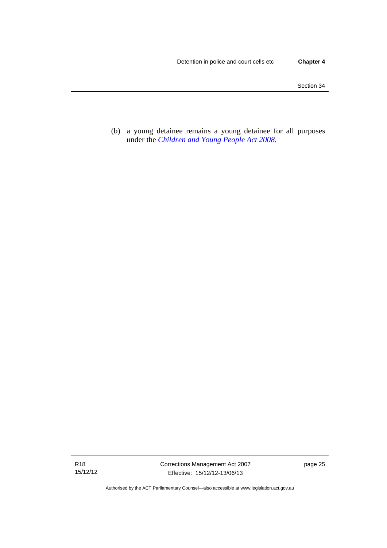(b) a young detainee remains a young detainee for all purposes under the *[Children and Young People Act 2008](http://www.legislation.act.gov.au/a/2008-19)*.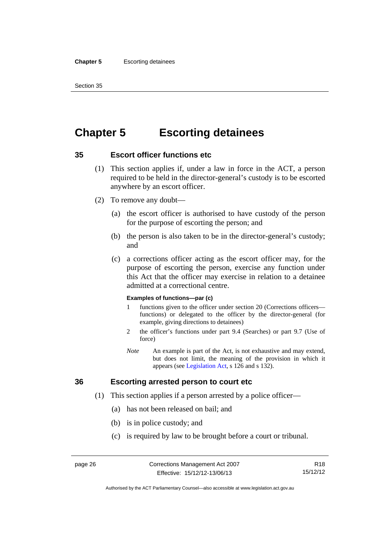#### **Chapter 5** Escorting detainees

Section 35

# **Chapter 5 Escorting detainees**

# **35 Escort officer functions etc**

- (1) This section applies if, under a law in force in the ACT, a person required to be held in the director-general's custody is to be escorted anywhere by an escort officer.
- (2) To remove any doubt—
	- (a) the escort officer is authorised to have custody of the person for the purpose of escorting the person; and
	- (b) the person is also taken to be in the director-general's custody; and
	- (c) a corrections officer acting as the escort officer may, for the purpose of escorting the person, exercise any function under this Act that the officer may exercise in relation to a detainee admitted at a correctional centre.

#### **Examples of functions—par (c)**

- 1 functions given to the officer under section 20 (Corrections officers functions) or delegated to the officer by the director-general (for example, giving directions to detainees)
- 2 the officer's functions under part 9.4 (Searches) or part 9.7 (Use of force)
- *Note* An example is part of the Act, is not exhaustive and may extend, but does not limit, the meaning of the provision in which it appears (see [Legislation Act,](http://www.legislation.act.gov.au/a/2001-14) s 126 and s 132).

# **36 Escorting arrested person to court etc**

- (1) This section applies if a person arrested by a police officer—
	- (a) has not been released on bail; and
	- (b) is in police custody; and
	- (c) is required by law to be brought before a court or tribunal.

R18 15/12/12

Authorised by the ACT Parliamentary Counsel—also accessible at www.legislation.act.gov.au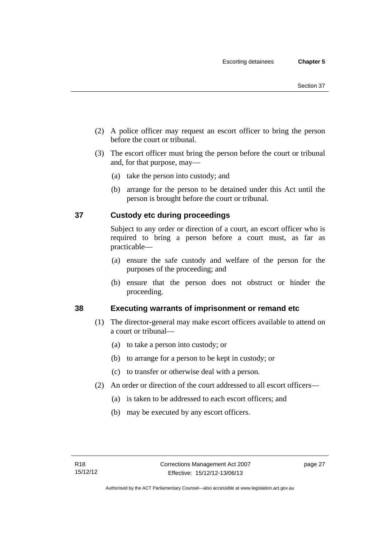- (2) A police officer may request an escort officer to bring the person before the court or tribunal.
- (3) The escort officer must bring the person before the court or tribunal and, for that purpose, may—
	- (a) take the person into custody; and
	- (b) arrange for the person to be detained under this Act until the person is brought before the court or tribunal.

# **37 Custody etc during proceedings**

Subject to any order or direction of a court, an escort officer who is required to bring a person before a court must, as far as practicable—

- (a) ensure the safe custody and welfare of the person for the purposes of the proceeding; and
- (b) ensure that the person does not obstruct or hinder the proceeding.

# **38 Executing warrants of imprisonment or remand etc**

- (1) The director-general may make escort officers available to attend on a court or tribunal—
	- (a) to take a person into custody; or
	- (b) to arrange for a person to be kept in custody; or
	- (c) to transfer or otherwise deal with a person.
- (2) An order or direction of the court addressed to all escort officers—
	- (a) is taken to be addressed to each escort officers; and
	- (b) may be executed by any escort officers.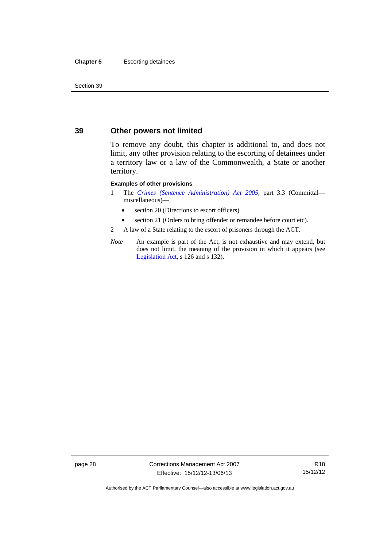#### **Chapter 5** Escorting detainees

Section 39

# **39 Other powers not limited**

To remove any doubt, this chapter is additional to, and does not limit, any other provision relating to the escorting of detainees under a territory law or a law of the Commonwealth, a State or another territory.

#### **Examples of other provisions**

- 1 The *[Crimes \(Sentence Administration\) Act 2005](http://www.legislation.act.gov.au/a/2005-59)*, part 3.3 (Committal miscellaneous)—
	- section 20 (Directions to escort officers)
	- section 21 (Orders to bring offender or remandee before court etc).
- 2 A law of a State relating to the escort of prisoners through the ACT.
- *Note* An example is part of the Act, is not exhaustive and may extend, but does not limit, the meaning of the provision in which it appears (see [Legislation Act,](http://www.legislation.act.gov.au/a/2001-14) s 126 and s 132).

page 28 Corrections Management Act 2007 Effective: 15/12/12-13/06/13

R18 15/12/12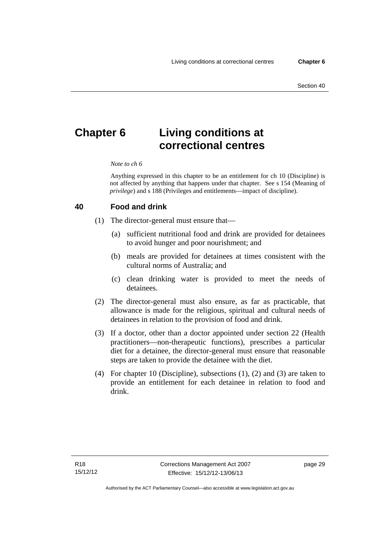# **Chapter 6 Living conditions at correctional centres**

#### *Note to ch 6*

Anything expressed in this chapter to be an entitlement for ch 10 (Discipline) is not affected by anything that happens under that chapter. See s 154 (Meaning of *privilege*) and s 188 (Privileges and entitlements—impact of discipline).

## **40 Food and drink**

- (1) The director-general must ensure that—
	- (a) sufficient nutritional food and drink are provided for detainees to avoid hunger and poor nourishment; and
	- (b) meals are provided for detainees at times consistent with the cultural norms of Australia; and
	- (c) clean drinking water is provided to meet the needs of detainees.
- (2) The director-general must also ensure, as far as practicable, that allowance is made for the religious, spiritual and cultural needs of detainees in relation to the provision of food and drink.
- (3) If a doctor, other than a doctor appointed under section 22 (Health practitioners—non-therapeutic functions), prescribes a particular diet for a detainee, the director-general must ensure that reasonable steps are taken to provide the detainee with the diet.
- (4) For chapter 10 (Discipline), subsections (1), (2) and (3) are taken to provide an entitlement for each detainee in relation to food and drink.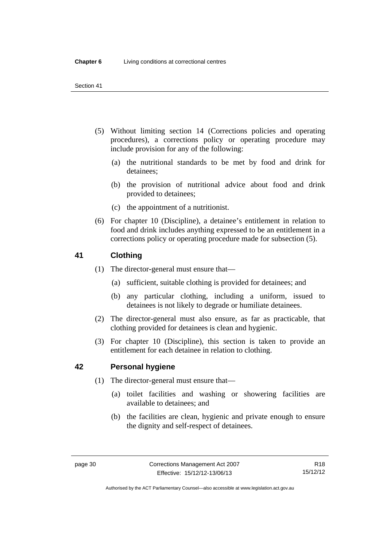- (5) Without limiting section 14 (Corrections policies and operating procedures), a corrections policy or operating procedure may include provision for any of the following:
	- (a) the nutritional standards to be met by food and drink for detainees;
	- (b) the provision of nutritional advice about food and drink provided to detainees;
	- (c) the appointment of a nutritionist.
- (6) For chapter 10 (Discipline), a detainee's entitlement in relation to food and drink includes anything expressed to be an entitlement in a corrections policy or operating procedure made for subsection (5).

# **41 Clothing**

- (1) The director-general must ensure that—
	- (a) sufficient, suitable clothing is provided for detainees; and
	- (b) any particular clothing, including a uniform, issued to detainees is not likely to degrade or humiliate detainees.
- (2) The director-general must also ensure, as far as practicable, that clothing provided for detainees is clean and hygienic.
- (3) For chapter 10 (Discipline), this section is taken to provide an entitlement for each detainee in relation to clothing.

# **42 Personal hygiene**

- (1) The director-general must ensure that—
	- (a) toilet facilities and washing or showering facilities are available to detainees; and
	- (b) the facilities are clean, hygienic and private enough to ensure the dignity and self-respect of detainees.

Authorised by the ACT Parliamentary Counsel—also accessible at www.legislation.act.gov.au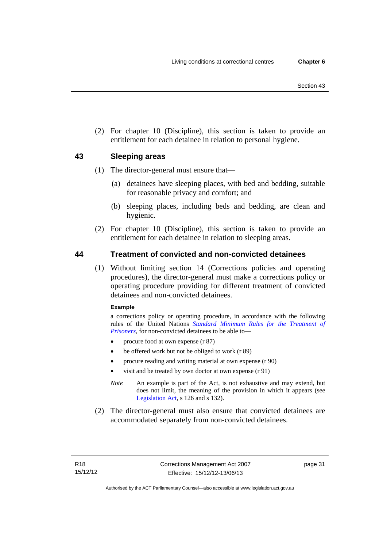(2) For chapter 10 (Discipline), this section is taken to provide an entitlement for each detainee in relation to personal hygiene.

# **43 Sleeping areas**

- (1) The director-general must ensure that—
	- (a) detainees have sleeping places, with bed and bedding, suitable for reasonable privacy and comfort; and
	- (b) sleeping places, including beds and bedding, are clean and hygienic.
- (2) For chapter 10 (Discipline), this section is taken to provide an entitlement for each detainee in relation to sleeping areas.

# **44 Treatment of convicted and non-convicted detainees**

 (1) Without limiting section 14 (Corrections policies and operating procedures), the director-general must make a corrections policy or operating procedure providing for different treatment of convicted detainees and non-convicted detainees.

## **Example**

a corrections policy or operating procedure, in accordance with the following rules of the United Nations *[Standard Minimum Rules for the Treatment of](http://www2.ohchr.org/english/law/treatmentprisoners.htm)  [Prisoners](http://www2.ohchr.org/english/law/treatmentprisoners.htm)*, for non-convicted detainees to be able to—

- procure food at own expense (r 87)
- be offered work but not be obliged to work (r 89)
- procure reading and writing material at own expense (r 90)
- visit and be treated by own doctor at own expense (r 91)
- *Note* An example is part of the Act, is not exhaustive and may extend, but does not limit, the meaning of the provision in which it appears (see [Legislation Act,](http://www.legislation.act.gov.au/a/2001-14) s 126 and s 132).
- (2) The director-general must also ensure that convicted detainees are accommodated separately from non-convicted detainees.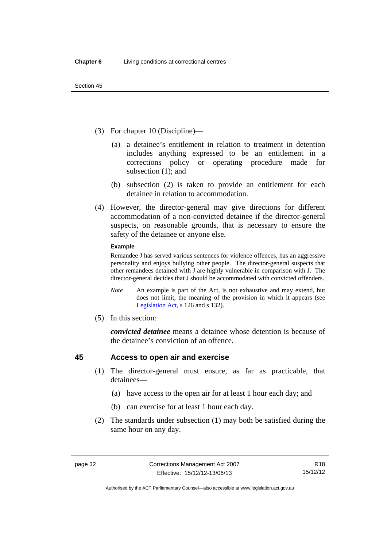- (3) For chapter 10 (Discipline)—
	- (a) a detainee's entitlement in relation to treatment in detention includes anything expressed to be an entitlement in a corrections policy or operating procedure made for subsection (1); and
	- (b) subsection (2) is taken to provide an entitlement for each detainee in relation to accommodation.
- (4) However, the director-general may give directions for different accommodation of a non-convicted detainee if the director-general suspects, on reasonable grounds, that is necessary to ensure the safety of the detainee or anyone else.

#### **Example**

Remandee J has served various sentences for violence offences, has an aggressive personality and enjoys bullying other people. The director-general suspects that other remandees detained with J are highly vulnerable in comparison with J. The director-general decides that J should be accommodated with convicted offenders.

- *Note* An example is part of the Act, is not exhaustive and may extend, but does not limit, the meaning of the provision in which it appears (see [Legislation Act,](http://www.legislation.act.gov.au/a/2001-14) s 126 and s 132).
- (5) In this section:

*convicted detainee* means a detainee whose detention is because of the detainee's conviction of an offence.

# **45 Access to open air and exercise**

- (1) The director-general must ensure, as far as practicable, that detainees—
	- (a) have access to the open air for at least 1 hour each day; and
	- (b) can exercise for at least 1 hour each day.
- (2) The standards under subsection (1) may both be satisfied during the same hour on any day.

Authorised by the ACT Parliamentary Counsel—also accessible at www.legislation.act.gov.au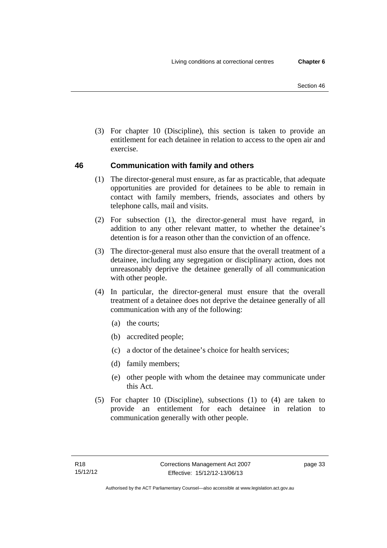(3) For chapter 10 (Discipline), this section is taken to provide an entitlement for each detainee in relation to access to the open air and exercise.

# **46 Communication with family and others**

- (1) The director-general must ensure, as far as practicable, that adequate opportunities are provided for detainees to be able to remain in contact with family members, friends, associates and others by telephone calls, mail and visits.
- (2) For subsection (1), the director-general must have regard, in addition to any other relevant matter, to whether the detainee's detention is for a reason other than the conviction of an offence.
- (3) The director-general must also ensure that the overall treatment of a detainee, including any segregation or disciplinary action, does not unreasonably deprive the detainee generally of all communication with other people.
- (4) In particular, the director-general must ensure that the overall treatment of a detainee does not deprive the detainee generally of all communication with any of the following:
	- (a) the courts;
	- (b) accredited people;
	- (c) a doctor of the detainee's choice for health services;
	- (d) family members;
	- (e) other people with whom the detainee may communicate under this Act.
- (5) For chapter 10 (Discipline), subsections (1) to (4) are taken to provide an entitlement for each detainee in relation to communication generally with other people.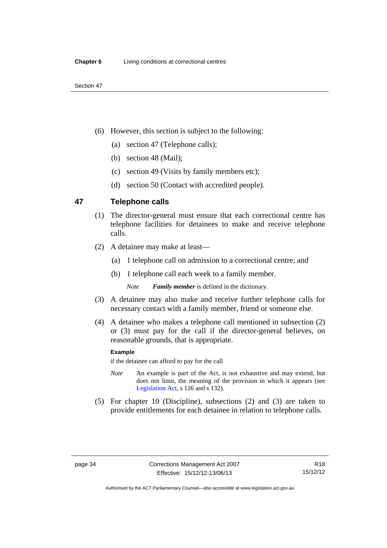- (6) However, this section is subject to the following:
	- (a) section 47 (Telephone calls);
	- (b) section 48 (Mail);
	- (c) section 49 (Visits by family members etc);
	- (d) section 50 (Contact with accredited people).

# **47 Telephone calls**

- (1) The director-general must ensure that each correctional centre has telephone facilities for detainees to make and receive telephone calls.
- (2) A detainee may make at least—
	- (a) 1 telephone call on admission to a correctional centre; and
	- (b) 1 telephone call each week to a family member.

*Note Family member* is defined in the dictionary.

- (3) A detainee may also make and receive further telephone calls for necessary contact with a family member, friend or someone else.
- (4) A detainee who makes a telephone call mentioned in subsection (2) or (3) must pay for the call if the director-general believes, on reasonable grounds, that is appropriate.

#### **Example**

if the detainee can afford to pay for the call

- *Note* An example is part of the Act, is not exhaustive and may extend, but does not limit, the meaning of the provision in which it appears (see [Legislation Act,](http://www.legislation.act.gov.au/a/2001-14) s 126 and s 132).
- (5) For chapter 10 (Discipline), subsections (2) and (3) are taken to provide entitlements for each detainee in relation to telephone calls.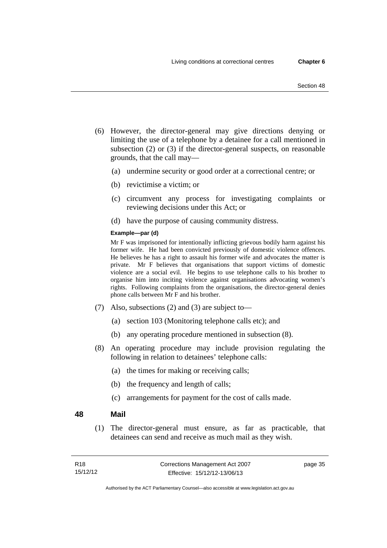- (6) However, the director-general may give directions denying or limiting the use of a telephone by a detainee for a call mentioned in subsection (2) or (3) if the director-general suspects, on reasonable grounds, that the call may—
	- (a) undermine security or good order at a correctional centre; or
	- (b) revictimise a victim; or
	- (c) circumvent any process for investigating complaints or reviewing decisions under this Act; or
	- (d) have the purpose of causing community distress.

## **Example—par (d)**

Mr F was imprisoned for intentionally inflicting grievous bodily harm against his former wife. He had been convicted previously of domestic violence offences. He believes he has a right to assault his former wife and advocates the matter is private. Mr F believes that organisations that support victims of domestic violence are a social evil. He begins to use telephone calls to his brother to organise him into inciting violence against organisations advocating women's rights. Following complaints from the organisations, the director-general denies phone calls between Mr F and his brother.

- (7) Also, subsections (2) and (3) are subject to—
	- (a) section 103 (Monitoring telephone calls etc); and
	- (b) any operating procedure mentioned in subsection (8).
- (8) An operating procedure may include provision regulating the following in relation to detainees' telephone calls:
	- (a) the times for making or receiving calls;
	- (b) the frequency and length of calls;
	- (c) arrangements for payment for the cost of calls made.

## **48 Mail**

 (1) The director-general must ensure, as far as practicable, that detainees can send and receive as much mail as they wish.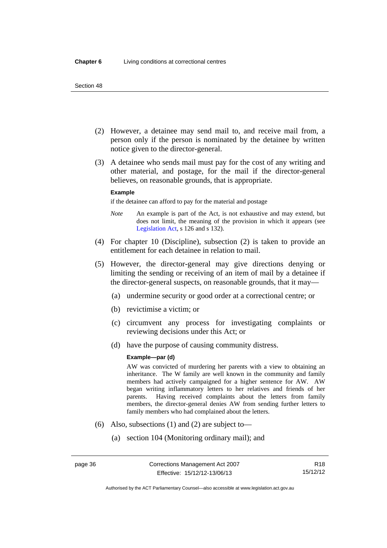- (2) However, a detainee may send mail to, and receive mail from, a person only if the person is nominated by the detainee by written notice given to the director-general.
- (3) A detainee who sends mail must pay for the cost of any writing and other material, and postage, for the mail if the director-general believes, on reasonable grounds, that is appropriate.

#### **Example**

if the detainee can afford to pay for the material and postage

- *Note* An example is part of the Act, is not exhaustive and may extend, but does not limit, the meaning of the provision in which it appears (see [Legislation Act,](http://www.legislation.act.gov.au/a/2001-14) s 126 and s 132).
- (4) For chapter 10 (Discipline), subsection (2) is taken to provide an entitlement for each detainee in relation to mail.
- (5) However, the director-general may give directions denying or limiting the sending or receiving of an item of mail by a detainee if the director-general suspects, on reasonable grounds, that it may—
	- (a) undermine security or good order at a correctional centre; or
	- (b) revictimise a victim; or
	- (c) circumvent any process for investigating complaints or reviewing decisions under this Act; or
	- (d) have the purpose of causing community distress.

#### **Example—par (d)**

AW was convicted of murdering her parents with a view to obtaining an inheritance. The W family are well known in the community and family members had actively campaigned for a higher sentence for AW. AW began writing inflammatory letters to her relatives and friends of her parents. Having received complaints about the letters from family members, the director-general denies AW from sending further letters to family members who had complained about the letters.

- (6) Also, subsections (1) and (2) are subject to—
	- (a) section 104 (Monitoring ordinary mail); and

Authorised by the ACT Parliamentary Counsel—also accessible at www.legislation.act.gov.au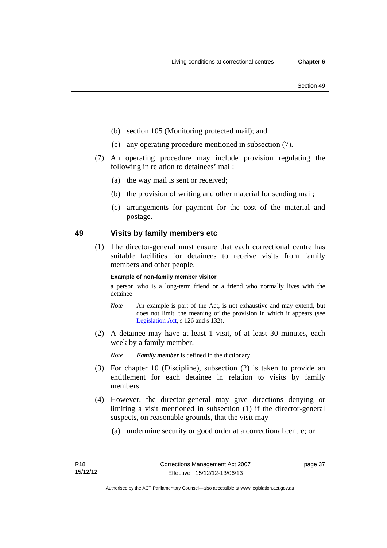- (b) section 105 (Monitoring protected mail); and
- (c) any operating procedure mentioned in subsection (7).
- (7) An operating procedure may include provision regulating the following in relation to detainees' mail:
	- (a) the way mail is sent or received;
	- (b) the provision of writing and other material for sending mail;
	- (c) arrangements for payment for the cost of the material and postage.

# **49 Visits by family members etc**

 (1) The director-general must ensure that each correctional centre has suitable facilities for detainees to receive visits from family members and other people.

## **Example of non-family member visitor**

a person who is a long-term friend or a friend who normally lives with the detainee

- *Note* An example is part of the Act, is not exhaustive and may extend, but does not limit, the meaning of the provision in which it appears (see [Legislation Act,](http://www.legislation.act.gov.au/a/2001-14) s 126 and s 132).
- (2) A detainee may have at least 1 visit, of at least 30 minutes, each week by a family member.

*Note Family member* is defined in the dictionary.

- (3) For chapter 10 (Discipline), subsection (2) is taken to provide an entitlement for each detainee in relation to visits by family members.
- (4) However, the director-general may give directions denying or limiting a visit mentioned in subsection (1) if the director-general suspects, on reasonable grounds, that the visit may—
	- (a) undermine security or good order at a correctional centre; or

page 37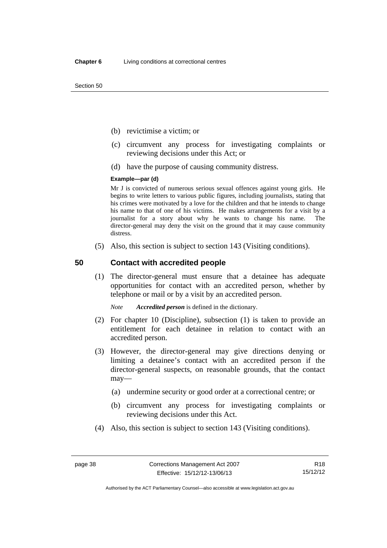Section 50

- (b) revictimise a victim; or
- (c) circumvent any process for investigating complaints or reviewing decisions under this Act; or
- (d) have the purpose of causing community distress.

#### **Example—par (d)**

Mr J is convicted of numerous serious sexual offences against young girls. He begins to write letters to various public figures, including journalists, stating that his crimes were motivated by a love for the children and that he intends to change his name to that of one of his victims. He makes arrangements for a visit by a journalist for a story about why he wants to change his name. The director-general may deny the visit on the ground that it may cause community distress.

(5) Also, this section is subject to section 143 (Visiting conditions).

# **50 Contact with accredited people**

 (1) The director-general must ensure that a detainee has adequate opportunities for contact with an accredited person, whether by telephone or mail or by a visit by an accredited person.

*Note Accredited person* is defined in the dictionary.

- (2) For chapter 10 (Discipline), subsection (1) is taken to provide an entitlement for each detainee in relation to contact with an accredited person.
- (3) However, the director-general may give directions denying or limiting a detainee's contact with an accredited person if the director-general suspects, on reasonable grounds, that the contact may—
	- (a) undermine security or good order at a correctional centre; or
	- (b) circumvent any process for investigating complaints or reviewing decisions under this Act.
- (4) Also, this section is subject to section 143 (Visiting conditions).

R18 15/12/12

Authorised by the ACT Parliamentary Counsel—also accessible at www.legislation.act.gov.au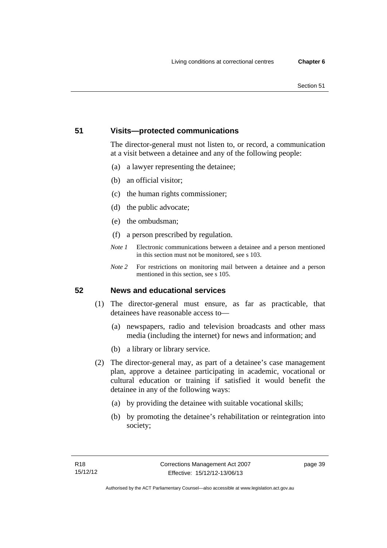#### Section 51

# **51 Visits—protected communications**

The director-general must not listen to, or record, a communication at a visit between a detainee and any of the following people:

- (a) a lawyer representing the detainee;
- (b) an official visitor;
- (c) the human rights commissioner;
- (d) the public advocate;
- (e) the ombudsman;
- (f) a person prescribed by regulation.
- *Note 1* Electronic communications between a detainee and a person mentioned in this section must not be monitored, see s 103.
- *Note 2* For restrictions on monitoring mail between a detainee and a person mentioned in this section, see s 105.

# **52 News and educational services**

- (1) The director-general must ensure, as far as practicable, that detainees have reasonable access to—
	- (a) newspapers, radio and television broadcasts and other mass media (including the internet) for news and information; and
	- (b) a library or library service.
- (2) The director-general may, as part of a detainee's case management plan, approve a detainee participating in academic, vocational or cultural education or training if satisfied it would benefit the detainee in any of the following ways:
	- (a) by providing the detainee with suitable vocational skills;
	- (b) by promoting the detainee's rehabilitation or reintegration into society;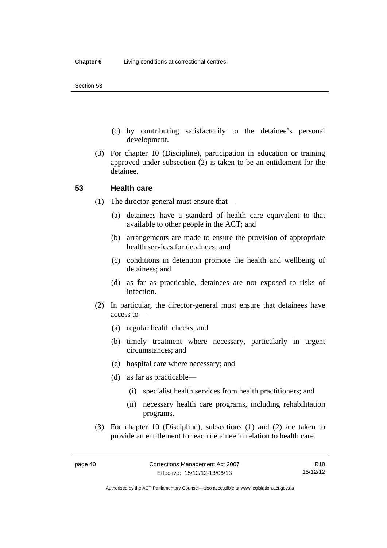- (c) by contributing satisfactorily to the detainee's personal development.
- (3) For chapter 10 (Discipline), participation in education or training approved under subsection (2) is taken to be an entitlement for the detainee.

## **53 Health care**

- (1) The director-general must ensure that—
	- (a) detainees have a standard of health care equivalent to that available to other people in the ACT; and
	- (b) arrangements are made to ensure the provision of appropriate health services for detainees; and
	- (c) conditions in detention promote the health and wellbeing of detainees; and
	- (d) as far as practicable, detainees are not exposed to risks of infection.
- (2) In particular, the director-general must ensure that detainees have access to—
	- (a) regular health checks; and
	- (b) timely treatment where necessary, particularly in urgent circumstances; and
	- (c) hospital care where necessary; and
	- (d) as far as practicable—
		- (i) specialist health services from health practitioners; and
		- (ii) necessary health care programs, including rehabilitation programs.
- (3) For chapter 10 (Discipline), subsections (1) and (2) are taken to provide an entitlement for each detainee in relation to health care.

R18 15/12/12

Authorised by the ACT Parliamentary Counsel—also accessible at www.legislation.act.gov.au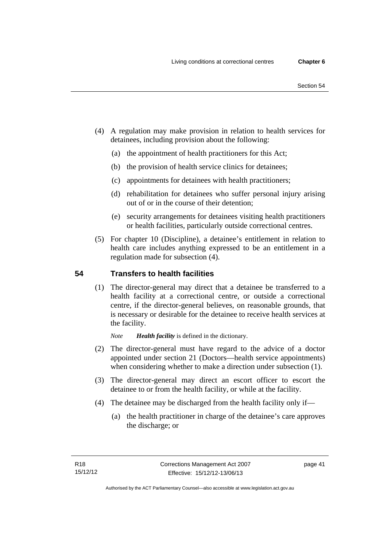- (4) A regulation may make provision in relation to health services for detainees, including provision about the following:
	- (a) the appointment of health practitioners for this Act;
	- (b) the provision of health service clinics for detainees;
	- (c) appointments for detainees with health practitioners;
	- (d) rehabilitation for detainees who suffer personal injury arising out of or in the course of their detention;
	- (e) security arrangements for detainees visiting health practitioners or health facilities, particularly outside correctional centres.
- (5) For chapter 10 (Discipline), a detainee's entitlement in relation to health care includes anything expressed to be an entitlement in a regulation made for subsection (4).

# **54 Transfers to health facilities**

 (1) The director-general may direct that a detainee be transferred to a health facility at a correctional centre, or outside a correctional centre, if the director-general believes, on reasonable grounds, that is necessary or desirable for the detainee to receive health services at the facility.

*Note Health facility* is defined in the dictionary.

- (2) The director-general must have regard to the advice of a doctor appointed under section 21 (Doctors—health service appointments) when considering whether to make a direction under subsection  $(1)$ .
- (3) The director-general may direct an escort officer to escort the detainee to or from the health facility, or while at the facility.
- (4) The detainee may be discharged from the health facility only if—
	- (a) the health practitioner in charge of the detainee's care approves the discharge; or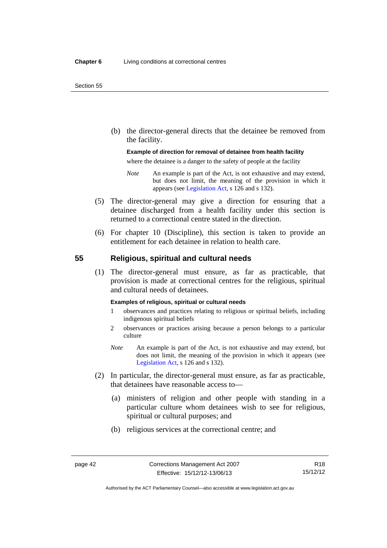(b) the director-general directs that the detainee be removed from the facility.

#### **Example of direction for removal of detainee from health facility**

where the detainee is a danger to the safety of people at the facility

- *Note* An example is part of the Act, is not exhaustive and may extend, but does not limit, the meaning of the provision in which it appears (see [Legislation Act,](http://www.legislation.act.gov.au/a/2001-14) s 126 and s 132).
- (5) The director-general may give a direction for ensuring that a detainee discharged from a health facility under this section is returned to a correctional centre stated in the direction.
- (6) For chapter 10 (Discipline), this section is taken to provide an entitlement for each detainee in relation to health care.

## **55 Religious, spiritual and cultural needs**

 (1) The director-general must ensure, as far as practicable, that provision is made at correctional centres for the religious, spiritual and cultural needs of detainees.

#### **Examples of religious, spiritual or cultural needs**

- 1 observances and practices relating to religious or spiritual beliefs, including indigenous spiritual beliefs
- 2 observances or practices arising because a person belongs to a particular culture
- *Note* An example is part of the Act, is not exhaustive and may extend, but does not limit, the meaning of the provision in which it appears (see [Legislation Act,](http://www.legislation.act.gov.au/a/2001-14) s 126 and s 132).
- (2) In particular, the director-general must ensure, as far as practicable, that detainees have reasonable access to—
	- (a) ministers of religion and other people with standing in a particular culture whom detainees wish to see for religious, spiritual or cultural purposes; and
	- (b) religious services at the correctional centre; and

R18 15/12/12

Authorised by the ACT Parliamentary Counsel—also accessible at www.legislation.act.gov.au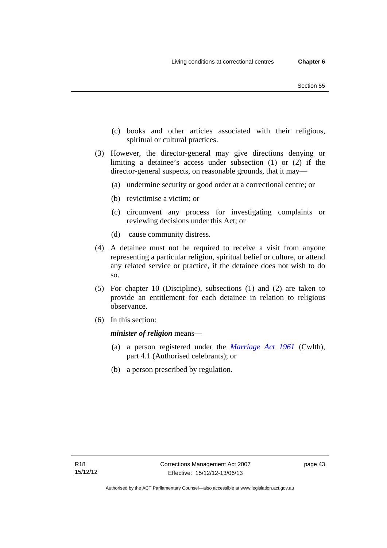- (c) books and other articles associated with their religious, spiritual or cultural practices.
- (3) However, the director-general may give directions denying or limiting a detainee's access under subsection (1) or (2) if the director-general suspects, on reasonable grounds, that it may—
	- (a) undermine security or good order at a correctional centre; or
	- (b) revictimise a victim; or
	- (c) circumvent any process for investigating complaints or reviewing decisions under this Act; or
	- (d) cause community distress.
- (4) A detainee must not be required to receive a visit from anyone representing a particular religion, spiritual belief or culture, or attend any related service or practice, if the detainee does not wish to do so.
- (5) For chapter 10 (Discipline), subsections (1) and (2) are taken to provide an entitlement for each detainee in relation to religious observance.
- (6) In this section:

*minister of religion* means—

- (a) a person registered under the *[Marriage Act 1961](http://www.comlaw.gov.au/Series/C2004A07402)* (Cwlth), part 4.1 (Authorised celebrants); or
- (b) a person prescribed by regulation.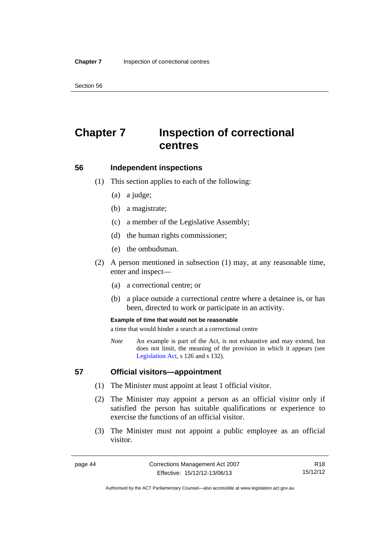Section 56

# **Chapter 7 Inspection of correctional centres**

## **56 Independent inspections**

- (1) This section applies to each of the following:
	- (a) a judge;
	- (b) a magistrate;
	- (c) a member of the Legislative Assembly;
	- (d) the human rights commissioner;
	- (e) the ombudsman.
- (2) A person mentioned in subsection (1) may, at any reasonable time, enter and inspect—
	- (a) a correctional centre; or
	- (b) a place outside a correctional centre where a detainee is, or has been, directed to work or participate in an activity.

#### **Example of time that would not be reasonable**

a time that would hinder a search at a correctional centre

*Note* An example is part of the Act, is not exhaustive and may extend, but does not limit, the meaning of the provision in which it appears (see [Legislation Act,](http://www.legislation.act.gov.au/a/2001-14) s 126 and s 132).

# **57 Official visitors—appointment**

- (1) The Minister must appoint at least 1 official visitor.
- (2) The Minister may appoint a person as an official visitor only if satisfied the person has suitable qualifications or experience to exercise the functions of an official visitor.
- (3) The Minister must not appoint a public employee as an official visitor.

R18 15/12/12

Authorised by the ACT Parliamentary Counsel—also accessible at www.legislation.act.gov.au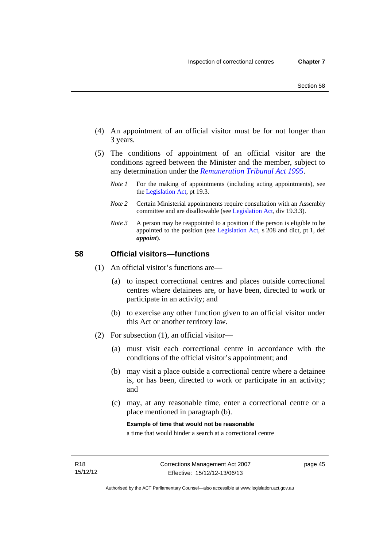- (4) An appointment of an official visitor must be for not longer than 3 years.
- (5) The conditions of appointment of an official visitor are the conditions agreed between the Minister and the member, subject to any determination under the *[Remuneration Tribunal Act 1995](http://www.legislation.act.gov.au/a/1995-55)*.
	- *Note 1* For the making of appointments (including acting appointments), see the [Legislation Act,](http://www.legislation.act.gov.au/a/2001-14) pt 19.3.
	- *Note 2* Certain Ministerial appointments require consultation with an Assembly committee and are disallowable (see [Legislation Act](http://www.legislation.act.gov.au/a/2001-14), div 19.3.3).
	- *Note 3* A person may be reappointed to a position if the person is eligible to be appointed to the position (see [Legislation Act](http://www.legislation.act.gov.au/a/2001-14), s 208 and dict, pt 1, def *appoint*).

# **58 Official visitors—functions**

- (1) An official visitor's functions are—
	- (a) to inspect correctional centres and places outside correctional centres where detainees are, or have been, directed to work or participate in an activity; and
	- (b) to exercise any other function given to an official visitor under this Act or another territory law.
- (2) For subsection (1), an official visitor—
	- (a) must visit each correctional centre in accordance with the conditions of the official visitor's appointment; and
	- (b) may visit a place outside a correctional centre where a detainee is, or has been, directed to work or participate in an activity; and
	- (c) may, at any reasonable time, enter a correctional centre or a place mentioned in paragraph (b).

**Example of time that would not be reasonable** 

a time that would hinder a search at a correctional centre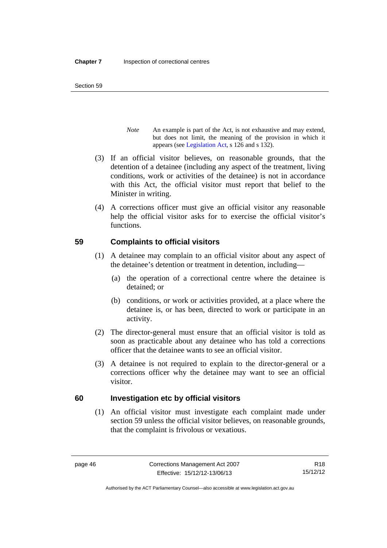Section 59

- *Note* An example is part of the Act, is not exhaustive and may extend, but does not limit, the meaning of the provision in which it appears (see [Legislation Act,](http://www.legislation.act.gov.au/a/2001-14) s 126 and s 132).
- (3) If an official visitor believes, on reasonable grounds, that the detention of a detainee (including any aspect of the treatment, living conditions, work or activities of the detainee) is not in accordance with this Act, the official visitor must report that belief to the Minister in writing.
- (4) A corrections officer must give an official visitor any reasonable help the official visitor asks for to exercise the official visitor's functions.

# **59 Complaints to official visitors**

- (1) A detainee may complain to an official visitor about any aspect of the detainee's detention or treatment in detention, including—
	- (a) the operation of a correctional centre where the detainee is detained; or
	- (b) conditions, or work or activities provided, at a place where the detainee is, or has been, directed to work or participate in an activity.
- (2) The director-general must ensure that an official visitor is told as soon as practicable about any detainee who has told a corrections officer that the detainee wants to see an official visitor.
- (3) A detainee is not required to explain to the director-general or a corrections officer why the detainee may want to see an official visitor.

# **60 Investigation etc by official visitors**

 (1) An official visitor must investigate each complaint made under section 59 unless the official visitor believes, on reasonable grounds, that the complaint is frivolous or vexatious.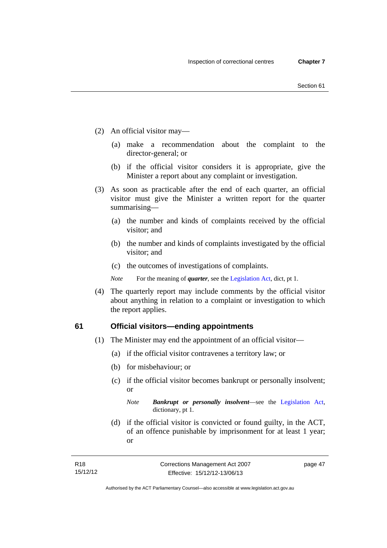- (2) An official visitor may—
	- (a) make a recommendation about the complaint to the director-general; or
	- (b) if the official visitor considers it is appropriate, give the Minister a report about any complaint or investigation.
- (3) As soon as practicable after the end of each quarter, an official visitor must give the Minister a written report for the quarter summarising—
	- (a) the number and kinds of complaints received by the official visitor; and
	- (b) the number and kinds of complaints investigated by the official visitor; and
	- (c) the outcomes of investigations of complaints.
	- *Note* For the meaning of *quarter*, see the [Legislation Act](http://www.legislation.act.gov.au/a/2001-14), dict, pt 1.
- (4) The quarterly report may include comments by the official visitor about anything in relation to a complaint or investigation to which the report applies.

## **61 Official visitors—ending appointments**

- (1) The Minister may end the appointment of an official visitor—
	- (a) if the official visitor contravenes a territory law; or
	- (b) for misbehaviour; or
	- (c) if the official visitor becomes bankrupt or personally insolvent; or

*Note Bankrupt or personally insolvent*—see the [Legislation Act,](http://www.legislation.act.gov.au/a/2001-14) dictionary, pt 1.

 (d) if the official visitor is convicted or found guilty, in the ACT, of an offence punishable by imprisonment for at least 1 year; or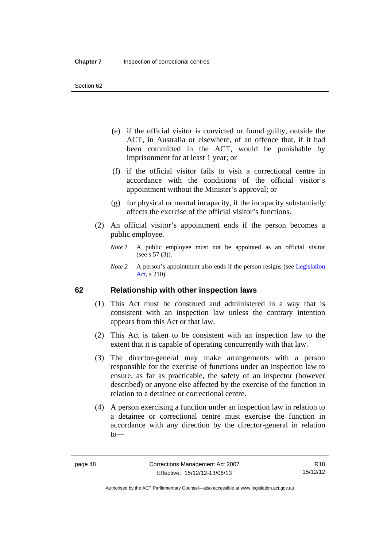- (e) if the official visitor is convicted or found guilty, outside the ACT, in Australia or elsewhere, of an offence that, if it had been committed in the ACT, would be punishable by imprisonment for at least 1 year; or
- (f) if the official visitor fails to visit a correctional centre in accordance with the conditions of the official visitor's appointment without the Minister's approval; or
- (g) for physical or mental incapacity, if the incapacity substantially affects the exercise of the official visitor's functions.
- (2) An official visitor's appointment ends if the person becomes a public employee.
	- *Note 1* A public employee must not be appointed as an official visitor (see s 57 (3)).
	- *Note 2* A person's appointment also ends if the person resigns (see Legislation [Act,](http://www.legislation.act.gov.au/a/2001-14) s 210).

# **62 Relationship with other inspection laws**

- (1) This Act must be construed and administered in a way that is consistent with an inspection law unless the contrary intention appears from this Act or that law.
- (2) This Act is taken to be consistent with an inspection law to the extent that it is capable of operating concurrently with that law.
- (3) The director-general may make arrangements with a person responsible for the exercise of functions under an inspection law to ensure, as far as practicable, the safety of an inspector (however described) or anyone else affected by the exercise of the function in relation to a detainee or correctional centre.
- (4) A person exercising a function under an inspection law in relation to a detainee or correctional centre must exercise the function in accordance with any direction by the director-general in relation to—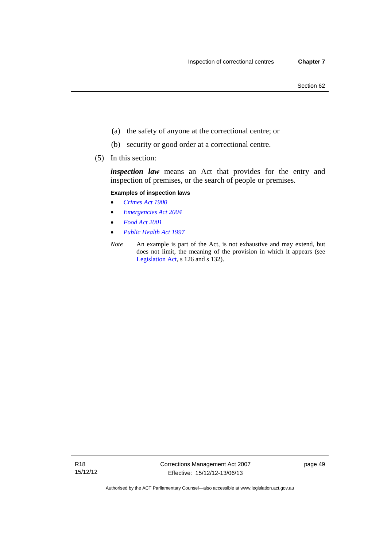- (a) the safety of anyone at the correctional centre; or
- (b) security or good order at a correctional centre.
- (5) In this section:

*inspection law* means an Act that provides for the entry and inspection of premises, or the search of people or premises.

#### **Examples of inspection laws**

- *[Crimes Act 1900](http://www.legislation.act.gov.au/a/1900-40)*
- *[Emergencies Act 2004](http://www.legislation.act.gov.au/a/2004-28)*
- *[Food Act 2001](http://www.legislation.act.gov.au/a/2001-66)*
- *[Public Health Act 1997](http://www.legislation.act.gov.au/a/1997-69)*
- *Note* An example is part of the Act, is not exhaustive and may extend, but does not limit, the meaning of the provision in which it appears (see [Legislation Act,](http://www.legislation.act.gov.au/a/2001-14) s 126 and s 132).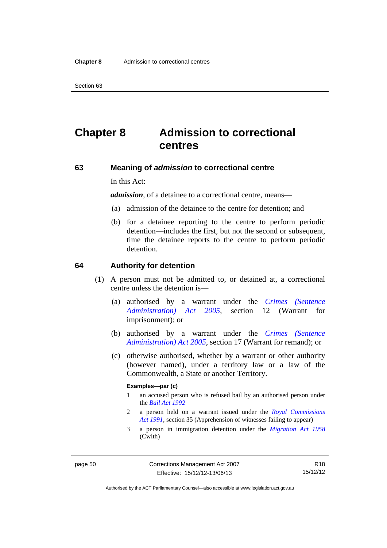Section 63

# **Chapter 8 Admission to correctional centres**

# **63 Meaning of** *admission* **to correctional centre**

In this Act:

*admission,* of a detainee to a correctional centre, means—

- (a) admission of the detainee to the centre for detention; and
- (b) for a detainee reporting to the centre to perform periodic detention—includes the first, but not the second or subsequent, time the detainee reports to the centre to perform periodic detention.

#### **64 Authority for detention**

- (1) A person must not be admitted to, or detained at, a correctional centre unless the detention is—
	- (a) authorised by a warrant under the *[Crimes \(Sentence](http://www.legislation.act.gov.au/a/2005-59)  [Administration\) Act 2005](http://www.legislation.act.gov.au/a/2005-59)*, section 12 (Warrant for imprisonment); or
	- (b) authorised by a warrant under the *[Crimes \(Sentence](http://www.legislation.act.gov.au/a/2005-59)  [Administration\) Act 2005](http://www.legislation.act.gov.au/a/2005-59)*, section 17 (Warrant for remand); or
	- (c) otherwise authorised, whether by a warrant or other authority (however named), under a territory law or a law of the Commonwealth, a State or another Territory.

#### **Examples—par (c)**

- 1 an accused person who is refused bail by an authorised person under the *[Bail Act 1992](http://www.legislation.act.gov.au/a/1992-8)*
- 2 a person held on a warrant issued under the *[Royal Commissions](http://www.legislation.act.gov.au/a/1991-1)  [Act 1991](http://www.legislation.act.gov.au/a/1991-1)*, section 35 (Apprehension of witnesses failing to appear)
- 3 a person in immigration detention under the *[Migration Act 1958](http://www.comlaw.gov.au/Series/C2004A07412)* (Cwlth)

R18 15/12/12

Authorised by the ACT Parliamentary Counsel—also accessible at www.legislation.act.gov.au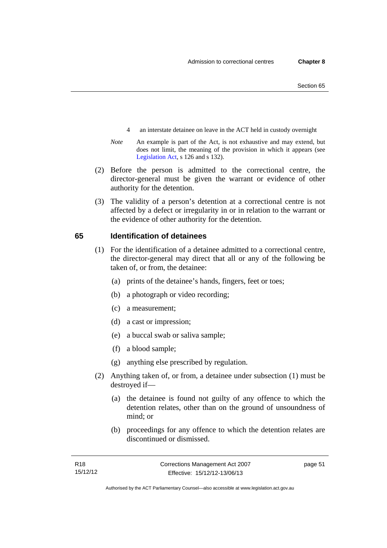- 4 an interstate detainee on leave in the ACT held in custody overnight
- *Note* An example is part of the Act, is not exhaustive and may extend, but does not limit, the meaning of the provision in which it appears (see [Legislation Act,](http://www.legislation.act.gov.au/a/2001-14) s 126 and s 132).
- (2) Before the person is admitted to the correctional centre, the director-general must be given the warrant or evidence of other authority for the detention.
- (3) The validity of a person's detention at a correctional centre is not affected by a defect or irregularity in or in relation to the warrant or the evidence of other authority for the detention.

# **65 Identification of detainees**

- (1) For the identification of a detainee admitted to a correctional centre, the director-general may direct that all or any of the following be taken of, or from, the detainee:
	- (a) prints of the detainee's hands, fingers, feet or toes;
	- (b) a photograph or video recording;
	- (c) a measurement;
	- (d) a cast or impression;
	- (e) a buccal swab or saliva sample;
	- (f) a blood sample;
	- (g) anything else prescribed by regulation.
- (2) Anything taken of, or from, a detainee under subsection (1) must be destroyed if—
	- (a) the detainee is found not guilty of any offence to which the detention relates, other than on the ground of unsoundness of mind; or
	- (b) proceedings for any offence to which the detention relates are discontinued or dismissed.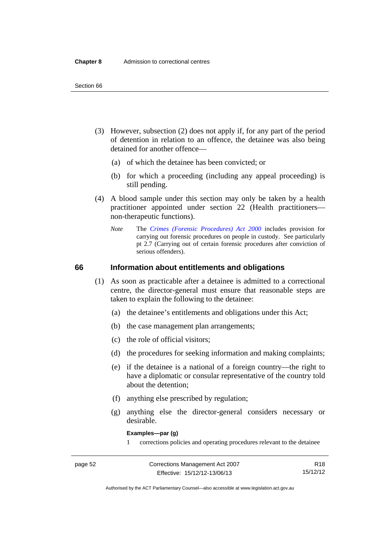- (3) However, subsection (2) does not apply if, for any part of the period of detention in relation to an offence, the detainee was also being detained for another offence—
	- (a) of which the detainee has been convicted; or
	- (b) for which a proceeding (including any appeal proceeding) is still pending.
- (4) A blood sample under this section may only be taken by a health practitioner appointed under section 22 (Health practitioners non-therapeutic functions).
	- *Note* The *[Crimes \(Forensic Procedures\) Act 2000](http://www.legislation.act.gov.au/a/2000-61)* includes provision for carrying out forensic procedures on people in custody. See particularly pt 2.7 (Carrying out of certain forensic procedures after conviction of serious offenders).

# **66 Information about entitlements and obligations**

- (1) As soon as practicable after a detainee is admitted to a correctional centre, the director-general must ensure that reasonable steps are taken to explain the following to the detainee:
	- (a) the detainee's entitlements and obligations under this Act;
	- (b) the case management plan arrangements;
	- (c) the role of official visitors;
	- (d) the procedures for seeking information and making complaints;
	- (e) if the detainee is a national of a foreign country—the right to have a diplomatic or consular representative of the country told about the detention;
	- (f) anything else prescribed by regulation;
	- (g) anything else the director-general considers necessary or desirable.

**Examples—par (g)** 

1 corrections policies and operating procedures relevant to the detainee

| page 52 | Corrections Management Act 2007 | R <sub>18</sub> |
|---------|---------------------------------|-----------------|
|         | Effective: 15/12/12-13/06/13    | 15/12/12        |

Authorised by the ACT Parliamentary Counsel—also accessible at www.legislation.act.gov.au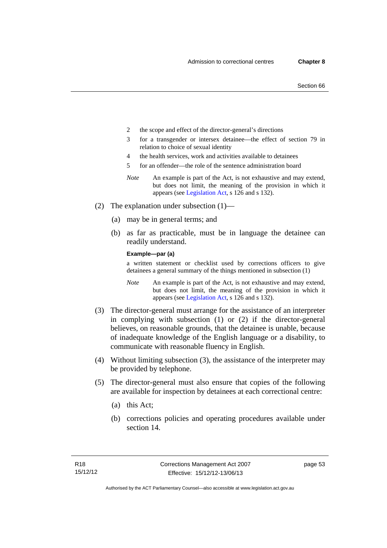- 2 the scope and effect of the director-general's directions
- 3 for a transgender or intersex detainee—the effect of section 79 in relation to choice of sexual identity
- 4 the health services, work and activities available to detainees
- 5 for an offender—the role of the sentence administration board
- *Note* An example is part of the Act, is not exhaustive and may extend, but does not limit, the meaning of the provision in which it appears (see [Legislation Act,](http://www.legislation.act.gov.au/a/2001-14) s 126 and s 132).
- (2) The explanation under subsection (1)—
	- (a) may be in general terms; and
	- (b) as far as practicable, must be in language the detainee can readily understand.

**Example—par (a)** 

a written statement or checklist used by corrections officers to give detainees a general summary of the things mentioned in subsection (1)

- *Note* An example is part of the Act, is not exhaustive and may extend, but does not limit, the meaning of the provision in which it appears (see [Legislation Act,](http://www.legislation.act.gov.au/a/2001-14) s 126 and s 132).
- (3) The director-general must arrange for the assistance of an interpreter in complying with subsection (1) or (2) if the director-general believes, on reasonable grounds, that the detainee is unable, because of inadequate knowledge of the English language or a disability, to communicate with reasonable fluency in English.
- (4) Without limiting subsection (3), the assistance of the interpreter may be provided by telephone.
- (5) The director-general must also ensure that copies of the following are available for inspection by detainees at each correctional centre:
	- (a) this Act;
	- (b) corrections policies and operating procedures available under section 14.

page 53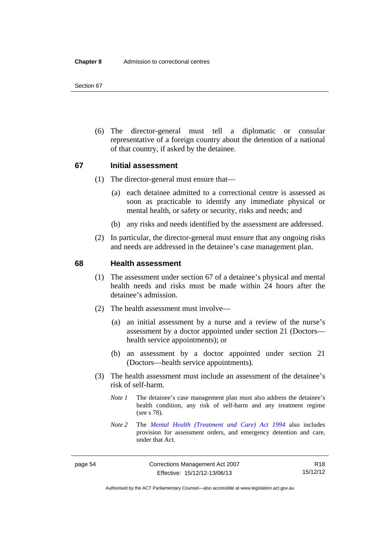(6) The director-general must tell a diplomatic or consular representative of a foreign country about the detention of a national of that country, if asked by the detainee.

# **67 Initial assessment**

- (1) The director-general must ensure that—
	- (a) each detainee admitted to a correctional centre is assessed as soon as practicable to identify any immediate physical or mental health, or safety or security, risks and needs; and
	- (b) any risks and needs identified by the assessment are addressed.
- (2) In particular, the director-general must ensure that any ongoing risks and needs are addressed in the detainee's case management plan.

## **68 Health assessment**

- (1) The assessment under section 67 of a detainee's physical and mental health needs and risks must be made within 24 hours after the detainee's admission.
- (2) The health assessment must involve—
	- (a) an initial assessment by a nurse and a review of the nurse's assessment by a doctor appointed under section 21 (Doctors health service appointments); or
	- (b) an assessment by a doctor appointed under section 21 (Doctors—health service appointments).
- (3) The health assessment must include an assessment of the detainee's risk of self-harm.
	- *Note 1* The detainee's case management plan must also address the detainee's health condition, any risk of self-harm and any treatment regime (see s 78).
	- *Note 2* The *[Mental Health \(Treatment and Care\) Act 1994](http://www.legislation.act.gov.au/a/1994-44)* also includes provision for assessment orders, and emergency detention and care, under that Act.

R18 15/12/12

Authorised by the ACT Parliamentary Counsel—also accessible at www.legislation.act.gov.au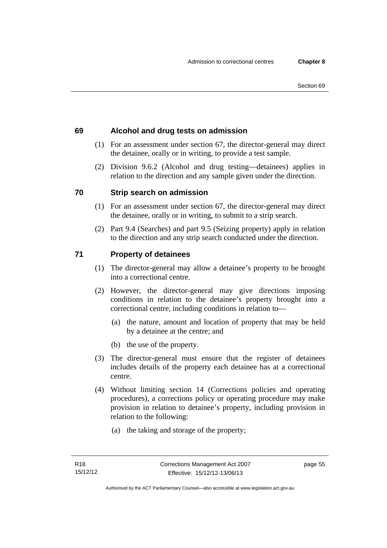# **69 Alcohol and drug tests on admission**

- (1) For an assessment under section 67, the director-general may direct the detainee, orally or in writing, to provide a test sample.
- (2) Division 9.6.2 (Alcohol and drug testing—detainees) applies in relation to the direction and any sample given under the direction.

# **70 Strip search on admission**

- (1) For an assessment under section 67, the director-general may direct the detainee, orally or in writing, to submit to a strip search.
- (2) Part 9.4 (Searches) and part 9.5 (Seizing property) apply in relation to the direction and any strip search conducted under the direction.

# **71 Property of detainees**

- (1) The director-general may allow a detainee's property to be brought into a correctional centre.
- (2) However, the director-general may give directions imposing conditions in relation to the detainee's property brought into a correctional centre, including conditions in relation to—
	- (a) the nature, amount and location of property that may be held by a detainee at the centre; and
	- (b) the use of the property.
- (3) The director-general must ensure that the register of detainees includes details of the property each detainee has at a correctional centre.
- (4) Without limiting section 14 (Corrections policies and operating procedures), a corrections policy or operating procedure may make provision in relation to detainee's property, including provision in relation to the following:
	- (a) the taking and storage of the property;

page 55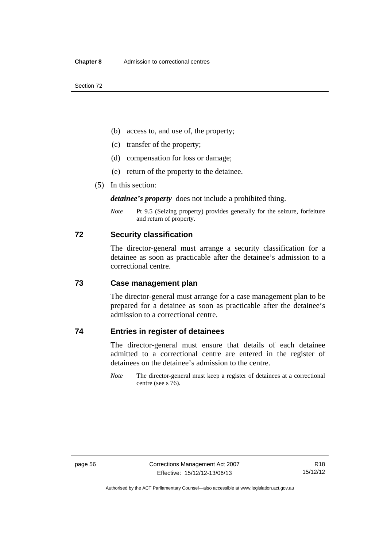Section 72

- (b) access to, and use of, the property;
- (c) transfer of the property;
- (d) compensation for loss or damage;
- (e) return of the property to the detainee.
- (5) In this section:

*detainee's property* does not include a prohibited thing.

*Note* Pt 9.5 (Seizing property) provides generally for the seizure, forfeiture and return of property.

## **72 Security classification**

The director-general must arrange a security classification for a detainee as soon as practicable after the detainee's admission to a correctional centre.

# **73 Case management plan**

The director-general must arrange for a case management plan to be prepared for a detainee as soon as practicable after the detainee's admission to a correctional centre.

# **74 Entries in register of detainees**

The director-general must ensure that details of each detainee admitted to a correctional centre are entered in the register of detainees on the detainee's admission to the centre.

*Note* The director-general must keep a register of detainees at a correctional centre (see s 76).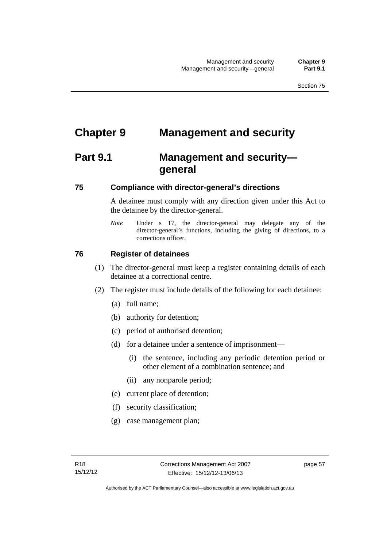# **Chapter 9 Management and security**

# **Part 9.1 Management and security general**

# **75 Compliance with director-general's directions**

A detainee must comply with any direction given under this Act to the detainee by the director-general.

*Note* Under s 17, the director-general may delegate any of the director-general's functions, including the giving of directions, to a corrections officer.

# **76 Register of detainees**

- (1) The director-general must keep a register containing details of each detainee at a correctional centre.
- (2) The register must include details of the following for each detainee:
	- (a) full name;
	- (b) authority for detention;
	- (c) period of authorised detention;
	- (d) for a detainee under a sentence of imprisonment—
		- (i) the sentence, including any periodic detention period or other element of a combination sentence; and
		- (ii) any nonparole period;
	- (e) current place of detention;
	- (f) security classification;
	- (g) case management plan;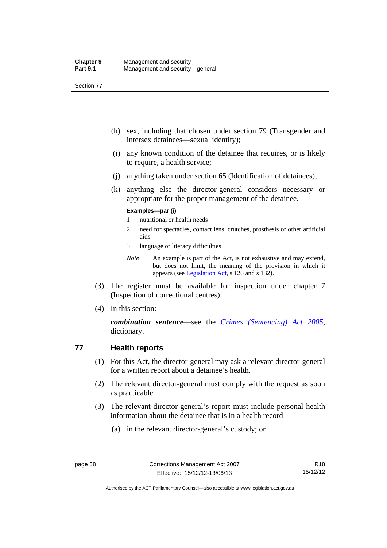- (h) sex, including that chosen under section 79 (Transgender and intersex detainees—sexual identity);
- (i) any known condition of the detainee that requires, or is likely to require, a health service;
- (j) anything taken under section 65 (Identification of detainees);
- (k) anything else the director-general considers necessary or appropriate for the proper management of the detainee.

#### **Examples—par (i)**

- 1 nutritional or health needs
- 2 need for spectacles, contact lens, crutches, prosthesis or other artificial aids
- 3 language or literacy difficulties
- *Note* An example is part of the Act, is not exhaustive and may extend, but does not limit, the meaning of the provision in which it appears (see [Legislation Act,](http://www.legislation.act.gov.au/a/2001-14) s 126 and s 132).
- (3) The register must be available for inspection under chapter 7 (Inspection of correctional centres).
- (4) In this section:

*combination sentence*—see the *[Crimes \(Sentencing\) Act 2005](http://www.legislation.act.gov.au/a/2005-58)*, dictionary.

# **77 Health reports**

- (1) For this Act, the director-general may ask a relevant director-general for a written report about a detainee's health.
- (2) The relevant director-general must comply with the request as soon as practicable.
- (3) The relevant director-general's report must include personal health information about the detainee that is in a health record—
	- (a) in the relevant director-general's custody; or

Authorised by the ACT Parliamentary Counsel—also accessible at www.legislation.act.gov.au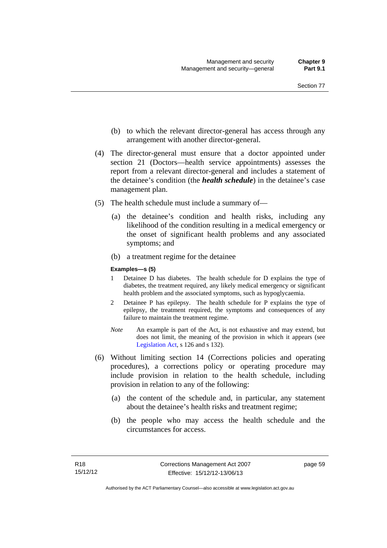- (b) to which the relevant director-general has access through any arrangement with another director-general.
- (4) The director-general must ensure that a doctor appointed under section 21 (Doctors—health service appointments) assesses the report from a relevant director-general and includes a statement of the detainee's condition (the *health schedule*) in the detainee's case management plan.
- (5) The health schedule must include a summary of—
	- (a) the detainee's condition and health risks, including any likelihood of the condition resulting in a medical emergency or the onset of significant health problems and any associated symptoms; and
	- (b) a treatment regime for the detainee

#### **Examples—s (5)**

- 1 Detainee D has diabetes. The health schedule for D explains the type of diabetes, the treatment required, any likely medical emergency or significant health problem and the associated symptoms, such as hypoglycaemia.
- 2 Detainee P has epilepsy. The health schedule for P explains the type of epilepsy, the treatment required, the symptoms and consequences of any failure to maintain the treatment regime.
- *Note* An example is part of the Act, is not exhaustive and may extend, but does not limit, the meaning of the provision in which it appears (see [Legislation Act,](http://www.legislation.act.gov.au/a/2001-14) s 126 and s 132).
- (6) Without limiting section 14 (Corrections policies and operating procedures), a corrections policy or operating procedure may include provision in relation to the health schedule, including provision in relation to any of the following:
	- (a) the content of the schedule and, in particular, any statement about the detainee's health risks and treatment regime;
	- (b) the people who may access the health schedule and the circumstances for access.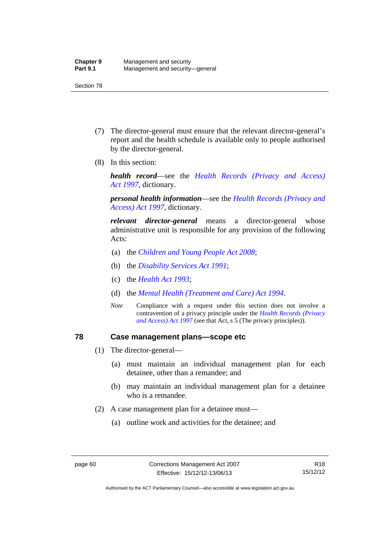- (7) The director-general must ensure that the relevant director-general's report and the health schedule is available only to people authorised by the director-general.
- (8) In this section:

*health record*—see the *[Health Records \(Privacy and Access\)](http://www.legislation.act.gov.au/a/1997-125)  [Act 1997](http://www.legislation.act.gov.au/a/1997-125)*, dictionary.

*personal health information*—see the *[Health Records \(Privacy and](http://www.legislation.act.gov.au/a/1997-125)  [Access\) Act 1997](http://www.legislation.act.gov.au/a/1997-125)*, dictionary.

*relevant director-general* means a director-general whose administrative unit is responsible for any provision of the following Acts:

- (a) the *[Children and Young People Act 2008](http://www.legislation.act.gov.au/a/2008-19)*;
- (b) the *[Disability Services Act 1991](http://www.legislation.act.gov.au/a/1991-98)*;
- (c) the *[Health Act 1993](http://www.legislation.act.gov.au/a/1993-13)*;
- (d) the *[Mental Health \(Treatment and Care\) Act 1994](http://www.legislation.act.gov.au/a/1994-44)*.
- *Note* Compliance with a request under this section does not involve a contravention of a privacy principle under the *[Health Records \(Privacy](http://www.legislation.act.gov.au/a/1997-125)  [and Access\) Act 1997](http://www.legislation.act.gov.au/a/1997-125)* (see that Act, s 5 (The privacy principles))*.*

#### **78 Case management plans—scope etc**

- (1) The director-general—
	- (a) must maintain an individual management plan for each detainee, other than a remandee; and
	- (b) may maintain an individual management plan for a detainee who is a remandee.
- (2) A case management plan for a detainee must—
	- (a) outline work and activities for the detainee; and

Authorised by the ACT Parliamentary Counsel—also accessible at www.legislation.act.gov.au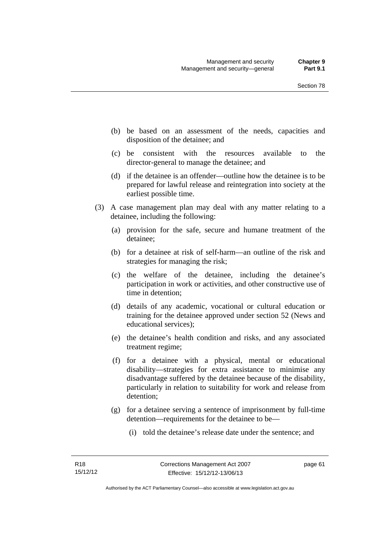- (b) be based on an assessment of the needs, capacities and disposition of the detainee; and
- (c) be consistent with the resources available to the director-general to manage the detainee; and
- (d) if the detainee is an offender—outline how the detainee is to be prepared for lawful release and reintegration into society at the earliest possible time.
- (3) A case management plan may deal with any matter relating to a detainee, including the following:
	- (a) provision for the safe, secure and humane treatment of the detainee;
	- (b) for a detainee at risk of self-harm—an outline of the risk and strategies for managing the risk;
	- (c) the welfare of the detainee, including the detainee's participation in work or activities, and other constructive use of time in detention;
	- (d) details of any academic, vocational or cultural education or training for the detainee approved under section 52 (News and educational services);
	- (e) the detainee's health condition and risks, and any associated treatment regime;
	- (f) for a detainee with a physical, mental or educational disability—strategies for extra assistance to minimise any disadvantage suffered by the detainee because of the disability, particularly in relation to suitability for work and release from detention;
	- (g) for a detainee serving a sentence of imprisonment by full-time detention—requirements for the detainee to be—
		- (i) told the detainee's release date under the sentence; and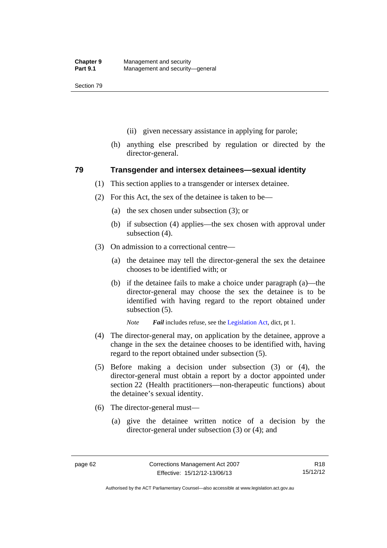- (ii) given necessary assistance in applying for parole;
- (h) anything else prescribed by regulation or directed by the director-general.

#### **79 Transgender and intersex detainees—sexual identity**

- (1) This section applies to a transgender or intersex detainee.
- (2) For this Act, the sex of the detainee is taken to be—
	- (a) the sex chosen under subsection (3); or
	- (b) if subsection (4) applies—the sex chosen with approval under subsection (4).
- (3) On admission to a correctional centre—
	- (a) the detainee may tell the director-general the sex the detainee chooses to be identified with; or
	- (b) if the detainee fails to make a choice under paragraph (a)—the director-general may choose the sex the detainee is to be identified with having regard to the report obtained under subsection (5).

*Note Fail* includes refuse, see the [Legislation Act,](http://www.legislation.act.gov.au/a/2001-14) dict, pt 1.

- (4) The director-general may, on application by the detainee, approve a change in the sex the detainee chooses to be identified with, having regard to the report obtained under subsection (5).
- (5) Before making a decision under subsection (3) or (4), the director-general must obtain a report by a doctor appointed under section 22 (Health practitioners—non-therapeutic functions) about the detainee's sexual identity.
- (6) The director-general must—
	- (a) give the detainee written notice of a decision by the director-general under subsection (3) or (4); and

Authorised by the ACT Parliamentary Counsel—also accessible at www.legislation.act.gov.au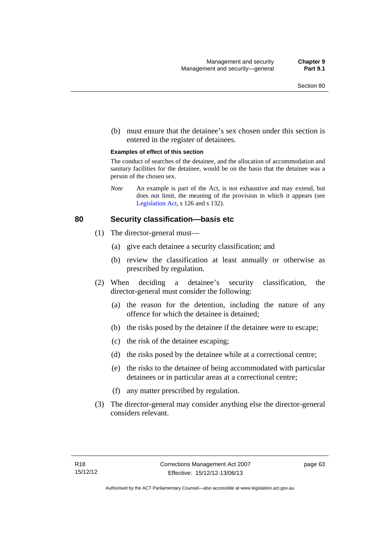(b) must ensure that the detainee's sex chosen under this section is entered in the register of detainees.

#### **Examples of effect of this section**

The conduct of searches of the detainee, and the allocation of accommodation and sanitary facilities for the detainee, would be on the basis that the detainee was a person of the chosen sex.

*Note* An example is part of the Act, is not exhaustive and may extend, but does not limit, the meaning of the provision in which it appears (see [Legislation Act,](http://www.legislation.act.gov.au/a/2001-14) s 126 and s 132).

#### **80 Security classification—basis etc**

- (1) The director-general must—
	- (a) give each detainee a security classification; and
	- (b) review the classification at least annually or otherwise as prescribed by regulation.
- (2) When deciding a detainee's security classification, the director-general must consider the following:
	- (a) the reason for the detention, including the nature of any offence for which the detainee is detained;
	- (b) the risks posed by the detainee if the detainee were to escape;
	- (c) the risk of the detainee escaping;
	- (d) the risks posed by the detainee while at a correctional centre;
	- (e) the risks to the detainee of being accommodated with particular detainees or in particular areas at a correctional centre;
	- (f) any matter prescribed by regulation.
- (3) The director-general may consider anything else the director-general considers relevant.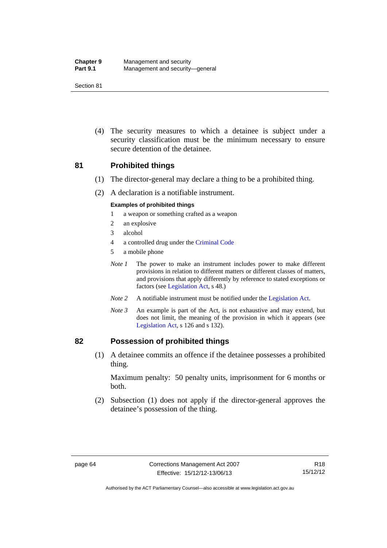| <b>Chapter 9</b> | Management and security         |
|------------------|---------------------------------|
| <b>Part 9.1</b>  | Management and security-general |

 (4) The security measures to which a detainee is subject under a security classification must be the minimum necessary to ensure secure detention of the detainee.

#### **81 Prohibited things**

- (1) The director-general may declare a thing to be a prohibited thing.
- (2) A declaration is a notifiable instrument.

#### **Examples of prohibited things**

- 1 a weapon or something crafted as a weapon
- 2 an explosive
- 3 alcohol
- 4 a controlled drug under the [Criminal Code](http://www.legislation.act.gov.au/a/2002-51)
- 5 a mobile phone
- *Note 1* The power to make an instrument includes power to make different provisions in relation to different matters or different classes of matters, and provisions that apply differently by reference to stated exceptions or factors (see [Legislation Act](http://www.legislation.act.gov.au/a/2001-14), s 48.)
- *Note 2* A notifiable instrument must be notified under the [Legislation Act](http://www.legislation.act.gov.au/a/2001-14).
- *Note 3* An example is part of the Act, is not exhaustive and may extend, but does not limit, the meaning of the provision in which it appears (see [Legislation Act,](http://www.legislation.act.gov.au/a/2001-14) s 126 and s 132).

#### **82 Possession of prohibited things**

 (1) A detainee commits an offence if the detainee possesses a prohibited thing.

Maximum penalty: 50 penalty units, imprisonment for 6 months or both.

 (2) Subsection (1) does not apply if the director-general approves the detainee's possession of the thing.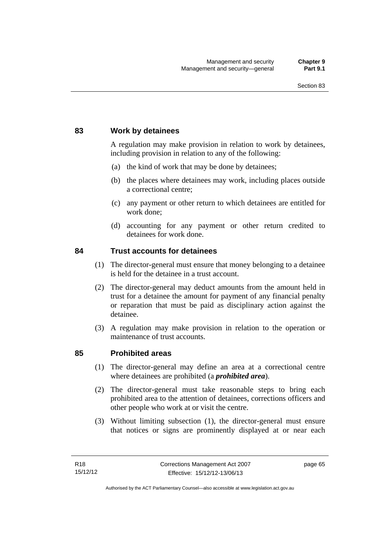#### **83 Work by detainees**

A regulation may make provision in relation to work by detainees, including provision in relation to any of the following:

- (a) the kind of work that may be done by detainees;
- (b) the places where detainees may work, including places outside a correctional centre;
- (c) any payment or other return to which detainees are entitled for work done;
- (d) accounting for any payment or other return credited to detainees for work done.

#### **84 Trust accounts for detainees**

- (1) The director-general must ensure that money belonging to a detainee is held for the detainee in a trust account.
- (2) The director-general may deduct amounts from the amount held in trust for a detainee the amount for payment of any financial penalty or reparation that must be paid as disciplinary action against the detainee.
- (3) A regulation may make provision in relation to the operation or maintenance of trust accounts.

#### **85 Prohibited areas**

- (1) The director-general may define an area at a correctional centre where detainees are prohibited (a *prohibited area*).
- (2) The director-general must take reasonable steps to bring each prohibited area to the attention of detainees, corrections officers and other people who work at or visit the centre.
- (3) Without limiting subsection (1), the director-general must ensure that notices or signs are prominently displayed at or near each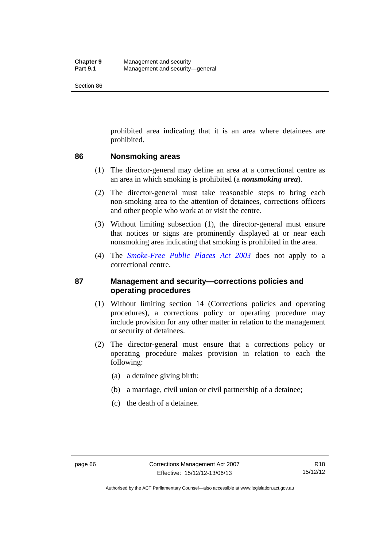prohibited area indicating that it is an area where detainees are prohibited.

#### **86 Nonsmoking areas**

- (1) The director-general may define an area at a correctional centre as an area in which smoking is prohibited (a *nonsmoking area*).
- (2) The director-general must take reasonable steps to bring each non-smoking area to the attention of detainees, corrections officers and other people who work at or visit the centre.
- (3) Without limiting subsection (1), the director-general must ensure that notices or signs are prominently displayed at or near each nonsmoking area indicating that smoking is prohibited in the area.
- (4) The *[Smoke-Free Public Places Act 2003](http://www.legislation.act.gov.au/a/2003-51)* does not apply to a correctional centre.

### **87 Management and security—corrections policies and operating procedures**

- (1) Without limiting section 14 (Corrections policies and operating procedures), a corrections policy or operating procedure may include provision for any other matter in relation to the management or security of detainees.
- (2) The director-general must ensure that a corrections policy or operating procedure makes provision in relation to each the following:
	- (a) a detainee giving birth;
	- (b) a marriage, civil union or civil partnership of a detainee;
	- (c) the death of a detainee.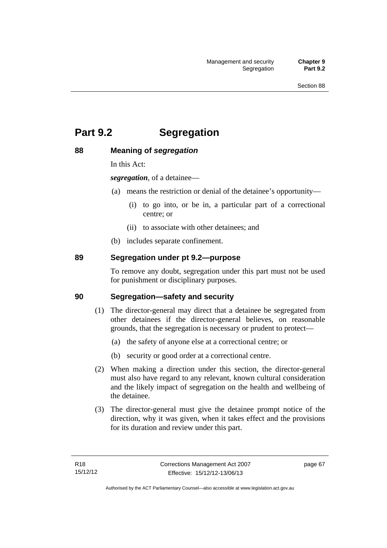# **Part 9.2 Segregation**

### **88 Meaning of** *segregation*

In this Act:

*segregation*, of a detainee—

- (a) means the restriction or denial of the detainee's opportunity—
	- (i) to go into, or be in, a particular part of a correctional centre; or
	- (ii) to associate with other detainees; and
- (b) includes separate confinement.

### **89 Segregation under pt 9.2—purpose**

To remove any doubt, segregation under this part must not be used for punishment or disciplinary purposes.

#### **90 Segregation—safety and security**

- (1) The director-general may direct that a detainee be segregated from other detainees if the director-general believes, on reasonable grounds, that the segregation is necessary or prudent to protect—
	- (a) the safety of anyone else at a correctional centre; or
	- (b) security or good order at a correctional centre.
- (2) When making a direction under this section, the director-general must also have regard to any relevant, known cultural consideration and the likely impact of segregation on the health and wellbeing of the detainee.
- (3) The director-general must give the detainee prompt notice of the direction, why it was given, when it takes effect and the provisions for its duration and review under this part.

page 67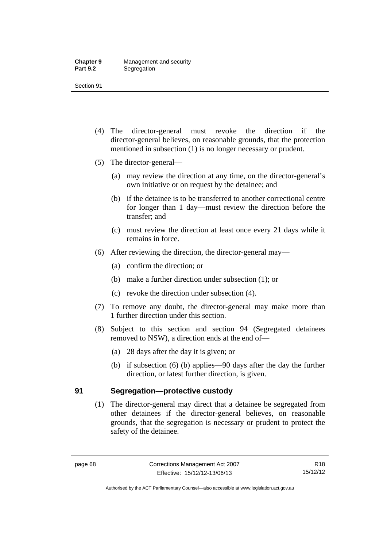- (4) The director-general must revoke the direction if the director-general believes, on reasonable grounds, that the protection mentioned in subsection (1) is no longer necessary or prudent.
- (5) The director-general—
	- (a) may review the direction at any time, on the director-general's own initiative or on request by the detainee; and
	- (b) if the detainee is to be transferred to another correctional centre for longer than 1 day—must review the direction before the transfer; and
	- (c) must review the direction at least once every 21 days while it remains in force.
- (6) After reviewing the direction, the director-general may—
	- (a) confirm the direction; or
	- (b) make a further direction under subsection (1); or
	- (c) revoke the direction under subsection (4).
- (7) To remove any doubt, the director-general may make more than 1 further direction under this section.
- (8) Subject to this section and section 94 (Segregated detainees removed to NSW), a direction ends at the end of—
	- (a) 28 days after the day it is given; or
	- (b) if subsection (6) (b) applies—90 days after the day the further direction, or latest further direction, is given.

# **91 Segregation—protective custody**

 (1) The director-general may direct that a detainee be segregated from other detainees if the director-general believes, on reasonable grounds, that the segregation is necessary or prudent to protect the safety of the detainee.

R18 15/12/12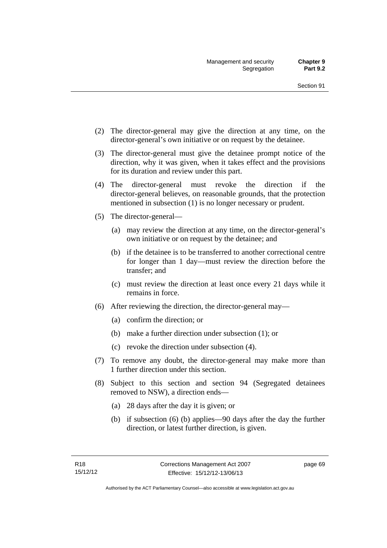- (2) The director-general may give the direction at any time, on the director-general's own initiative or on request by the detainee.
- (3) The director-general must give the detainee prompt notice of the direction, why it was given, when it takes effect and the provisions for its duration and review under this part.
- (4) The director-general must revoke the direction if the director-general believes, on reasonable grounds, that the protection mentioned in subsection (1) is no longer necessary or prudent.
- (5) The director-general—
	- (a) may review the direction at any time, on the director-general's own initiative or on request by the detainee; and
	- (b) if the detainee is to be transferred to another correctional centre for longer than 1 day—must review the direction before the transfer; and
	- (c) must review the direction at least once every 21 days while it remains in force.
- (6) After reviewing the direction, the director-general may—
	- (a) confirm the direction; or
	- (b) make a further direction under subsection (1); or
	- (c) revoke the direction under subsection (4).
- (7) To remove any doubt, the director-general may make more than 1 further direction under this section.
- (8) Subject to this section and section 94 (Segregated detainees removed to NSW), a direction ends—
	- (a) 28 days after the day it is given; or
	- (b) if subsection (6) (b) applies—90 days after the day the further direction, or latest further direction, is given.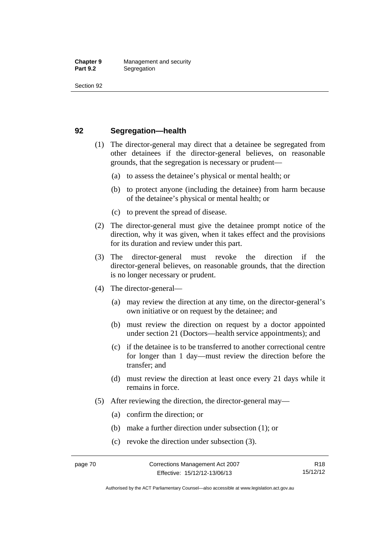### **92 Segregation—health**

- (1) The director-general may direct that a detainee be segregated from other detainees if the director-general believes, on reasonable grounds, that the segregation is necessary or prudent—
	- (a) to assess the detainee's physical or mental health; or
	- (b) to protect anyone (including the detainee) from harm because of the detainee's physical or mental health; or
	- (c) to prevent the spread of disease.
- (2) The director-general must give the detainee prompt notice of the direction, why it was given, when it takes effect and the provisions for its duration and review under this part.
- (3) The director-general must revoke the direction if the director-general believes, on reasonable grounds, that the direction is no longer necessary or prudent.
- (4) The director-general—
	- (a) may review the direction at any time, on the director-general's own initiative or on request by the detainee; and
	- (b) must review the direction on request by a doctor appointed under section 21 (Doctors—health service appointments); and
	- (c) if the detainee is to be transferred to another correctional centre for longer than 1 day—must review the direction before the transfer; and
	- (d) must review the direction at least once every 21 days while it remains in force.
- (5) After reviewing the direction, the director-general may—
	- (a) confirm the direction; or
	- (b) make a further direction under subsection (1); or
	- (c) revoke the direction under subsection (3).

Authorised by the ACT Parliamentary Counsel—also accessible at www.legislation.act.gov.au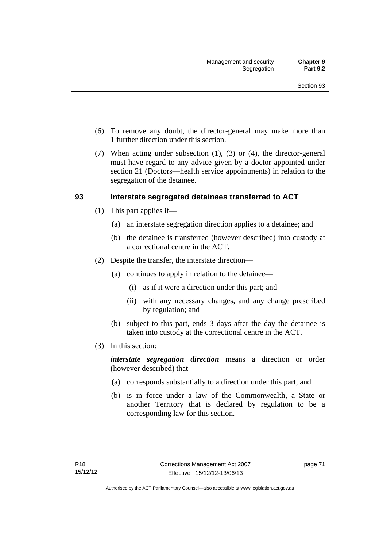- (6) To remove any doubt, the director-general may make more than 1 further direction under this section.
- (7) When acting under subsection (1), (3) or (4), the director-general must have regard to any advice given by a doctor appointed under section 21 (Doctors—health service appointments) in relation to the segregation of the detainee.

#### **93 Interstate segregated detainees transferred to ACT**

- (1) This part applies if—
	- (a) an interstate segregation direction applies to a detainee; and
	- (b) the detainee is transferred (however described) into custody at a correctional centre in the ACT.
- (2) Despite the transfer, the interstate direction—
	- (a) continues to apply in relation to the detainee—
		- (i) as if it were a direction under this part; and
		- (ii) with any necessary changes, and any change prescribed by regulation; and
	- (b) subject to this part, ends 3 days after the day the detainee is taken into custody at the correctional centre in the ACT.
- (3) In this section:

*interstate segregation direction* means a direction or order (however described) that—

- (a) corresponds substantially to a direction under this part; and
- (b) is in force under a law of the Commonwealth, a State or another Territory that is declared by regulation to be a corresponding law for this section.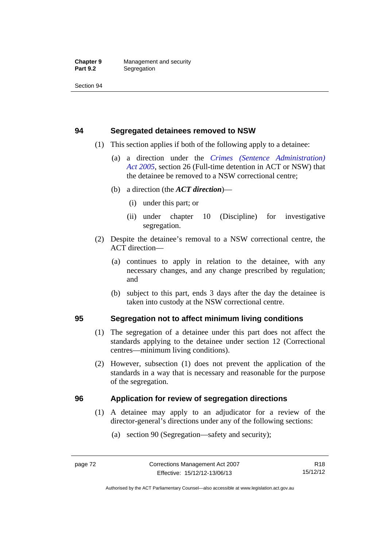### **94 Segregated detainees removed to NSW**

- (1) This section applies if both of the following apply to a detainee:
	- (a) a direction under the *[Crimes \(Sentence Administration\)](http://www.legislation.act.gov.au/a/2005-59)  [Act 2005](http://www.legislation.act.gov.au/a/2005-59)*, section 26 (Full-time detention in ACT or NSW) that the detainee be removed to a NSW correctional centre;
	- (b) a direction (the *ACT direction*)—
		- (i) under this part; or
		- (ii) under chapter 10 (Discipline) for investigative segregation.
- (2) Despite the detainee's removal to a NSW correctional centre, the ACT direction—
	- (a) continues to apply in relation to the detainee, with any necessary changes, and any change prescribed by regulation; and
	- (b) subject to this part, ends 3 days after the day the detainee is taken into custody at the NSW correctional centre.

# **95 Segregation not to affect minimum living conditions**

- (1) The segregation of a detainee under this part does not affect the standards applying to the detainee under section 12 (Correctional centres—minimum living conditions).
- (2) However, subsection (1) does not prevent the application of the standards in a way that is necessary and reasonable for the purpose of the segregation.

# **96 Application for review of segregation directions**

- (1) A detainee may apply to an adjudicator for a review of the director-general's directions under any of the following sections:
	- (a) section 90 (Segregation—safety and security);

Authorised by the ACT Parliamentary Counsel—also accessible at www.legislation.act.gov.au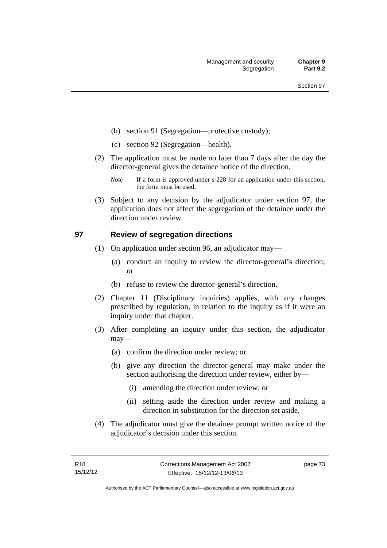- (b) section 91 (Segregation—protective custody);
- (c) section 92 (Segregation—health).
- (2) The application must be made no later than 7 days after the day the director-general gives the detainee notice of the direction.
	- *Note* If a form is approved under s 228 for an application under this section, the form must be used.
- (3) Subject to any decision by the adjudicator under section 97, the application does not affect the segregation of the detainee under the direction under review.

### **97 Review of segregation directions**

- (1) On application under section 96, an adjudicator may—
	- (a) conduct an inquiry to review the director-general's direction; or
	- (b) refuse to review the director-general's direction.
- (2) Chapter 11 (Disciplinary inquiries) applies, with any changes prescribed by regulation, in relation to the inquiry as if it were an inquiry under that chapter.
- (3) After completing an inquiry under this section, the adjudicator may—
	- (a) confirm the direction under review; or
	- (b) give any direction the director-general may make under the section authorising the direction under review, either by—
		- (i) amending the direction under review; or
		- (ii) setting aside the direction under review and making a direction in substitution for the direction set aside.
- (4) The adjudicator must give the detainee prompt written notice of the adjudicator's decision under this section.

page 73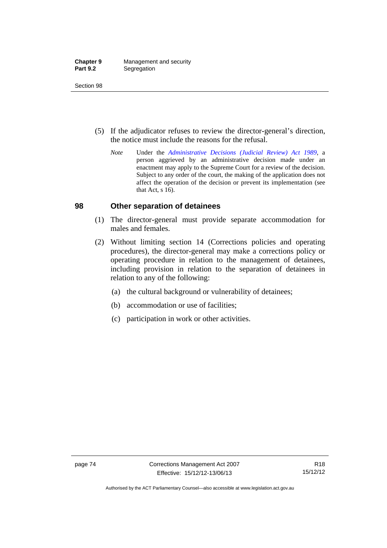| <b>Chapter 9</b> | Management and security |
|------------------|-------------------------|
| <b>Part 9.2</b>  | Segregation             |

- (5) If the adjudicator refuses to review the director-general's direction, the notice must include the reasons for the refusal.
	- *Note* Under the *[Administrative Decisions \(Judicial Review\) Act 1989](http://www.legislation.act.gov.au/a/alt_a1989-33co)*, a person aggrieved by an administrative decision made under an enactment may apply to the Supreme Court for a review of the decision. Subject to any order of the court, the making of the application does not affect the operation of the decision or prevent its implementation (see that Act, s 16).

#### **98 Other separation of detainees**

- (1) The director-general must provide separate accommodation for males and females.
- (2) Without limiting section 14 (Corrections policies and operating procedures), the director-general may make a corrections policy or operating procedure in relation to the management of detainees, including provision in relation to the separation of detainees in relation to any of the following:
	- (a) the cultural background or vulnerability of detainees;
	- (b) accommodation or use of facilities;
	- (c) participation in work or other activities.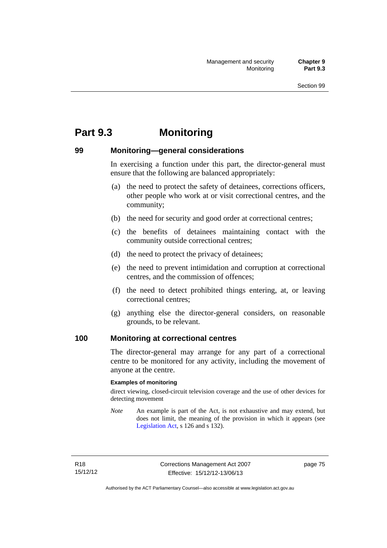# **Part 9.3 Monitoring**

#### **99 Monitoring—general considerations**

In exercising a function under this part, the director-general must ensure that the following are balanced appropriately:

- (a) the need to protect the safety of detainees, corrections officers, other people who work at or visit correctional centres, and the community;
- (b) the need for security and good order at correctional centres;
- (c) the benefits of detainees maintaining contact with the community outside correctional centres;
- (d) the need to protect the privacy of detainees;
- (e) the need to prevent intimidation and corruption at correctional centres, and the commission of offences;
- (f) the need to detect prohibited things entering, at, or leaving correctional centres;
- (g) anything else the director-general considers, on reasonable grounds, to be relevant.

#### **100 Monitoring at correctional centres**

The director-general may arrange for any part of a correctional centre to be monitored for any activity, including the movement of anyone at the centre.

#### **Examples of monitoring**

direct viewing, closed-circuit television coverage and the use of other devices for detecting movement

*Note* An example is part of the Act, is not exhaustive and may extend, but does not limit, the meaning of the provision in which it appears (see [Legislation Act,](http://www.legislation.act.gov.au/a/2001-14) s 126 and s 132).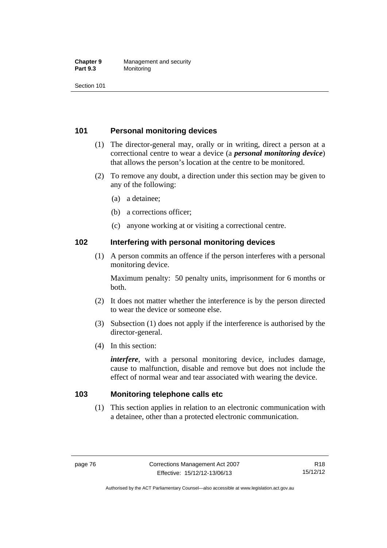#### **Chapter 9** Management and security<br>**Part 9.3** Monitoring **Monitoring**

Section 101

# **101 Personal monitoring devices**

- (1) The director-general may, orally or in writing, direct a person at a correctional centre to wear a device (a *personal monitoring device*) that allows the person's location at the centre to be monitored.
- (2) To remove any doubt, a direction under this section may be given to any of the following:
	- (a) a detainee;
	- (b) a corrections officer;
	- (c) anyone working at or visiting a correctional centre.

#### **102 Interfering with personal monitoring devices**

 (1) A person commits an offence if the person interferes with a personal monitoring device.

Maximum penalty: 50 penalty units, imprisonment for 6 months or both.

- (2) It does not matter whether the interference is by the person directed to wear the device or someone else.
- (3) Subsection (1) does not apply if the interference is authorised by the director-general.
- (4) In this section:

*interfere*, with a personal monitoring device, includes damage, cause to malfunction, disable and remove but does not include the effect of normal wear and tear associated with wearing the device.

#### **103 Monitoring telephone calls etc**

 (1) This section applies in relation to an electronic communication with a detainee, other than a protected electronic communication.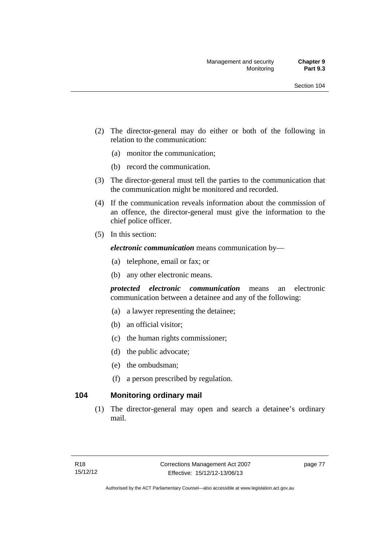- (2) The director-general may do either or both of the following in relation to the communication:
	- (a) monitor the communication;
	- (b) record the communication.
- (3) The director-general must tell the parties to the communication that the communication might be monitored and recorded.
- (4) If the communication reveals information about the commission of an offence, the director-general must give the information to the chief police officer.
- (5) In this section:

*electronic communication* means communication by—

- (a) telephone, email or fax; or
- (b) any other electronic means.

*protected electronic communication* means an electronic communication between a detainee and any of the following:

- (a) a lawyer representing the detainee;
- (b) an official visitor;
- (c) the human rights commissioner;
- (d) the public advocate;
- (e) the ombudsman;
- (f) a person prescribed by regulation.

# **104 Monitoring ordinary mail**

 (1) The director-general may open and search a detainee's ordinary mail.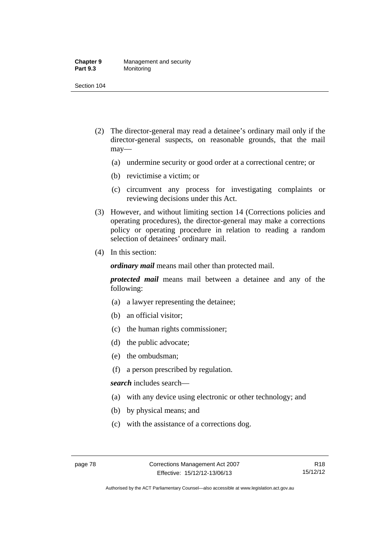#### **Chapter 9** Management and security<br>**Part 9.3** Monitoring **Monitoring**

Section 104

- (2) The director-general may read a detainee's ordinary mail only if the director-general suspects, on reasonable grounds, that the mail may—
	- (a) undermine security or good order at a correctional centre; or
	- (b) revictimise a victim; or
	- (c) circumvent any process for investigating complaints or reviewing decisions under this Act.
- (3) However, and without limiting section 14 (Corrections policies and operating procedures), the director-general may make a corrections policy or operating procedure in relation to reading a random selection of detainees' ordinary mail.
- (4) In this section:

*ordinary mail* means mail other than protected mail.

*protected mail* means mail between a detainee and any of the following:

- (a) a lawyer representing the detainee;
- (b) an official visitor;
- (c) the human rights commissioner;
- (d) the public advocate;
- (e) the ombudsman;
- (f) a person prescribed by regulation.

*search* includes search—

- (a) with any device using electronic or other technology; and
- (b) by physical means; and
- (c) with the assistance of a corrections dog.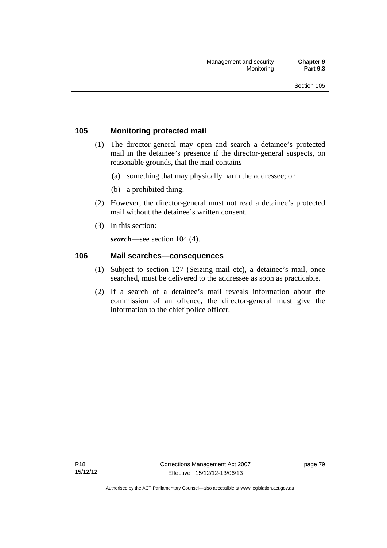## **105 Monitoring protected mail**

- (1) The director-general may open and search a detainee's protected mail in the detainee's presence if the director-general suspects, on reasonable grounds, that the mail contains—
	- (a) something that may physically harm the addressee; or
	- (b) a prohibited thing.
- (2) However, the director-general must not read a detainee's protected mail without the detainee's written consent.
- (3) In this section:

*search*—see section 104 (4).

#### **106 Mail searches—consequences**

- (1) Subject to section 127 (Seizing mail etc), a detainee's mail, once searched, must be delivered to the addressee as soon as practicable.
- (2) If a search of a detainee's mail reveals information about the commission of an offence, the director-general must give the information to the chief police officer.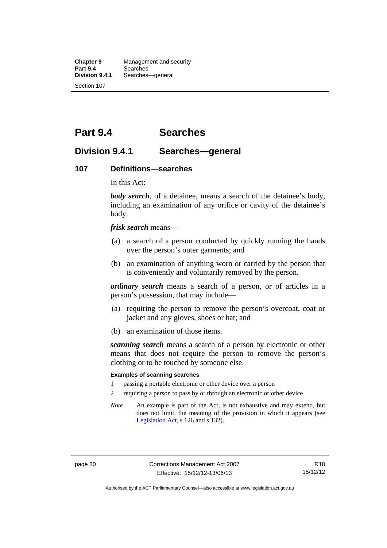**Chapter 9** Management and security<br>**Part 9.4** Searches **Part 9.4 Searches**<br>**Division 9.4.1** Searches Searches—general Section 107

# **Part 9.4 Searches**

# **Division 9.4.1 Searches—general**

#### **107 Definitions—searches**

In this Act:

*body search*, of a detainee, means a search of the detainee's body, including an examination of any orifice or cavity of the detainee's body.

*frisk search* means—

- (a) a search of a person conducted by quickly running the hands over the person's outer garments; and
- (b) an examination of anything worn or carried by the person that is conveniently and voluntarily removed by the person.

*ordinary search* means a search of a person, or of articles in a person's possession, that may include—

- (a) requiring the person to remove the person's overcoat, coat or jacket and any gloves, shoes or hat; and
- (b) an examination of those items.

*scanning search* means a search of a person by electronic or other means that does not require the person to remove the person's clothing or to be touched by someone else.

#### **Examples of scanning searches**

- 1 passing a portable electronic or other device over a person
- 2 requiring a person to pass by or through an electronic or other device
- *Note* An example is part of the Act, is not exhaustive and may extend, but does not limit, the meaning of the provision in which it appears (see [Legislation Act,](http://www.legislation.act.gov.au/a/2001-14) s 126 and s 132).

R18 15/12/12

Authorised by the ACT Parliamentary Counsel—also accessible at www.legislation.act.gov.au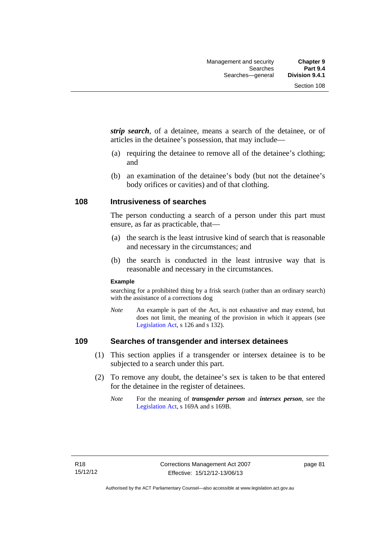*strip search*, of a detainee, means a search of the detainee, or of articles in the detainee's possession, that may include—

- (a) requiring the detainee to remove all of the detainee's clothing; and
- (b) an examination of the detainee's body (but not the detainee's body orifices or cavities) and of that clothing.

#### **108 Intrusiveness of searches**

The person conducting a search of a person under this part must ensure, as far as practicable, that—

- (a) the search is the least intrusive kind of search that is reasonable and necessary in the circumstances; and
- (b) the search is conducted in the least intrusive way that is reasonable and necessary in the circumstances.

#### **Example**

searching for a prohibited thing by a frisk search (rather than an ordinary search) with the assistance of a corrections dog

*Note* An example is part of the Act, is not exhaustive and may extend, but does not limit, the meaning of the provision in which it appears (see [Legislation Act,](http://www.legislation.act.gov.au/a/2001-14) s 126 and s 132).

#### **109 Searches of transgender and intersex detainees**

- (1) This section applies if a transgender or intersex detainee is to be subjected to a search under this part.
- (2) To remove any doubt, the detainee's sex is taken to be that entered for the detainee in the register of detainees.
	- *Note* For the meaning of *transgender person* and *intersex person*, see the [Legislation Act,](http://www.legislation.act.gov.au/a/2001-14) s 169A and s 169B.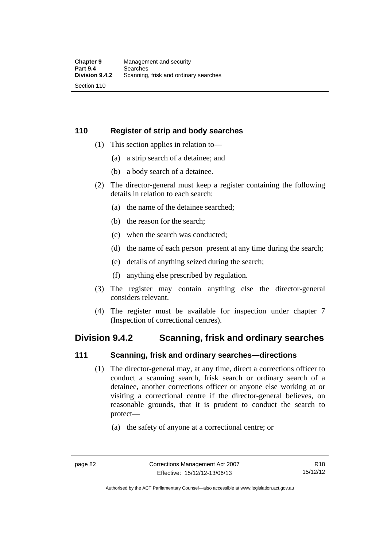## **110 Register of strip and body searches**

- (1) This section applies in relation to—
	- (a) a strip search of a detainee; and
	- (b) a body search of a detainee.
- (2) The director-general must keep a register containing the following details in relation to each search:
	- (a) the name of the detainee searched;
	- (b) the reason for the search;
	- (c) when the search was conducted;
	- (d) the name of each person present at any time during the search;
	- (e) details of anything seized during the search;
	- (f) anything else prescribed by regulation.
- (3) The register may contain anything else the director-general considers relevant.
- (4) The register must be available for inspection under chapter 7 (Inspection of correctional centres).

# **Division 9.4.2 Scanning, frisk and ordinary searches**

#### **111 Scanning, frisk and ordinary searches—directions**

- (1) The director-general may, at any time, direct a corrections officer to conduct a scanning search, frisk search or ordinary search of a detainee, another corrections officer or anyone else working at or visiting a correctional centre if the director-general believes, on reasonable grounds, that it is prudent to conduct the search to protect—
	- (a) the safety of anyone at a correctional centre; or

Authorised by the ACT Parliamentary Counsel—also accessible at www.legislation.act.gov.au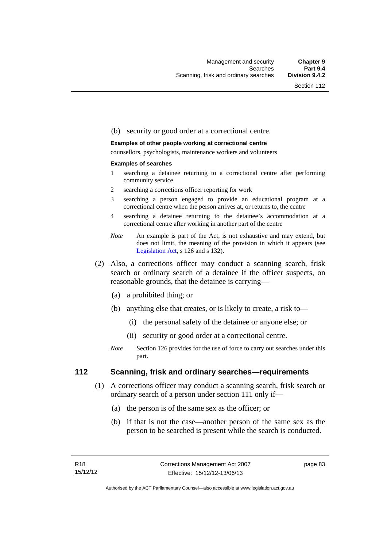#### (b) security or good order at a correctional centre.

#### **Examples of other people working at correctional centre**

counsellors, psychologists, maintenance workers and volunteers

#### **Examples of searches**

- 1 searching a detainee returning to a correctional centre after performing community service
- 2 searching a corrections officer reporting for work
- 3 searching a person engaged to provide an educational program at a correctional centre when the person arrives at, or returns to, the centre
- 4 searching a detainee returning to the detainee's accommodation at a correctional centre after working in another part of the centre
- *Note* An example is part of the Act, is not exhaustive and may extend, but does not limit, the meaning of the provision in which it appears (see [Legislation Act,](http://www.legislation.act.gov.au/a/2001-14) s 126 and s 132).
- (2) Also, a corrections officer may conduct a scanning search, frisk search or ordinary search of a detainee if the officer suspects, on reasonable grounds, that the detainee is carrying—
	- (a) a prohibited thing; or
	- (b) anything else that creates, or is likely to create, a risk to—
		- (i) the personal safety of the detainee or anyone else; or
		- (ii) security or good order at a correctional centre.
	- *Note* Section 126 provides for the use of force to carry out searches under this part.

#### **112 Scanning, frisk and ordinary searches—requirements**

- (1) A corrections officer may conduct a scanning search, frisk search or ordinary search of a person under section 111 only if—
	- (a) the person is of the same sex as the officer; or
	- (b) if that is not the case—another person of the same sex as the person to be searched is present while the search is conducted.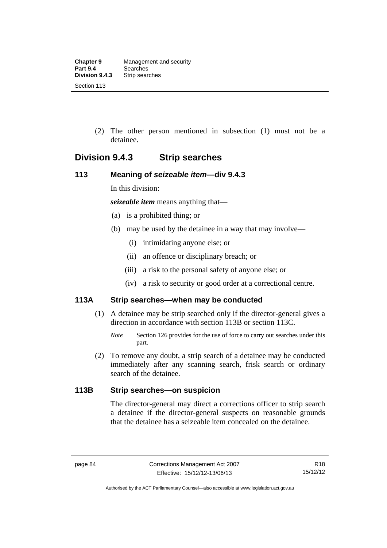(2) The other person mentioned in subsection (1) must not be a detainee.

# **Division 9.4.3 Strip searches**

#### **113 Meaning of** *seizeable item***—div 9.4.3**

In this division:

*seizeable item* means anything that—

- (a) is a prohibited thing; or
- (b) may be used by the detainee in a way that may involve—
	- (i) intimidating anyone else; or
	- (ii) an offence or disciplinary breach; or
	- (iii) a risk to the personal safety of anyone else; or
	- (iv) a risk to security or good order at a correctional centre.

#### **113A Strip searches—when may be conducted**

- (1) A detainee may be strip searched only if the director-general gives a direction in accordance with section 113B or section 113C.
	- *Note* Section 126 provides for the use of force to carry out searches under this part.
- (2) To remove any doubt, a strip search of a detainee may be conducted immediately after any scanning search, frisk search or ordinary search of the detainee.

#### **113B Strip searches—on suspicion**

The director-general may direct a corrections officer to strip search a detainee if the director-general suspects on reasonable grounds that the detainee has a seizeable item concealed on the detainee.

Authorised by the ACT Parliamentary Counsel—also accessible at www.legislation.act.gov.au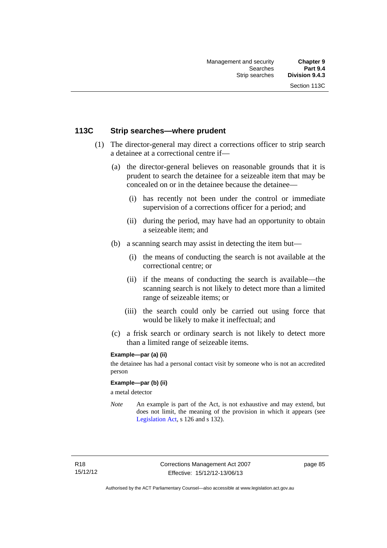#### **113C Strip searches—where prudent**

- (1) The director-general may direct a corrections officer to strip search a detainee at a correctional centre if—
	- (a) the director-general believes on reasonable grounds that it is prudent to search the detainee for a seizeable item that may be concealed on or in the detainee because the detainee—
		- (i) has recently not been under the control or immediate supervision of a corrections officer for a period; and
		- (ii) during the period, may have had an opportunity to obtain a seizeable item; and
	- (b) a scanning search may assist in detecting the item but—
		- (i) the means of conducting the search is not available at the correctional centre; or
		- (ii) if the means of conducting the search is available—the scanning search is not likely to detect more than a limited range of seizeable items; or
		- (iii) the search could only be carried out using force that would be likely to make it ineffectual; and
	- (c) a frisk search or ordinary search is not likely to detect more than a limited range of seizeable items.

#### **Example—par (a) (ii)**

the detainee has had a personal contact visit by someone who is not an accredited person

#### **Example—par (b) (ii)**

a metal detector

*Note* An example is part of the Act, is not exhaustive and may extend, but does not limit, the meaning of the provision in which it appears (see [Legislation Act,](http://www.legislation.act.gov.au/a/2001-14) s 126 and s 132).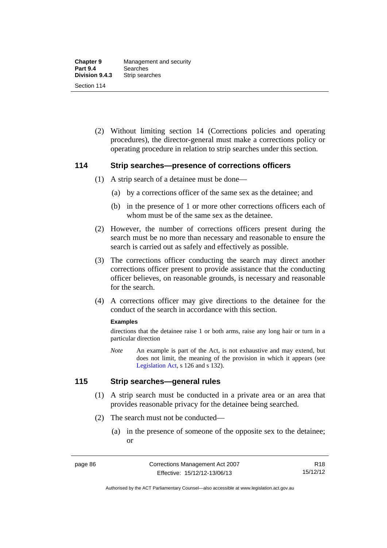(2) Without limiting section 14 (Corrections policies and operating procedures), the director-general must make a corrections policy or operating procedure in relation to strip searches under this section.

#### **114 Strip searches—presence of corrections officers**

- (1) A strip search of a detainee must be done—
	- (a) by a corrections officer of the same sex as the detainee; and
	- (b) in the presence of 1 or more other corrections officers each of whom must be of the same sex as the detainee.
- (2) However, the number of corrections officers present during the search must be no more than necessary and reasonable to ensure the search is carried out as safely and effectively as possible.
- (3) The corrections officer conducting the search may direct another corrections officer present to provide assistance that the conducting officer believes, on reasonable grounds, is necessary and reasonable for the search.
- (4) A corrections officer may give directions to the detainee for the conduct of the search in accordance with this section.

#### **Examples**

directions that the detainee raise 1 or both arms, raise any long hair or turn in a particular direction

*Note* An example is part of the Act, is not exhaustive and may extend, but does not limit, the meaning of the provision in which it appears (see [Legislation Act,](http://www.legislation.act.gov.au/a/2001-14) s 126 and s 132).

#### **115 Strip searches—general rules**

- (1) A strip search must be conducted in a private area or an area that provides reasonable privacy for the detainee being searched.
- (2) The search must not be conducted—
	- (a) in the presence of someone of the opposite sex to the detainee; or

Authorised by the ACT Parliamentary Counsel—also accessible at www.legislation.act.gov.au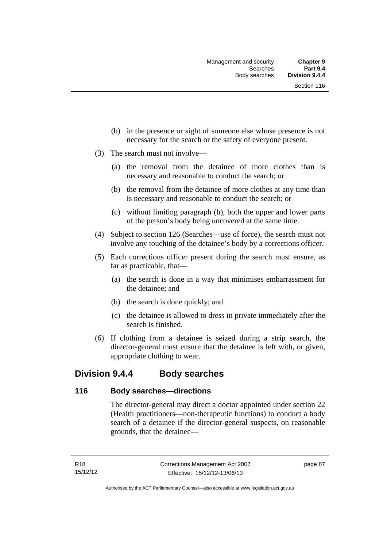- (b) in the presence or sight of someone else whose presence is not necessary for the search or the safety of everyone present.
- (3) The search must not involve—
	- (a) the removal from the detainee of more clothes than is necessary and reasonable to conduct the search; or
	- (b) the removal from the detainee of more clothes at any time than is necessary and reasonable to conduct the search; or
	- (c) without limiting paragraph (b), both the upper and lower parts of the person's body being uncovered at the same time.
- (4) Subject to section 126 (Searches—use of force), the search must not involve any touching of the detainee's body by a corrections officer.
- (5) Each corrections officer present during the search must ensure, as far as practicable, that—
	- (a) the search is done in a way that minimises embarrassment for the detainee; and
	- (b) the search is done quickly; and
	- (c) the detainee is allowed to dress in private immediately after the search is finished.
- (6) If clothing from a detainee is seized during a strip search, the director-general must ensure that the detainee is left with, or given, appropriate clothing to wear.

# **Division 9.4.4 Body searches**

#### **116 Body searches—directions**

The director-general may direct a doctor appointed under section 22 (Health practitioners—non-therapeutic functions) to conduct a body search of a detainee if the director-general suspects, on reasonable grounds, that the detainee—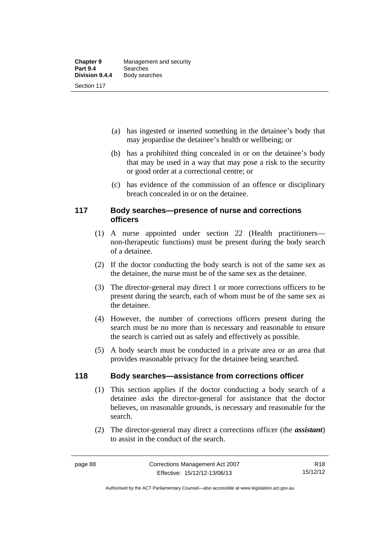- (a) has ingested or inserted something in the detainee's body that may jeopardise the detainee's health or wellbeing; or
- (b) has a prohibited thing concealed in or on the detainee's body that may be used in a way that may pose a risk to the security or good order at a correctional centre; or
- (c) has evidence of the commission of an offence or disciplinary breach concealed in or on the detainee.

#### **117 Body searches—presence of nurse and corrections officers**

- (1) A nurse appointed under section 22 (Health practitioners non-therapeutic functions) must be present during the body search of a detainee.
- (2) If the doctor conducting the body search is not of the same sex as the detainee, the nurse must be of the same sex as the detainee.
- (3) The director-general may direct 1 or more corrections officers to be present during the search, each of whom must be of the same sex as the detainee.
- (4) However, the number of corrections officers present during the search must be no more than is necessary and reasonable to ensure the search is carried out as safely and effectively as possible.
- (5) A body search must be conducted in a private area or an area that provides reasonable privacy for the detainee being searched.

## **118 Body searches—assistance from corrections officer**

- (1) This section applies if the doctor conducting a body search of a detainee asks the director-general for assistance that the doctor believes, on reasonable grounds, is necessary and reasonable for the search.
- (2) The director-general may direct a corrections officer (the *assistant*) to assist in the conduct of the search.

Authorised by the ACT Parliamentary Counsel—also accessible at www.legislation.act.gov.au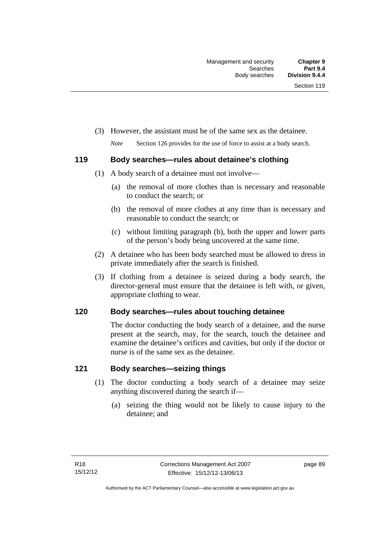(3) However, the assistant must be of the same sex as the detainee.

*Note* Section 126 provides for the use of force to assist at a body search.

### **119 Body searches—rules about detainee's clothing**

- (1) A body search of a detainee must not involve—
	- (a) the removal of more clothes than is necessary and reasonable to conduct the search; or
	- (b) the removal of more clothes at any time than is necessary and reasonable to conduct the search; or
	- (c) without limiting paragraph (b), both the upper and lower parts of the person's body being uncovered at the same time.
- (2) A detainee who has been body searched must be allowed to dress in private immediately after the search is finished.
- (3) If clothing from a detainee is seized during a body search, the director-general must ensure that the detainee is left with, or given, appropriate clothing to wear.

# **120 Body searches—rules about touching detainee**

The doctor conducting the body search of a detainee, and the nurse present at the search, may, for the search, touch the detainee and examine the detainee's orifices and cavities, but only if the doctor or nurse is of the same sex as the detainee.

## **121 Body searches—seizing things**

- (1) The doctor conducting a body search of a detainee may seize anything discovered during the search if—
	- (a) seizing the thing would not be likely to cause injury to the detainee; and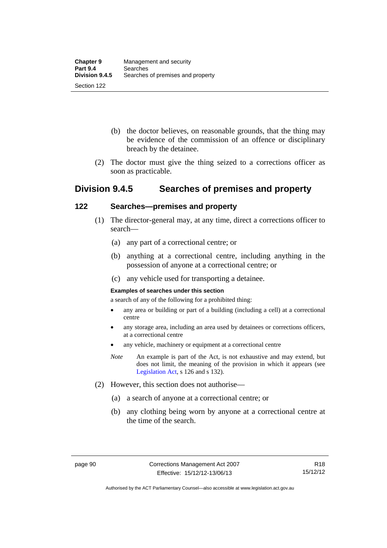- (b) the doctor believes, on reasonable grounds, that the thing may be evidence of the commission of an offence or disciplinary breach by the detainee.
- (2) The doctor must give the thing seized to a corrections officer as soon as practicable.

# **Division 9.4.5 Searches of premises and property**

#### **122 Searches—premises and property**

- (1) The director-general may, at any time, direct a corrections officer to search—
	- (a) any part of a correctional centre; or
	- (b) anything at a correctional centre, including anything in the possession of anyone at a correctional centre; or
	- (c) any vehicle used for transporting a detainee.

#### **Examples of searches under this section**

a search of any of the following for a prohibited thing:

- any area or building or part of a building (including a cell) at a correctional centre
- any storage area, including an area used by detainees or corrections officers, at a correctional centre
- any vehicle, machinery or equipment at a correctional centre
- *Note* An example is part of the Act, is not exhaustive and may extend, but does not limit, the meaning of the provision in which it appears (see [Legislation Act,](http://www.legislation.act.gov.au/a/2001-14) s 126 and s 132).
- (2) However, this section does not authorise—
	- (a) a search of anyone at a correctional centre; or
	- (b) any clothing being worn by anyone at a correctional centre at the time of the search.

Authorised by the ACT Parliamentary Counsel—also accessible at www.legislation.act.gov.au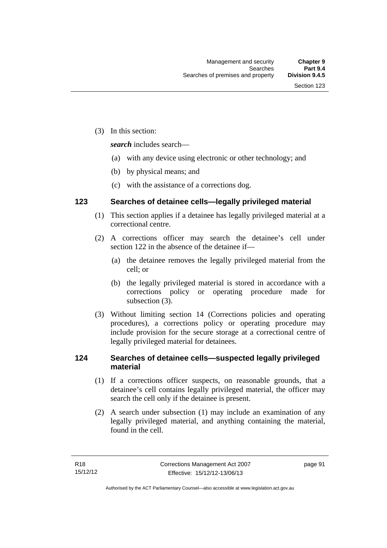(3) In this section:

*search* includes search—

- (a) with any device using electronic or other technology; and
- (b) by physical means; and
- (c) with the assistance of a corrections dog.

### **123 Searches of detainee cells—legally privileged material**

- (1) This section applies if a detainee has legally privileged material at a correctional centre.
- (2) A corrections officer may search the detainee's cell under section 122 in the absence of the detainee if—
	- (a) the detainee removes the legally privileged material from the cell; or
	- (b) the legally privileged material is stored in accordance with a corrections policy or operating procedure made for subsection (3).
- (3) Without limiting section 14 (Corrections policies and operating procedures), a corrections policy or operating procedure may include provision for the secure storage at a correctional centre of legally privileged material for detainees.

# **124 Searches of detainee cells—suspected legally privileged material**

- (1) If a corrections officer suspects, on reasonable grounds, that a detainee's cell contains legally privileged material, the officer may search the cell only if the detainee is present.
- (2) A search under subsection (1) may include an examination of any legally privileged material, and anything containing the material, found in the cell.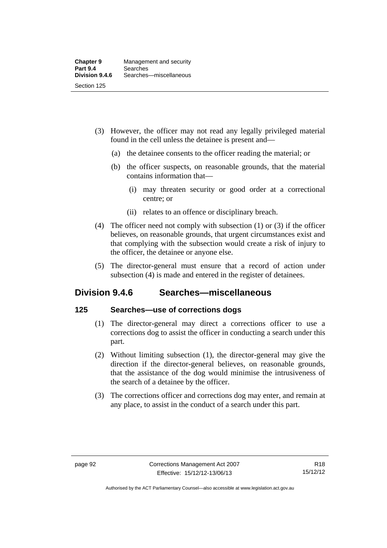- (3) However, the officer may not read any legally privileged material found in the cell unless the detainee is present and—
	- (a) the detainee consents to the officer reading the material; or
	- (b) the officer suspects, on reasonable grounds, that the material contains information that—
		- (i) may threaten security or good order at a correctional centre; or
		- (ii) relates to an offence or disciplinary breach.
- (4) The officer need not comply with subsection (1) or (3) if the officer believes, on reasonable grounds, that urgent circumstances exist and that complying with the subsection would create a risk of injury to the officer, the detainee or anyone else.
- (5) The director-general must ensure that a record of action under subsection (4) is made and entered in the register of detainees.

# **Division 9.4.6 Searches—miscellaneous**

#### **125 Searches—use of corrections dogs**

- (1) The director-general may direct a corrections officer to use a corrections dog to assist the officer in conducting a search under this part.
- (2) Without limiting subsection (1), the director-general may give the direction if the director-general believes, on reasonable grounds, that the assistance of the dog would minimise the intrusiveness of the search of a detainee by the officer.
- (3) The corrections officer and corrections dog may enter, and remain at any place, to assist in the conduct of a search under this part.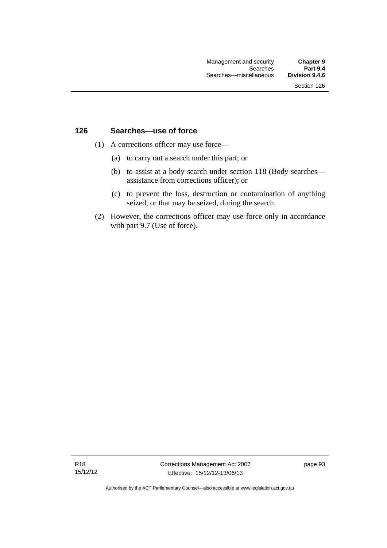### **126 Searches—use of force**

- (1) A corrections officer may use force—
	- (a) to carry out a search under this part; or
	- (b) to assist at a body search under section 118 (Body searches assistance from corrections officer); or
	- (c) to prevent the loss, destruction or contamination of anything seized, or that may be seized, during the search.
- (2) However, the corrections officer may use force only in accordance with part 9.7 (Use of force).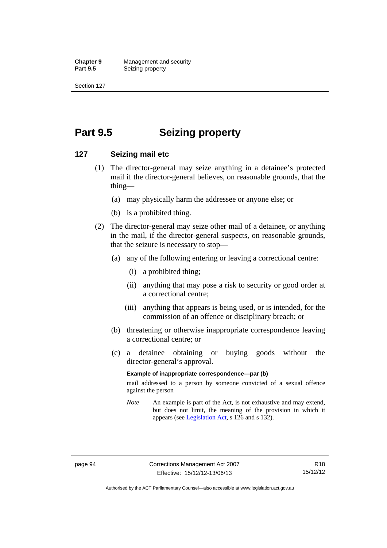**Chapter 9 Management and security**<br>**Part 9.5 Conserved Seizing property Seizing property** 

Section 127

# **Part 9.5 Seizing property**

### **127 Seizing mail etc**

- (1) The director-general may seize anything in a detainee's protected mail if the director-general believes, on reasonable grounds, that the thing—
	- (a) may physically harm the addressee or anyone else; or
	- (b) is a prohibited thing.
- (2) The director-general may seize other mail of a detainee, or anything in the mail, if the director-general suspects, on reasonable grounds, that the seizure is necessary to stop—
	- (a) any of the following entering or leaving a correctional centre:
		- (i) a prohibited thing;
		- (ii) anything that may pose a risk to security or good order at a correctional centre;
		- (iii) anything that appears is being used, or is intended, for the commission of an offence or disciplinary breach; or
	- (b) threatening or otherwise inappropriate correspondence leaving a correctional centre; or
	- (c) a detainee obtaining or buying goods without the director-general's approval.

### **Example of inappropriate correspondence—par (b)**

mail addressed to a person by someone convicted of a sexual offence against the person

*Note* An example is part of the Act, is not exhaustive and may extend, but does not limit, the meaning of the provision in which it appears (see [Legislation Act,](http://www.legislation.act.gov.au/a/2001-14) s 126 and s 132).

Authorised by the ACT Parliamentary Counsel—also accessible at www.legislation.act.gov.au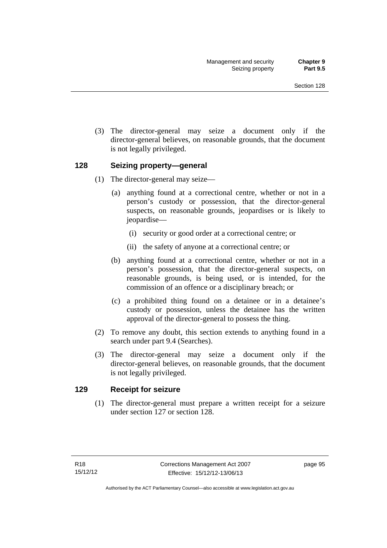(3) The director-general may seize a document only if the director-general believes, on reasonable grounds, that the document is not legally privileged.

### **128 Seizing property—general**

- (1) The director-general may seize—
	- (a) anything found at a correctional centre, whether or not in a person's custody or possession, that the director-general suspects, on reasonable grounds, jeopardises or is likely to jeopardise—
		- (i) security or good order at a correctional centre; or
		- (ii) the safety of anyone at a correctional centre; or
	- (b) anything found at a correctional centre, whether or not in a person's possession, that the director-general suspects, on reasonable grounds, is being used, or is intended, for the commission of an offence or a disciplinary breach; or
	- (c) a prohibited thing found on a detainee or in a detainee's custody or possession, unless the detainee has the written approval of the director-general to possess the thing.
- (2) To remove any doubt, this section extends to anything found in a search under part 9.4 (Searches).
- (3) The director-general may seize a document only if the director-general believes, on reasonable grounds, that the document is not legally privileged.

### **129 Receipt for seizure**

 (1) The director-general must prepare a written receipt for a seizure under section 127 or section 128.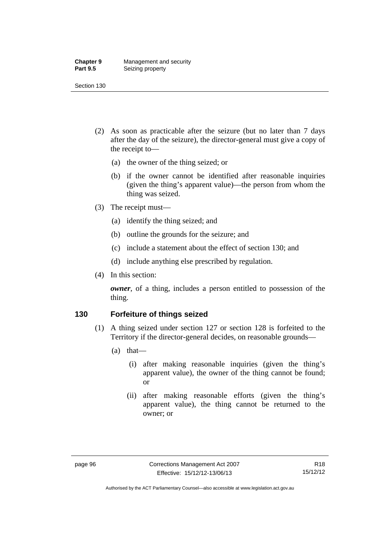#### **Chapter 9** Management and security<br>**Part 9.5** Seizing property **Seizing property**

Section 130

- (2) As soon as practicable after the seizure (but no later than 7 days after the day of the seizure), the director-general must give a copy of the receipt to—
	- (a) the owner of the thing seized; or
	- (b) if the owner cannot be identified after reasonable inquiries (given the thing's apparent value)—the person from whom the thing was seized.
- (3) The receipt must—
	- (a) identify the thing seized; and
	- (b) outline the grounds for the seizure; and
	- (c) include a statement about the effect of section 130; and
	- (d) include anything else prescribed by regulation.
- (4) In this section:

*owner*, of a thing, includes a person entitled to possession of the thing.

### **130 Forfeiture of things seized**

- (1) A thing seized under section 127 or section 128 is forfeited to the Territory if the director-general decides, on reasonable grounds—
	- (a) that—
		- (i) after making reasonable inquiries (given the thing's apparent value), the owner of the thing cannot be found; or
		- (ii) after making reasonable efforts (given the thing's apparent value), the thing cannot be returned to the owner; or

Authorised by the ACT Parliamentary Counsel—also accessible at www.legislation.act.gov.au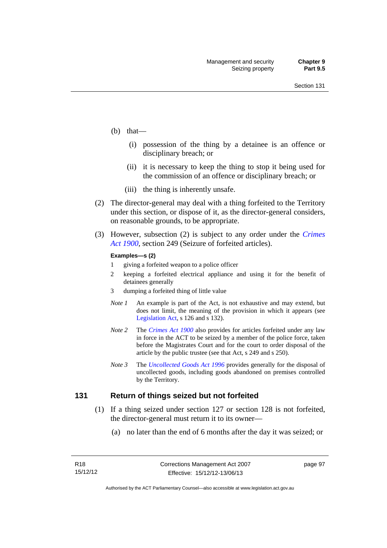- (b) that—
	- (i) possession of the thing by a detainee is an offence or disciplinary breach; or
	- (ii) it is necessary to keep the thing to stop it being used for the commission of an offence or disciplinary breach; or
	- (iii) the thing is inherently unsafe.
- (2) The director-general may deal with a thing forfeited to the Territory under this section, or dispose of it, as the director-general considers, on reasonable grounds, to be appropriate.
- (3) However, subsection (2) is subject to any order under the *[Crimes](http://www.legislation.act.gov.au/a/1900-40)  [Act 1900](http://www.legislation.act.gov.au/a/1900-40),* section 249 (Seizure of forfeited articles).

#### **Examples—s (2)**

- 1 giving a forfeited weapon to a police officer
- 2 keeping a forfeited electrical appliance and using it for the benefit of detainees generally
- 3 dumping a forfeited thing of little value
- *Note 1* An example is part of the Act, is not exhaustive and may extend, but does not limit, the meaning of the provision in which it appears (see [Legislation Act,](http://www.legislation.act.gov.au/a/2001-14) s 126 and s 132).
- *Note 2* The *[Crimes Act 1900](http://www.legislation.act.gov.au/a/1900-40)* also provides for articles forfeited under any law in force in the ACT to be seized by a member of the police force, taken before the Magistrates Court and for the court to order disposal of the article by the public trustee (see that Act, s 249 and s 250).
- *Note 3* The *[Uncollected Goods Act 1996](http://www.legislation.act.gov.au/a/1996-86)* provides generally for the disposal of uncollected goods, including goods abandoned on premises controlled by the Territory.

### **131 Return of things seized but not forfeited**

- (1) If a thing seized under section 127 or section 128 is not forfeited, the director-general must return it to its owner—
	- (a) no later than the end of 6 months after the day it was seized; or

page 97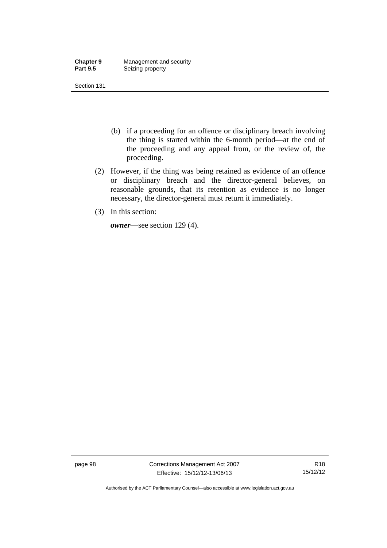| <b>Chapter 9</b> | Management and security |
|------------------|-------------------------|
| <b>Part 9.5</b>  | Seizing property        |

- (b) if a proceeding for an offence or disciplinary breach involving the thing is started within the 6-month period—at the end of the proceeding and any appeal from, or the review of, the proceeding.
- (2) However, if the thing was being retained as evidence of an offence or disciplinary breach and the director-general believes, on reasonable grounds, that its retention as evidence is no longer necessary, the director-general must return it immediately.
- (3) In this section:

*owner*—see section 129 (4).

page 98 Corrections Management Act 2007 Effective: 15/12/12-13/06/13

R18 15/12/12

Authorised by the ACT Parliamentary Counsel—also accessible at www.legislation.act.gov.au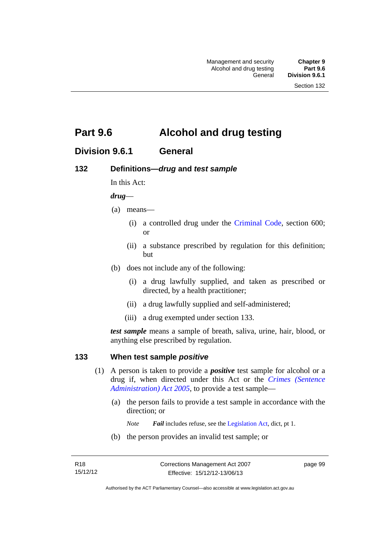# **Part 9.6 Alcohol and drug testing**

# **Division 9.6.1 General**

## **132 Definitions—***drug* **and** *test sample*

In this Act:

### *drug*—

- (a) means—
	- (i) a controlled drug under the [Criminal Code](http://www.legislation.act.gov.au/a/2002-51), section 600; or
	- (ii) a substance prescribed by regulation for this definition; but
- (b) does not include any of the following:
	- (i) a drug lawfully supplied, and taken as prescribed or directed, by a health practitioner;
	- (ii) a drug lawfully supplied and self-administered;
	- (iii) a drug exempted under section 133.

*test sample* means a sample of breath, saliva, urine, hair, blood, or anything else prescribed by regulation.

### **133 When test sample** *positive*

- (1) A person is taken to provide a *positive* test sample for alcohol or a drug if, when directed under this Act or the *[Crimes \(Sentence](http://www.legislation.act.gov.au/a/2005-59)  [Administration\) Act 2005](http://www.legislation.act.gov.au/a/2005-59)*, to provide a test sample—
	- (a) the person fails to provide a test sample in accordance with the direction; or
		- *Note Fail* includes refuse, see the [Legislation Act,](http://www.legislation.act.gov.au/a/2001-14) dict, pt 1.
	- (b) the person provides an invalid test sample; or

page 99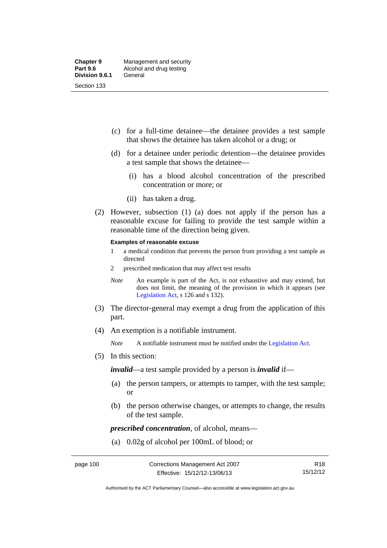- (c) for a full-time detainee—the detainee provides a test sample that shows the detainee has taken alcohol or a drug; or
- (d) for a detainee under periodic detention—the detainee provides a test sample that shows the detainee—
	- (i) has a blood alcohol concentration of the prescribed concentration or more; or
	- (ii) has taken a drug.
- (2) However, subsection (1) (a) does not apply if the person has a reasonable excuse for failing to provide the test sample within a reasonable time of the direction being given.

#### **Examples of reasonable excuse**

- 1 a medical condition that prevents the person from providing a test sample as directed
- 2 prescribed medication that may affect test results
- *Note* An example is part of the Act, is not exhaustive and may extend, but does not limit, the meaning of the provision in which it appears (see [Legislation Act,](http://www.legislation.act.gov.au/a/2001-14) s 126 and s 132).
- (3) The director-general may exempt a drug from the application of this part.
- (4) An exemption is a notifiable instrument.

*Note* A notifiable instrument must be notified under the [Legislation Act](http://www.legislation.act.gov.au/a/2001-14).

(5) In this section:

*invalid*—a test sample provided by a person is *invalid* if—

- (a) the person tampers, or attempts to tamper, with the test sample; or
- (b) the person otherwise changes, or attempts to change, the results of the test sample.

*prescribed concentration*, of alcohol, means—

(a) 0.02g of alcohol per 100mL of blood; or

R18 15/12/12

Authorised by the ACT Parliamentary Counsel—also accessible at www.legislation.act.gov.au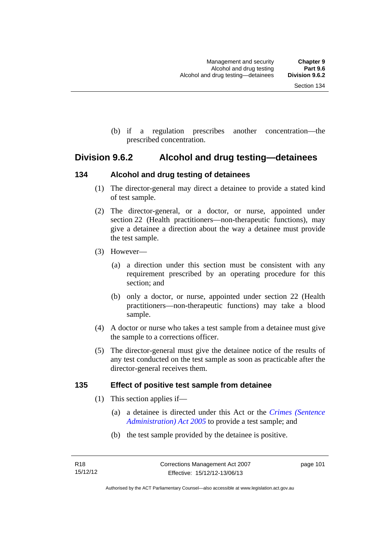(b) if a regulation prescribes another concentration—the prescribed concentration.

## **Division 9.6.2 Alcohol and drug testing—detainees**

### **134 Alcohol and drug testing of detainees**

- (1) The director-general may direct a detainee to provide a stated kind of test sample.
- (2) The director-general, or a doctor, or nurse, appointed under section 22 (Health practitioners—non-therapeutic functions), may give a detainee a direction about the way a detainee must provide the test sample.
- (3) However—
	- (a) a direction under this section must be consistent with any requirement prescribed by an operating procedure for this section; and
	- (b) only a doctor, or nurse, appointed under section 22 (Health practitioners—non-therapeutic functions) may take a blood sample.
- (4) A doctor or nurse who takes a test sample from a detainee must give the sample to a corrections officer.
- (5) The director-general must give the detainee notice of the results of any test conducted on the test sample as soon as practicable after the director-general receives them.

### **135 Effect of positive test sample from detainee**

- (1) This section applies if—
	- (a) a detainee is directed under this Act or the *[Crimes \(Sentence](http://www.legislation.act.gov.au/a/2005-59)  [Administration\) Act 2005](http://www.legislation.act.gov.au/a/2005-59)* to provide a test sample; and
	- (b) the test sample provided by the detainee is positive.

page 101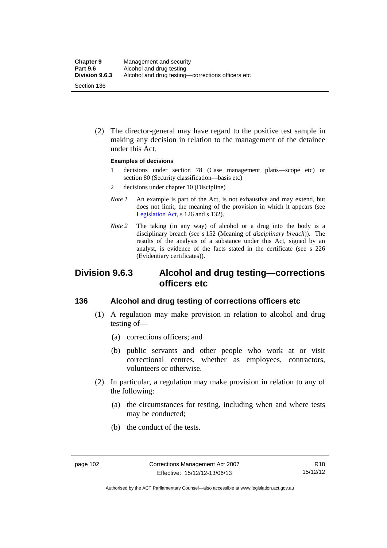(2) The director-general may have regard to the positive test sample in making any decision in relation to the management of the detainee under this Act.

#### **Examples of decisions**

- 1 decisions under section 78 (Case management plans—scope etc) or section 80 (Security classification—basis etc)
- 2 decisions under chapter 10 (Discipline)
- *Note 1* An example is part of the Act, is not exhaustive and may extend, but does not limit, the meaning of the provision in which it appears (see [Legislation Act,](http://www.legislation.act.gov.au/a/2001-14) s 126 and s 132).
- *Note* 2 The taking (in any way) of alcohol or a drug into the body is a disciplinary breach (see s 152 (Meaning of *disciplinary breach*)). The results of the analysis of a substance under this Act, signed by an analyst, is evidence of the facts stated in the certificate (see s 226 (Evidentiary certificates)).

## **Division 9.6.3 Alcohol and drug testing—corrections officers etc**

### **136 Alcohol and drug testing of corrections officers etc**

- (1) A regulation may make provision in relation to alcohol and drug testing of—
	- (a) corrections officers; and
	- (b) public servants and other people who work at or visit correctional centres, whether as employees, contractors, volunteers or otherwise.
- (2) In particular, a regulation may make provision in relation to any of the following:
	- (a) the circumstances for testing, including when and where tests may be conducted;
	- (b) the conduct of the tests.

Authorised by the ACT Parliamentary Counsel—also accessible at www.legislation.act.gov.au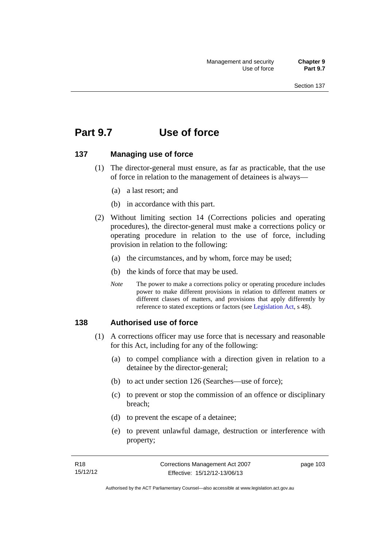# **Part 9.7 Use of force**

### **137 Managing use of force**

- (1) The director-general must ensure, as far as practicable, that the use of force in relation to the management of detainees is always—
	- (a) a last resort; and
	- (b) in accordance with this part.
- (2) Without limiting section 14 (Corrections policies and operating procedures), the director-general must make a corrections policy or operating procedure in relation to the use of force, including provision in relation to the following:
	- (a) the circumstances, and by whom, force may be used;
	- (b) the kinds of force that may be used.
	- *Note* The power to make a corrections policy or operating procedure includes power to make different provisions in relation to different matters or different classes of matters, and provisions that apply differently by reference to stated exceptions or factors (see [Legislation Act](http://www.legislation.act.gov.au/a/2001-14), s 48).

### **138 Authorised use of force**

- (1) A corrections officer may use force that is necessary and reasonable for this Act, including for any of the following:
	- (a) to compel compliance with a direction given in relation to a detainee by the director-general;
	- (b) to act under section 126 (Searches—use of force);
	- (c) to prevent or stop the commission of an offence or disciplinary breach;
	- (d) to prevent the escape of a detainee;
	- (e) to prevent unlawful damage, destruction or interference with property;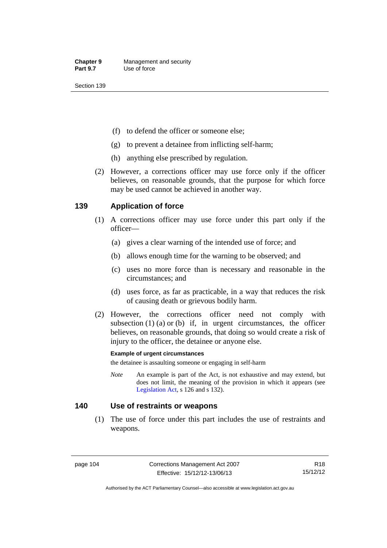- (f) to defend the officer or someone else;
- (g) to prevent a detainee from inflicting self-harm;
- (h) anything else prescribed by regulation.
- (2) However, a corrections officer may use force only if the officer believes, on reasonable grounds, that the purpose for which force may be used cannot be achieved in another way.

## **139 Application of force**

- (1) A corrections officer may use force under this part only if the officer—
	- (a) gives a clear warning of the intended use of force; and
	- (b) allows enough time for the warning to be observed; and
	- (c) uses no more force than is necessary and reasonable in the circumstances; and
	- (d) uses force, as far as practicable, in a way that reduces the risk of causing death or grievous bodily harm.
- (2) However, the corrections officer need not comply with subsection  $(1)$   $(a)$  or  $(b)$  if, in urgent circumstances, the officer believes, on reasonable grounds, that doing so would create a risk of injury to the officer, the detainee or anyone else.

### **Example of urgent circumstances**

the detainee is assaulting someone or engaging in self-harm

*Note* An example is part of the Act, is not exhaustive and may extend, but does not limit, the meaning of the provision in which it appears (see [Legislation Act,](http://www.legislation.act.gov.au/a/2001-14) s 126 and s 132).

### **140 Use of restraints or weapons**

 (1) The use of force under this part includes the use of restraints and weapons.

page 104 Corrections Management Act 2007 Effective: 15/12/12-13/06/13

R18 15/12/12

Authorised by the ACT Parliamentary Counsel—also accessible at www.legislation.act.gov.au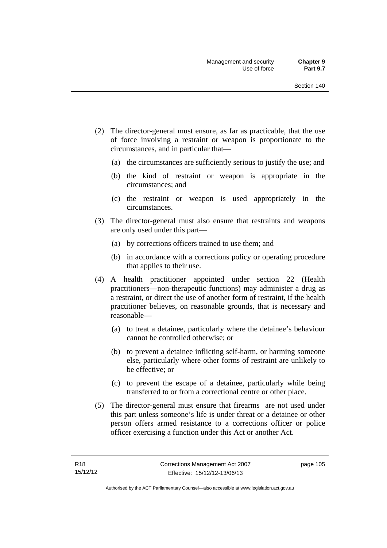- (2) The director-general must ensure, as far as practicable, that the use of force involving a restraint or weapon is proportionate to the circumstances, and in particular that—
	- (a) the circumstances are sufficiently serious to justify the use; and
	- (b) the kind of restraint or weapon is appropriate in the circumstances; and
	- (c) the restraint or weapon is used appropriately in the circumstances.
- (3) The director-general must also ensure that restraints and weapons are only used under this part—
	- (a) by corrections officers trained to use them; and
	- (b) in accordance with a corrections policy or operating procedure that applies to their use.
- (4) A health practitioner appointed under section 22 (Health practitioners—non-therapeutic functions) may administer a drug as a restraint, or direct the use of another form of restraint, if the health practitioner believes, on reasonable grounds, that is necessary and reasonable—
	- (a) to treat a detainee, particularly where the detainee's behaviour cannot be controlled otherwise; or
	- (b) to prevent a detainee inflicting self-harm, or harming someone else, particularly where other forms of restraint are unlikely to be effective; or
	- (c) to prevent the escape of a detainee, particularly while being transferred to or from a correctional centre or other place.
- (5) The director-general must ensure that firearms are not used under this part unless someone's life is under threat or a detainee or other person offers armed resistance to a corrections officer or police officer exercising a function under this Act or another Act.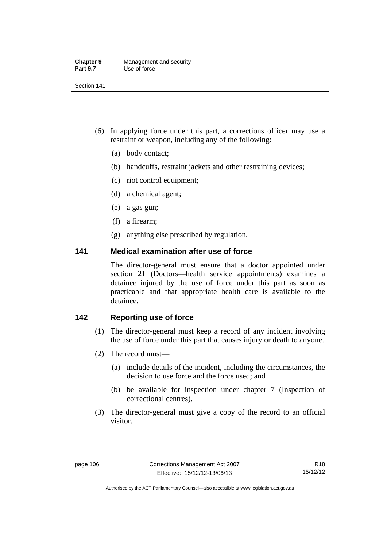| <b>Chapter 9</b> | Management and security |
|------------------|-------------------------|
| <b>Part 9.7</b>  | Use of force            |

- (6) In applying force under this part, a corrections officer may use a restraint or weapon, including any of the following:
	- (a) body contact;
	- (b) handcuffs, restraint jackets and other restraining devices;
	- (c) riot control equipment;
	- (d) a chemical agent;
	- (e) a gas gun;
	- (f) a firearm;
	- (g) anything else prescribed by regulation.

### **141 Medical examination after use of force**

The director-general must ensure that a doctor appointed under section 21 (Doctors—health service appointments) examines a detainee injured by the use of force under this part as soon as practicable and that appropriate health care is available to the detainee.

## **142 Reporting use of force**

- (1) The director-general must keep a record of any incident involving the use of force under this part that causes injury or death to anyone.
- (2) The record must—
	- (a) include details of the incident, including the circumstances, the decision to use force and the force used; and
	- (b) be available for inspection under chapter 7 (Inspection of correctional centres).
- (3) The director-general must give a copy of the record to an official visitor.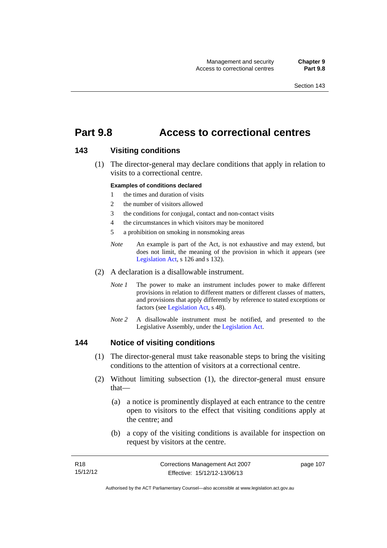# **Part 9.8 Access to correctional centres**

### **143 Visiting conditions**

 (1) The director-general may declare conditions that apply in relation to visits to a correctional centre.

#### **Examples of conditions declared**

- 1 the times and duration of visits
- 2 the number of visitors allowed
- 3 the conditions for conjugal, contact and non-contact visits
- 4 the circumstances in which visitors may be monitored
- 5 a prohibition on smoking in nonsmoking areas
- *Note* An example is part of the Act, is not exhaustive and may extend, but does not limit, the meaning of the provision in which it appears (see [Legislation Act,](http://www.legislation.act.gov.au/a/2001-14) s 126 and s 132).
- (2) A declaration is a disallowable instrument.
	- *Note I* The power to make an instrument includes power to make different provisions in relation to different matters or different classes of matters, and provisions that apply differently by reference to stated exceptions or factors (see [Legislation Act](http://www.legislation.act.gov.au/a/2001-14), s 48).
	- *Note 2* A disallowable instrument must be notified, and presented to the Legislative Assembly, under the [Legislation Act.](http://www.legislation.act.gov.au/a/2001-14)

### **144 Notice of visiting conditions**

- (1) The director-general must take reasonable steps to bring the visiting conditions to the attention of visitors at a correctional centre.
- (2) Without limiting subsection (1), the director-general must ensure that—
	- (a) a notice is prominently displayed at each entrance to the centre open to visitors to the effect that visiting conditions apply at the centre; and
	- (b) a copy of the visiting conditions is available for inspection on request by visitors at the centre.

| R18      | Corrections Management Act 2007 | page 107 |
|----------|---------------------------------|----------|
| 15/12/12 | Effective: 15/12/12-13/06/13    |          |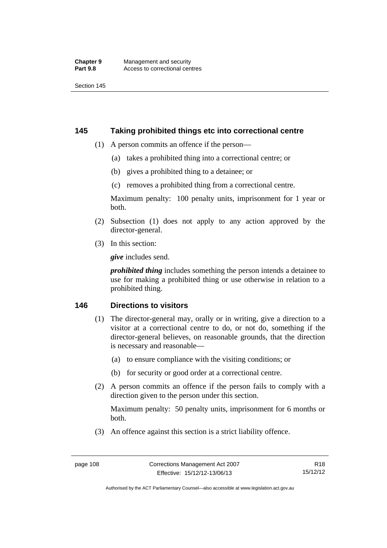### **145 Taking prohibited things etc into correctional centre**

- (1) A person commits an offence if the person—
	- (a) takes a prohibited thing into a correctional centre; or
	- (b) gives a prohibited thing to a detainee; or
	- (c) removes a prohibited thing from a correctional centre.

Maximum penalty: 100 penalty units, imprisonment for 1 year or both.

- (2) Subsection (1) does not apply to any action approved by the director-general.
- (3) In this section:

*give* includes send.

*prohibited thing* includes something the person intends a detainee to use for making a prohibited thing or use otherwise in relation to a prohibited thing.

### **146 Directions to visitors**

- (1) The director-general may, orally or in writing, give a direction to a visitor at a correctional centre to do, or not do, something if the director-general believes, on reasonable grounds, that the direction is necessary and reasonable—
	- (a) to ensure compliance with the visiting conditions; or
	- (b) for security or good order at a correctional centre.
- (2) A person commits an offence if the person fails to comply with a direction given to the person under this section.

Maximum penalty: 50 penalty units, imprisonment for 6 months or both.

(3) An offence against this section is a strict liability offence.

R18 15/12/12

Authorised by the ACT Parliamentary Counsel—also accessible at www.legislation.act.gov.au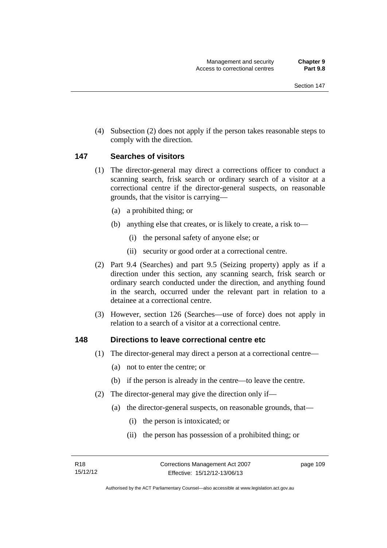(4) Subsection (2) does not apply if the person takes reasonable steps to comply with the direction.

### **147 Searches of visitors**

- (1) The director-general may direct a corrections officer to conduct a scanning search, frisk search or ordinary search of a visitor at a correctional centre if the director-general suspects, on reasonable grounds, that the visitor is carrying—
	- (a) a prohibited thing; or
	- (b) anything else that creates, or is likely to create, a risk to—
		- (i) the personal safety of anyone else; or
		- (ii) security or good order at a correctional centre.
- (2) Part 9.4 (Searches) and part 9.5 (Seizing property) apply as if a direction under this section, any scanning search, frisk search or ordinary search conducted under the direction, and anything found in the search, occurred under the relevant part in relation to a detainee at a correctional centre.
- (3) However, section 126 (Searches—use of force) does not apply in relation to a search of a visitor at a correctional centre.

### **148 Directions to leave correctional centre etc**

- (1) The director-general may direct a person at a correctional centre—
	- (a) not to enter the centre; or
	- (b) if the person is already in the centre—to leave the centre.
- (2) The director-general may give the direction only if—
	- (a) the director-general suspects, on reasonable grounds, that—
		- (i) the person is intoxicated; or
		- (ii) the person has possession of a prohibited thing; or

page 109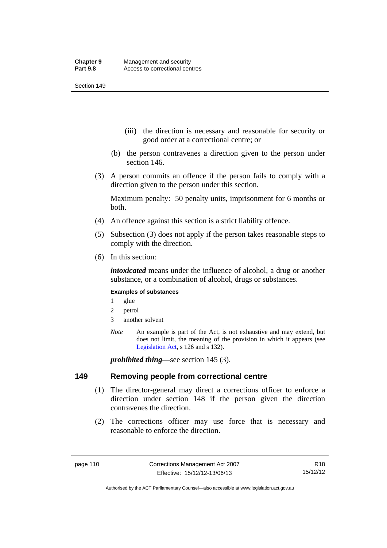- (iii) the direction is necessary and reasonable for security or good order at a correctional centre; or
- (b) the person contravenes a direction given to the person under section 146.
- (3) A person commits an offence if the person fails to comply with a direction given to the person under this section.

Maximum penalty: 50 penalty units, imprisonment for 6 months or both.

- (4) An offence against this section is a strict liability offence.
- (5) Subsection (3) does not apply if the person takes reasonable steps to comply with the direction.
- (6) In this section:

*intoxicated* means under the influence of alcohol, a drug or another substance, or a combination of alcohol, drugs or substances.

#### **Examples of substances**

- 1 glue
- 2 petrol
- 3 another solvent
- *Note* An example is part of the Act, is not exhaustive and may extend, but does not limit, the meaning of the provision in which it appears (see [Legislation Act,](http://www.legislation.act.gov.au/a/2001-14) s 126 and s 132).

*prohibited thing*—see section 145 (3).

### **149 Removing people from correctional centre**

- (1) The director-general may direct a corrections officer to enforce a direction under section 148 if the person given the direction contravenes the direction.
- (2) The corrections officer may use force that is necessary and reasonable to enforce the direction.

R18 15/12/12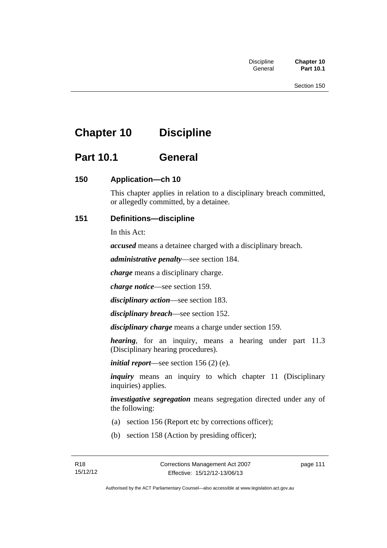# **Chapter 10 Discipline**

# **Part 10.1 General**

## **150 Application—ch 10**

This chapter applies in relation to a disciplinary breach committed, or allegedly committed, by a detainee.

## **151 Definitions—discipline**

In this Act:

*accused* means a detainee charged with a disciplinary breach.

*administrative penalty*—see section 184.

*charge* means a disciplinary charge.

*charge notice*—see section 159.

*disciplinary action*—see section 183.

*disciplinary breach*—see section 152.

*disciplinary charge* means a charge under section 159.

*hearing*, for an inquiry, means a hearing under part 11.3 (Disciplinary hearing procedures).

*initial report*—see section 156 (2) (e).

*inquiry* means an inquiry to which chapter 11 (Disciplinary inquiries) applies.

*investigative segregation* means segregation directed under any of the following:

- (a) section 156 (Report etc by corrections officer);
- (b) section 158 (Action by presiding officer);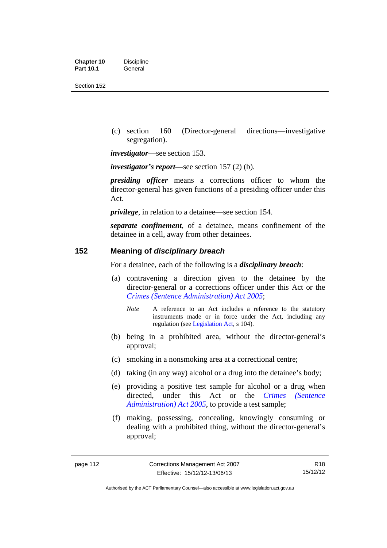| <b>Chapter 10</b> | <b>Discipline</b> |
|-------------------|-------------------|
| <b>Part 10.1</b>  | General           |

 (c) section 160 (Director-general directions—investigative segregation).

*investigator*—see section 153.

*investigator's report*—see section 157 (2) (b).

*presiding officer* means a corrections officer to whom the director-general has given functions of a presiding officer under this Act.

*privilege*, in relation to a detainee—see section 154.

*separate confinement*, of a detainee, means confinement of the detainee in a cell, away from other detainees.

### **152 Meaning of** *disciplinary breach*

For a detainee, each of the following is a *disciplinary breach*:

- (a) contravening a direction given to the detainee by the director-general or a corrections officer under this Act or the *[Crimes \(Sentence Administration\) Act 2005](http://www.legislation.act.gov.au/a/2005-59)*;
	- *Note* A reference to an Act includes a reference to the statutory instruments made or in force under the Act, including any regulation (see [Legislation Act,](http://www.legislation.act.gov.au/a/2001-14) s 104).
- (b) being in a prohibited area, without the director-general's approval;
- (c) smoking in a nonsmoking area at a correctional centre;
- (d) taking (in any way) alcohol or a drug into the detainee's body;
- (e) providing a positive test sample for alcohol or a drug when directed, under this Act or the *[Crimes \(Sentence](http://www.legislation.act.gov.au/a/2005-59)  [Administration\) Act 2005](http://www.legislation.act.gov.au/a/2005-59)*, to provide a test sample;
- (f) making, possessing, concealing, knowingly consuming or dealing with a prohibited thing, without the director-general's approval;

R18 15/12/12

Authorised by the ACT Parliamentary Counsel—also accessible at www.legislation.act.gov.au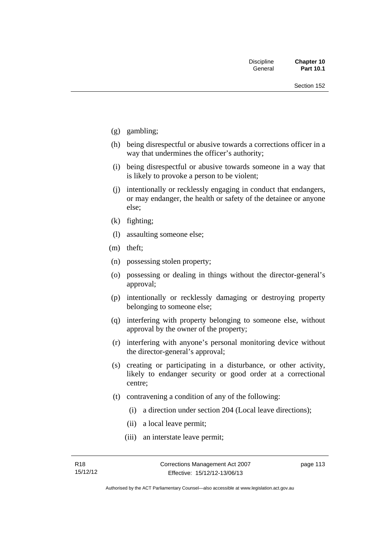- (g) gambling;
- (h) being disrespectful or abusive towards a corrections officer in a way that undermines the officer's authority;
- (i) being disrespectful or abusive towards someone in a way that is likely to provoke a person to be violent;
- (j) intentionally or recklessly engaging in conduct that endangers, or may endanger, the health or safety of the detainee or anyone else;
- (k) fighting;
- (l) assaulting someone else;
- (m) theft;
- (n) possessing stolen property;
- (o) possessing or dealing in things without the director-general's approval;
- (p) intentionally or recklessly damaging or destroying property belonging to someone else;
- (q) interfering with property belonging to someone else, without approval by the owner of the property;
- (r) interfering with anyone's personal monitoring device without the director-general's approval;
- (s) creating or participating in a disturbance, or other activity, likely to endanger security or good order at a correctional centre;
- (t) contravening a condition of any of the following:
	- (i) a direction under section 204 (Local leave directions);
	- (ii) a local leave permit;
	- (iii) an interstate leave permit;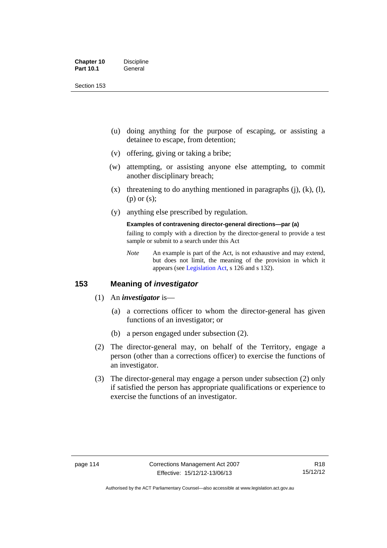| <b>Chapter 10</b> | <b>Discipline</b> |
|-------------------|-------------------|
| <b>Part 10.1</b>  | General           |

- (u) doing anything for the purpose of escaping, or assisting a detainee to escape, from detention;
- (v) offering, giving or taking a bribe;
- (w) attempting, or assisting anyone else attempting, to commit another disciplinary breach;
- $(x)$  threatening to do anything mentioned in paragraphs (j), (k), (l), (p) or (s);
- (y) anything else prescribed by regulation.

# **Examples of contravening director-general directions—par (a)**

failing to comply with a direction by the director-general to provide a test sample or submit to a search under this Act

*Note* An example is part of the Act, is not exhaustive and may extend, but does not limit, the meaning of the provision in which it appears (see [Legislation Act,](http://www.legislation.act.gov.au/a/2001-14) s 126 and s 132).

### **153 Meaning of** *investigator*

- (1) An *investigator* is—
	- (a) a corrections officer to whom the director-general has given functions of an investigator; or
	- (b) a person engaged under subsection (2).
- (2) The director-general may, on behalf of the Territory, engage a person (other than a corrections officer) to exercise the functions of an investigator.
- (3) The director-general may engage a person under subsection (2) only if satisfied the person has appropriate qualifications or experience to exercise the functions of an investigator.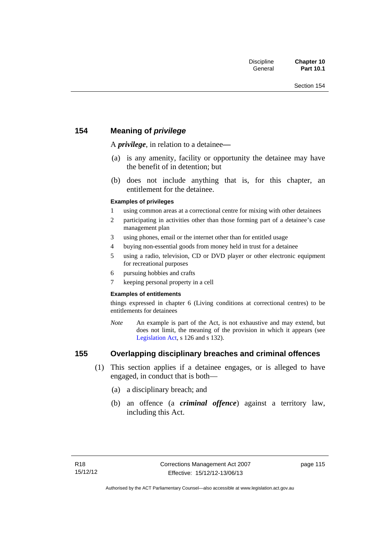## **154 Meaning of** *privilege*

A *privilege*, in relation to a detainee*—*

- (a) is any amenity, facility or opportunity the detainee may have the benefit of in detention; but
- (b) does not include anything that is, for this chapter, an entitlement for the detainee.

### **Examples of privileges**

- 1 using common areas at a correctional centre for mixing with other detainees
- 2 participating in activities other than those forming part of a detainee's case management plan
- 3 using phones, email or the internet other than for entitled usage
- 4 buying non-essential goods from money held in trust for a detainee
- 5 using a radio, television, CD or DVD player or other electronic equipment for recreational purposes
- 6 pursuing hobbies and crafts
- 7 keeping personal property in a cell

#### **Examples of entitlements**

things expressed in chapter 6 (Living conditions at correctional centres) to be entitlements for detainees

*Note* An example is part of the Act, is not exhaustive and may extend, but does not limit, the meaning of the provision in which it appears (see [Legislation Act,](http://www.legislation.act.gov.au/a/2001-14) s 126 and s 132).

## **155 Overlapping disciplinary breaches and criminal offences**

- (1) This section applies if a detainee engages, or is alleged to have engaged, in conduct that is both—
	- (a) a disciplinary breach; and
	- (b) an offence (a *criminal offence*) against a territory law, including this Act.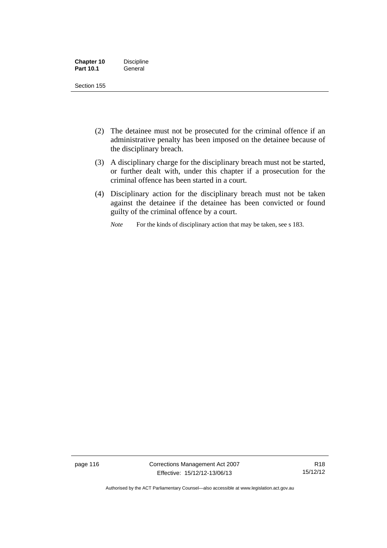| <b>Chapter 10</b> | <b>Discipline</b> |
|-------------------|-------------------|
| <b>Part 10.1</b>  | General           |

- (2) The detainee must not be prosecuted for the criminal offence if an administrative penalty has been imposed on the detainee because of the disciplinary breach.
- (3) A disciplinary charge for the disciplinary breach must not be started, or further dealt with, under this chapter if a prosecution for the criminal offence has been started in a court.
- (4) Disciplinary action for the disciplinary breach must not be taken against the detainee if the detainee has been convicted or found guilty of the criminal offence by a court.

*Note* For the kinds of disciplinary action that may be taken, see s 183.

page 116 Corrections Management Act 2007 Effective: 15/12/12-13/06/13

R18 15/12/12

Authorised by the ACT Parliamentary Counsel—also accessible at www.legislation.act.gov.au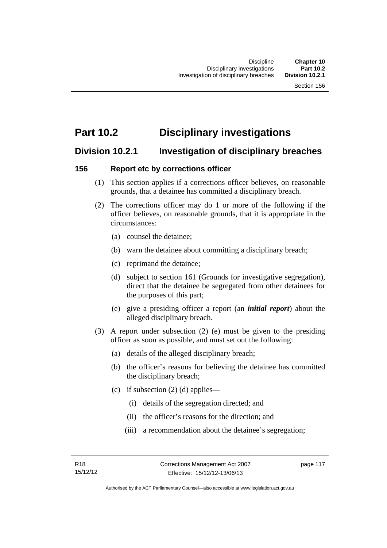# **Part 10.2 Disciplinary investigations**

# **Division 10.2.1 Investigation of disciplinary breaches**

## **156 Report etc by corrections officer**

- (1) This section applies if a corrections officer believes, on reasonable grounds, that a detainee has committed a disciplinary breach.
- (2) The corrections officer may do 1 or more of the following if the officer believes, on reasonable grounds, that it is appropriate in the circumstances:
	- (a) counsel the detainee;
	- (b) warn the detainee about committing a disciplinary breach;
	- (c) reprimand the detainee;
	- (d) subject to section 161 (Grounds for investigative segregation), direct that the detainee be segregated from other detainees for the purposes of this part;
	- (e) give a presiding officer a report (an *initial report*) about the alleged disciplinary breach.
- (3) A report under subsection (2) (e) must be given to the presiding officer as soon as possible, and must set out the following:
	- (a) details of the alleged disciplinary breach;
	- (b) the officer's reasons for believing the detainee has committed the disciplinary breach;
	- (c) if subsection  $(2)$  (d) applies—
		- (i) details of the segregation directed; and
		- (ii) the officer's reasons for the direction; and
		- (iii) a recommendation about the detainee's segregation;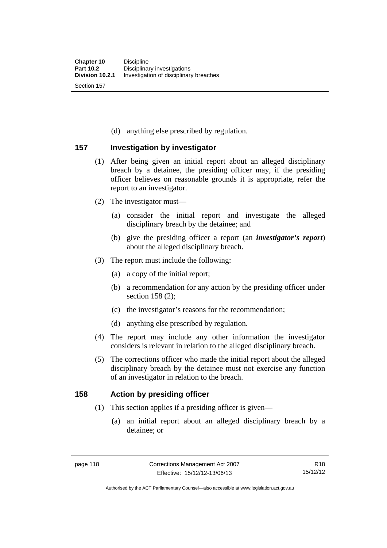(d) anything else prescribed by regulation.

## **157 Investigation by investigator**

- (1) After being given an initial report about an alleged disciplinary breach by a detainee, the presiding officer may, if the presiding officer believes on reasonable grounds it is appropriate, refer the report to an investigator.
- (2) The investigator must—
	- (a) consider the initial report and investigate the alleged disciplinary breach by the detainee; and
	- (b) give the presiding officer a report (an *investigator's report*) about the alleged disciplinary breach.
- (3) The report must include the following:
	- (a) a copy of the initial report;
	- (b) a recommendation for any action by the presiding officer under section 158 (2):
	- (c) the investigator's reasons for the recommendation;
	- (d) anything else prescribed by regulation.
- (4) The report may include any other information the investigator considers is relevant in relation to the alleged disciplinary breach.
- (5) The corrections officer who made the initial report about the alleged disciplinary breach by the detainee must not exercise any function of an investigator in relation to the breach.

## **158 Action by presiding officer**

- (1) This section applies if a presiding officer is given—
	- (a) an initial report about an alleged disciplinary breach by a detainee; or

Authorised by the ACT Parliamentary Counsel—also accessible at www.legislation.act.gov.au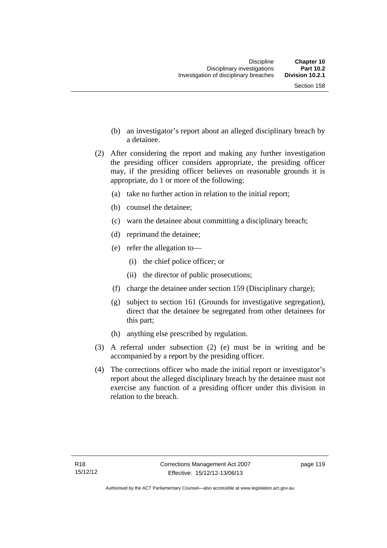- (b) an investigator's report about an alleged disciplinary breach by a detainee.
- (2) After considering the report and making any further investigation the presiding officer considers appropriate, the presiding officer may, if the presiding officer believes on reasonable grounds it is appropriate, do 1 or more of the following:
	- (a) take no further action in relation to the initial report;
	- (b) counsel the detainee;
	- (c) warn the detainee about committing a disciplinary breach;
	- (d) reprimand the detainee;
	- (e) refer the allegation to—
		- (i) the chief police officer; or
		- (ii) the director of public prosecutions;
	- (f) charge the detainee under section 159 (Disciplinary charge);
	- (g) subject to section 161 (Grounds for investigative segregation), direct that the detainee be segregated from other detainees for this part;
	- (h) anything else prescribed by regulation.
- (3) A referral under subsection (2) (e) must be in writing and be accompanied by a report by the presiding officer.
- (4) The corrections officer who made the initial report or investigator's report about the alleged disciplinary breach by the detainee must not exercise any function of a presiding officer under this division in relation to the breach.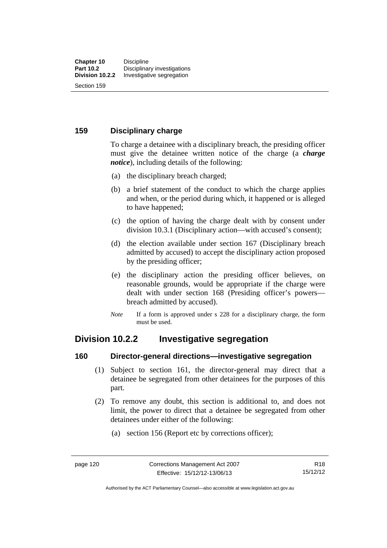### **159 Disciplinary charge**

To charge a detainee with a disciplinary breach, the presiding officer must give the detainee written notice of the charge (a *charge notice*), including details of the following:

- (a) the disciplinary breach charged;
- (b) a brief statement of the conduct to which the charge applies and when, or the period during which, it happened or is alleged to have happened;
- (c) the option of having the charge dealt with by consent under division 10.3.1 (Disciplinary action—with accused's consent);
- (d) the election available under section 167 (Disciplinary breach admitted by accused) to accept the disciplinary action proposed by the presiding officer;
- (e) the disciplinary action the presiding officer believes, on reasonable grounds, would be appropriate if the charge were dealt with under section 168 (Presiding officer's powers breach admitted by accused).
- *Note* If a form is approved under s 228 for a disciplinary charge, the form must be used.

# **Division 10.2.2 Investigative segregation**

### **160 Director-general directions—investigative segregation**

- (1) Subject to section 161, the director-general may direct that a detainee be segregated from other detainees for the purposes of this part.
- (2) To remove any doubt, this section is additional to, and does not limit, the power to direct that a detainee be segregated from other detainees under either of the following:
	- (a) section 156 (Report etc by corrections officer);

Authorised by the ACT Parliamentary Counsel—also accessible at www.legislation.act.gov.au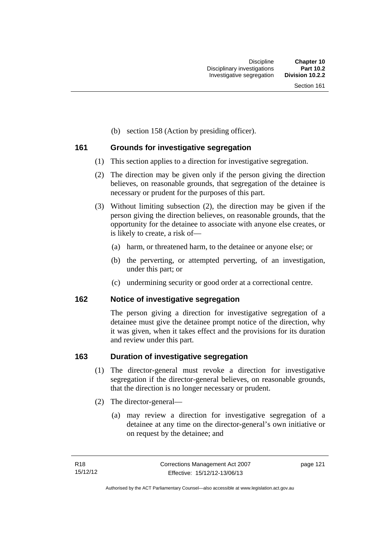(b) section 158 (Action by presiding officer).

## **161 Grounds for investigative segregation**

- (1) This section applies to a direction for investigative segregation.
- (2) The direction may be given only if the person giving the direction believes, on reasonable grounds, that segregation of the detainee is necessary or prudent for the purposes of this part.
- (3) Without limiting subsection (2), the direction may be given if the person giving the direction believes, on reasonable grounds, that the opportunity for the detainee to associate with anyone else creates, or is likely to create, a risk of—
	- (a) harm, or threatened harm, to the detainee or anyone else; or
	- (b) the perverting, or attempted perverting, of an investigation, under this part; or
	- (c) undermining security or good order at a correctional centre.

### **162 Notice of investigative segregation**

The person giving a direction for investigative segregation of a detainee must give the detainee prompt notice of the direction, why it was given, when it takes effect and the provisions for its duration and review under this part.

### **163 Duration of investigative segregation**

- (1) The director-general must revoke a direction for investigative segregation if the director-general believes, on reasonable grounds, that the direction is no longer necessary or prudent.
- (2) The director-general—
	- (a) may review a direction for investigative segregation of a detainee at any time on the director-general's own initiative or on request by the detainee; and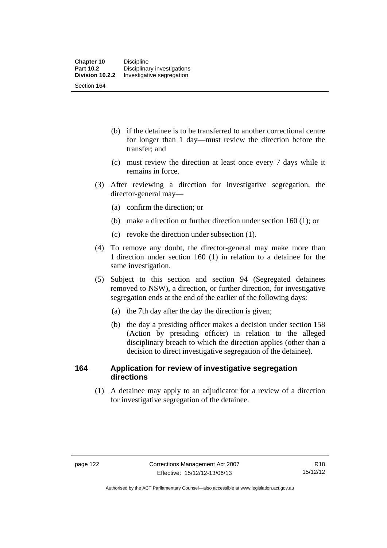- (b) if the detainee is to be transferred to another correctional centre for longer than 1 day—must review the direction before the transfer; and
- (c) must review the direction at least once every 7 days while it remains in force.
- (3) After reviewing a direction for investigative segregation, the director-general may—
	- (a) confirm the direction; or
	- (b) make a direction or further direction under section 160 (1); or
	- (c) revoke the direction under subsection (1).
- (4) To remove any doubt, the director-general may make more than 1 direction under section 160 (1) in relation to a detainee for the same investigation.
- (5) Subject to this section and section 94 (Segregated detainees removed to NSW), a direction, or further direction, for investigative segregation ends at the end of the earlier of the following days:
	- (a) the 7th day after the day the direction is given;
	- (b) the day a presiding officer makes a decision under section 158 (Action by presiding officer) in relation to the alleged disciplinary breach to which the direction applies (other than a decision to direct investigative segregation of the detainee).

### **164 Application for review of investigative segregation directions**

 (1) A detainee may apply to an adjudicator for a review of a direction for investigative segregation of the detainee.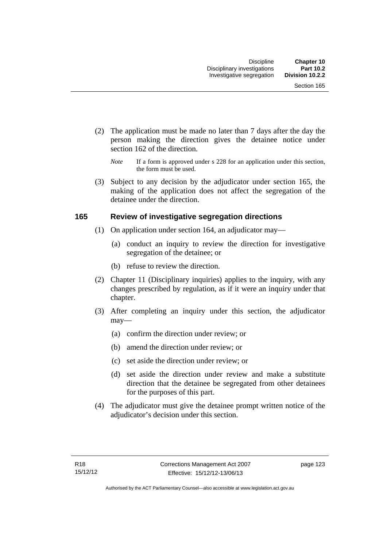- (2) The application must be made no later than 7 days after the day the person making the direction gives the detainee notice under section 162 of the direction.
	- *Note* If a form is approved under s 228 for an application under this section, the form must be used.
- (3) Subject to any decision by the adjudicator under section 165, the making of the application does not affect the segregation of the detainee under the direction.

### **165 Review of investigative segregation directions**

- (1) On application under section 164, an adjudicator may—
	- (a) conduct an inquiry to review the direction for investigative segregation of the detainee; or
	- (b) refuse to review the direction.
- (2) Chapter 11 (Disciplinary inquiries) applies to the inquiry, with any changes prescribed by regulation, as if it were an inquiry under that chapter.
- (3) After completing an inquiry under this section, the adjudicator may—
	- (a) confirm the direction under review; or
	- (b) amend the direction under review; or
	- (c) set aside the direction under review; or
	- (d) set aside the direction under review and make a substitute direction that the detainee be segregated from other detainees for the purposes of this part.
- (4) The adjudicator must give the detainee prompt written notice of the adjudicator's decision under this section.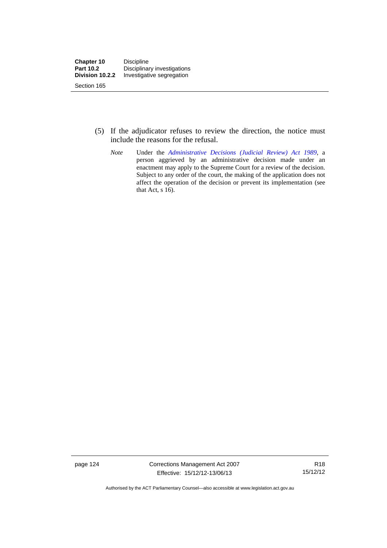- (5) If the adjudicator refuses to review the direction, the notice must include the reasons for the refusal.
	- *Note* Under the *[Administrative Decisions \(Judicial Review\) Act 1989](http://www.legislation.act.gov.au/a/alt_a1989-33co)*, a person aggrieved by an administrative decision made under an enactment may apply to the Supreme Court for a review of the decision. Subject to any order of the court, the making of the application does not affect the operation of the decision or prevent its implementation (see that Act, s 16).

page 124 Corrections Management Act 2007 Effective: 15/12/12-13/06/13

R18 15/12/12

Authorised by the ACT Parliamentary Counsel—also accessible at www.legislation.act.gov.au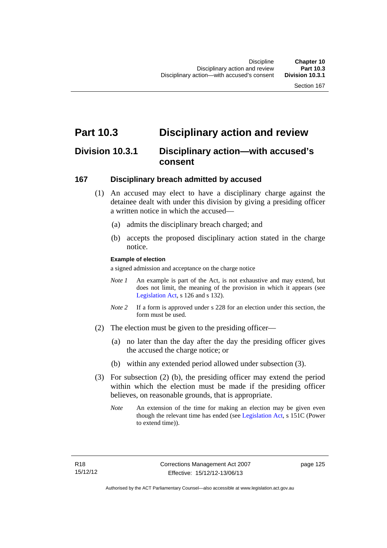# **Part 10.3 Disciplinary action and review**

## **Division 10.3.1 Disciplinary action—with accused's consent**

### **167 Disciplinary breach admitted by accused**

- (1) An accused may elect to have a disciplinary charge against the detainee dealt with under this division by giving a presiding officer a written notice in which the accused-
	- (a) admits the disciplinary breach charged; and
	- (b) accepts the proposed disciplinary action stated in the charge notice.

### **Example of election**

a signed admission and acceptance on the charge notice

- *Note 1* An example is part of the Act, is not exhaustive and may extend, but does not limit, the meaning of the provision in which it appears (see [Legislation Act,](http://www.legislation.act.gov.au/a/2001-14) s 126 and s 132).
- *Note* 2 If a form is approved under s 228 for an election under this section, the form must be used.
- (2) The election must be given to the presiding officer—
	- (a) no later than the day after the day the presiding officer gives the accused the charge notice; or
	- (b) within any extended period allowed under subsection (3).
- (3) For subsection (2) (b), the presiding officer may extend the period within which the election must be made if the presiding officer believes, on reasonable grounds, that is appropriate.
	- *Note* An extension of the time for making an election may be given even though the relevant time has ended (see [Legislation Act](http://www.legislation.act.gov.au/a/2001-14), s 151C (Power to extend time)).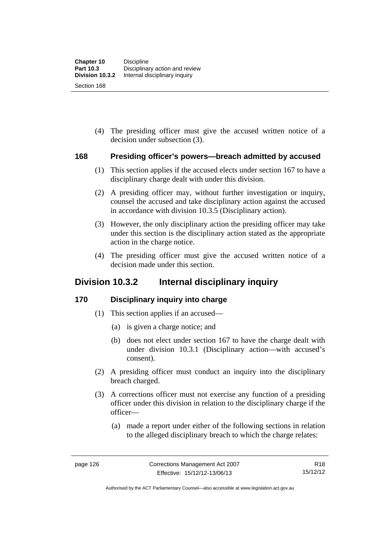(4) The presiding officer must give the accused written notice of a decision under subsection (3).

### **168 Presiding officer's powers—breach admitted by accused**

- (1) This section applies if the accused elects under section 167 to have a disciplinary charge dealt with under this division.
- (2) A presiding officer may, without further investigation or inquiry, counsel the accused and take disciplinary action against the accused in accordance with division 10.3.5 (Disciplinary action).
- (3) However, the only disciplinary action the presiding officer may take under this section is the disciplinary action stated as the appropriate action in the charge notice.
- (4) The presiding officer must give the accused written notice of a decision made under this section.

# **Division 10.3.2 Internal disciplinary inquiry**

### **170 Disciplinary inquiry into charge**

- (1) This section applies if an accused—
	- (a) is given a charge notice; and
	- (b) does not elect under section 167 to have the charge dealt with under division 10.3.1 (Disciplinary action—with accused's consent).
- (2) A presiding officer must conduct an inquiry into the disciplinary breach charged.
- (3) A corrections officer must not exercise any function of a presiding officer under this division in relation to the disciplinary charge if the officer—
	- (a) made a report under either of the following sections in relation to the alleged disciplinary breach to which the charge relates:

Authorised by the ACT Parliamentary Counsel—also accessible at www.legislation.act.gov.au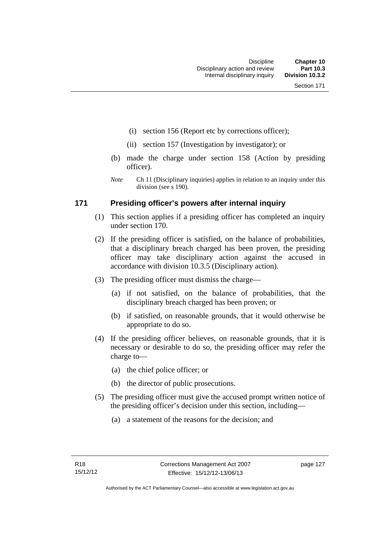- (i) section 156 (Report etc by corrections officer);
- (ii) section 157 (Investigation by investigator); or
- (b) made the charge under section 158 (Action by presiding officer).
- *Note* Ch 11 (Disciplinary inquiries) applies in relation to an inquiry under this division (see s 190).

### **171 Presiding officer's powers after internal inquiry**

- (1) This section applies if a presiding officer has completed an inquiry under section 170.
- (2) If the presiding officer is satisfied, on the balance of probabilities, that a disciplinary breach charged has been proven, the presiding officer may take disciplinary action against the accused in accordance with division 10.3.5 (Disciplinary action).
- (3) The presiding officer must dismiss the charge—
	- (a) if not satisfied, on the balance of probabilities, that the disciplinary breach charged has been proven; or
	- (b) if satisfied, on reasonable grounds, that it would otherwise be appropriate to do so.
- (4) If the presiding officer believes, on reasonable grounds, that it is necessary or desirable to do so, the presiding officer may refer the charge to—
	- (a) the chief police officer; or
	- (b) the director of public prosecutions.
- (5) The presiding officer must give the accused prompt written notice of the presiding officer's decision under this section, including—
	- (a) a statement of the reasons for the decision; and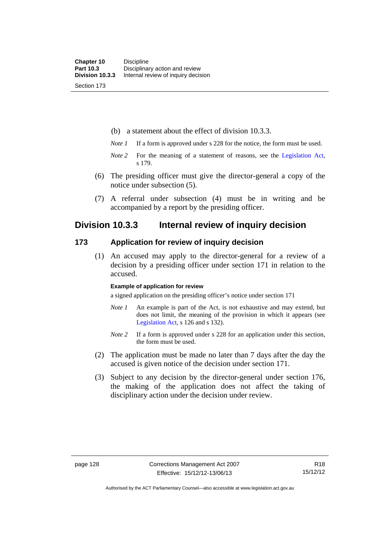(b) a statement about the effect of division 10.3.3.

- *Note 1* If a form is approved under s 228 for the notice, the form must be used.
- *Note 2* For the meaning of a statement of reasons, see the [Legislation Act,](http://www.legislation.act.gov.au/a/2001-14) s 179.
- (6) The presiding officer must give the director-general a copy of the notice under subsection (5).
- (7) A referral under subsection (4) must be in writing and be accompanied by a report by the presiding officer.

## **Division 10.3.3 Internal review of inquiry decision**

### **173 Application for review of inquiry decision**

 (1) An accused may apply to the director-general for a review of a decision by a presiding officer under section 171 in relation to the accused.

#### **Example of application for review**

a signed application on the presiding officer's notice under section 171

- *Note 1* An example is part of the Act, is not exhaustive and may extend, but does not limit, the meaning of the provision in which it appears (see [Legislation Act,](http://www.legislation.act.gov.au/a/2001-14) s 126 and s 132).
- *Note 2* If a form is approved under s 228 for an application under this section, the form must be used.
- (2) The application must be made no later than 7 days after the day the accused is given notice of the decision under section 171.
- (3) Subject to any decision by the director-general under section 176, the making of the application does not affect the taking of disciplinary action under the decision under review.

Authorised by the ACT Parliamentary Counsel—also accessible at www.legislation.act.gov.au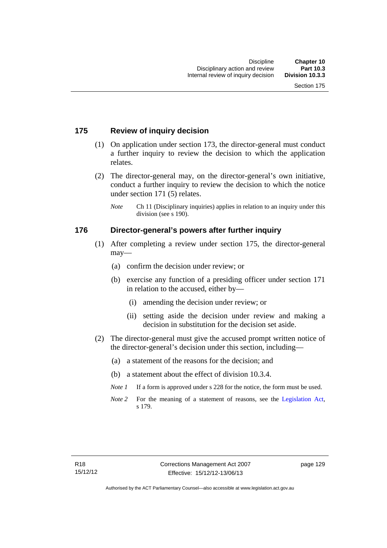### **175 Review of inquiry decision**

- (1) On application under section 173, the director-general must conduct a further inquiry to review the decision to which the application relates.
- (2) The director-general may, on the director-general's own initiative, conduct a further inquiry to review the decision to which the notice under section 171 (5) relates.
	- *Note* Ch 11 (Disciplinary inquiries) applies in relation to an inquiry under this division (see s 190).

### **176 Director-general's powers after further inquiry**

- (1) After completing a review under section 175, the director-general may—
	- (a) confirm the decision under review; or
	- (b) exercise any function of a presiding officer under section 171 in relation to the accused, either by—
		- (i) amending the decision under review; or
		- (ii) setting aside the decision under review and making a decision in substitution for the decision set aside.
- (2) The director-general must give the accused prompt written notice of the director-general's decision under this section, including—
	- (a) a statement of the reasons for the decision; and
	- (b) a statement about the effect of division 10.3.4.
	- *Note 1* If a form is approved under s 228 for the notice, the form must be used.
	- *Note* 2 For the meaning of a statement of reasons, see the [Legislation Act,](http://www.legislation.act.gov.au/a/2001-14) s 179.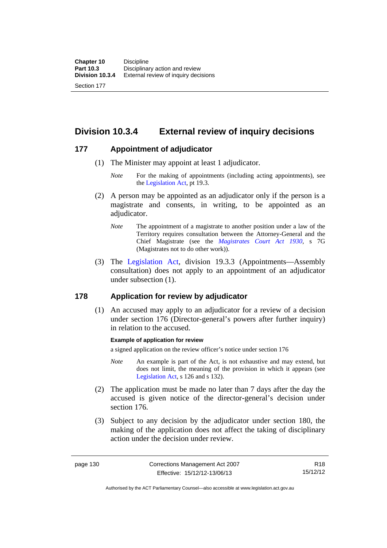Section 177

**Division 10.3.4 External review of inquiry decisions** 

### **177 Appointment of adjudicator**

- (1) The Minister may appoint at least 1 adjudicator.
	- *Note* For the making of appointments (including acting appointments), see the [Legislation Act,](http://www.legislation.act.gov.au/a/2001-14) pt 19.3.
- (2) A person may be appointed as an adjudicator only if the person is a magistrate and consents, in writing, to be appointed as an adjudicator.
	- *Note* The appointment of a magistrate to another position under a law of the Territory requires consultation between the Attorney-General and the Chief Magistrate (see the *[Magistrates Court Act 1930](http://www.legislation.act.gov.au/a/1930-21)*, s 7G (Magistrates not to do other work)).
- (3) The [Legislation Act,](http://www.legislation.act.gov.au/a/2001-14) division 19.3.3 (Appointments—Assembly consultation) does not apply to an appointment of an adjudicator under subsection (1).

### **178 Application for review by adjudicator**

 (1) An accused may apply to an adjudicator for a review of a decision under section 176 (Director-general's powers after further inquiry) in relation to the accused.

#### **Example of application for review**

a signed application on the review officer's notice under section 176

- *Note* An example is part of the Act, is not exhaustive and may extend, but does not limit, the meaning of the provision in which it appears (see [Legislation Act,](http://www.legislation.act.gov.au/a/2001-14) s 126 and s 132).
- (2) The application must be made no later than 7 days after the day the accused is given notice of the director-general's decision under section 176.
- (3) Subject to any decision by the adjudicator under section 180, the making of the application does not affect the taking of disciplinary action under the decision under review.

Authorised by the ACT Parliamentary Counsel—also accessible at www.legislation.act.gov.au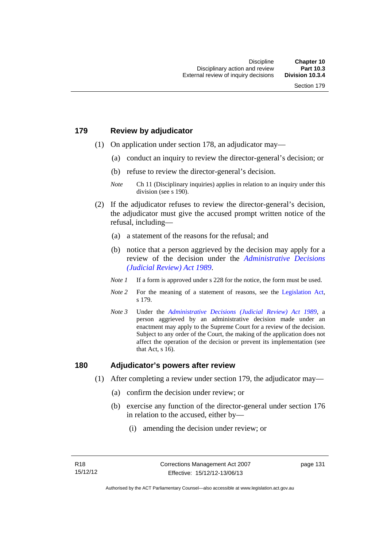### **179 Review by adjudicator**

- (1) On application under section 178, an adjudicator may—
	- (a) conduct an inquiry to review the director-general's decision; or
	- (b) refuse to review the director-general's decision.

- (2) If the adjudicator refuses to review the director-general's decision, the adjudicator must give the accused prompt written notice of the refusal, including—
	- (a) a statement of the reasons for the refusal; and
	- (b) notice that a person aggrieved by the decision may apply for a review of the decision under the *[Administrative Decisions](http://www.legislation.act.gov.au/a/alt_a1989-33co)  [\(Judicial Review\) Act 1989](http://www.legislation.act.gov.au/a/alt_a1989-33co)*.
	- *Note 1* If a form is approved under s 228 for the notice, the form must be used.
	- *Note 2* For the meaning of a statement of reasons, see the [Legislation Act,](http://www.legislation.act.gov.au/a/2001-14) s 179.
	- *Note 3* Under the *[Administrative Decisions \(Judicial Review\) Act 1989](http://www.legislation.act.gov.au/a/alt_a1989-33co)*, a person aggrieved by an administrative decision made under an enactment may apply to the Supreme Court for a review of the decision. Subject to any order of the Court, the making of the application does not affect the operation of the decision or prevent its implementation (see that Act, s 16).

#### **180 Adjudicator's powers after review**

- (1) After completing a review under section 179, the adjudicator may—
	- (a) confirm the decision under review; or
	- (b) exercise any function of the director-general under section 176 in relation to the accused, either by—
		- (i) amending the decision under review; or

*Note* Ch 11 (Disciplinary inquiries) applies in relation to an inquiry under this division (see s 190).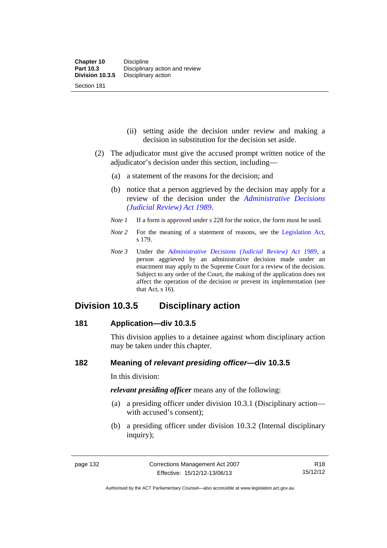- (ii) setting aside the decision under review and making a decision in substitution for the decision set aside.
- (2) The adjudicator must give the accused prompt written notice of the adjudicator's decision under this section, including—
	- (a) a statement of the reasons for the decision; and
	- (b) notice that a person aggrieved by the decision may apply for a review of the decision under the *[Administrative Decisions](http://www.legislation.act.gov.au/a/alt_a1989-33co)  [\(Judicial Review\) Act 1989](http://www.legislation.act.gov.au/a/alt_a1989-33co)*.
	- *Note 1* If a form is approved under s 228 for the notice, the form must be used.
	- *Note* 2 For the meaning of a statement of reasons, see the [Legislation Act,](http://www.legislation.act.gov.au/a/2001-14) s 179.
	- *Note 3* Under the *[Administrative Decisions \(Judicial Review\) Act 1989](http://www.legislation.act.gov.au/a/alt_a1989-33co)*, a person aggrieved by an administrative decision made under an enactment may apply to the Supreme Court for a review of the decision. Subject to any order of the Court, the making of the application does not affect the operation of the decision or prevent its implementation (see that Act, s 16).

## **Division 10.3.5 Disciplinary action**

### **181 Application—div 10.3.5**

This division applies to a detainee against whom disciplinary action may be taken under this chapter.

### **182 Meaning of** *relevant presiding officer***—div 10.3.5**

In this division:

*relevant presiding officer* means any of the following:

- (a) a presiding officer under division 10.3.1 (Disciplinary action with accused's consent);
- (b) a presiding officer under division 10.3.2 (Internal disciplinary inquiry);

Authorised by the ACT Parliamentary Counsel—also accessible at www.legislation.act.gov.au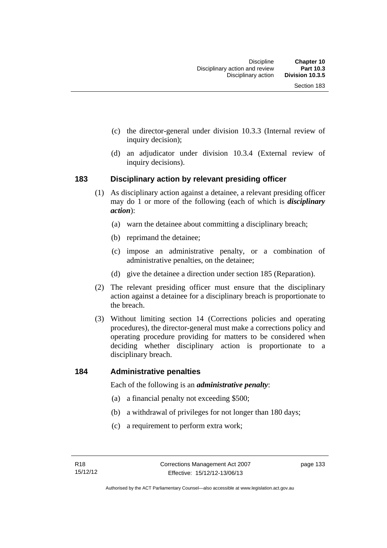- (c) the director-general under division 10.3.3 (Internal review of inquiry decision);
- (d) an adjudicator under division 10.3.4 (External review of inquiry decisions).

### **183 Disciplinary action by relevant presiding officer**

- (1) As disciplinary action against a detainee, a relevant presiding officer may do 1 or more of the following (each of which is *disciplinary action*):
	- (a) warn the detainee about committing a disciplinary breach;
	- (b) reprimand the detainee;
	- (c) impose an administrative penalty, or a combination of administrative penalties, on the detainee;
	- (d) give the detainee a direction under section 185 (Reparation).
- (2) The relevant presiding officer must ensure that the disciplinary action against a detainee for a disciplinary breach is proportionate to the breach.
- (3) Without limiting section 14 (Corrections policies and operating procedures), the director-general must make a corrections policy and operating procedure providing for matters to be considered when deciding whether disciplinary action is proportionate to a disciplinary breach.

#### **184 Administrative penalties**

Each of the following is an *administrative penalty*:

- (a) a financial penalty not exceeding \$500;
- (b) a withdrawal of privileges for not longer than 180 days;
- (c) a requirement to perform extra work;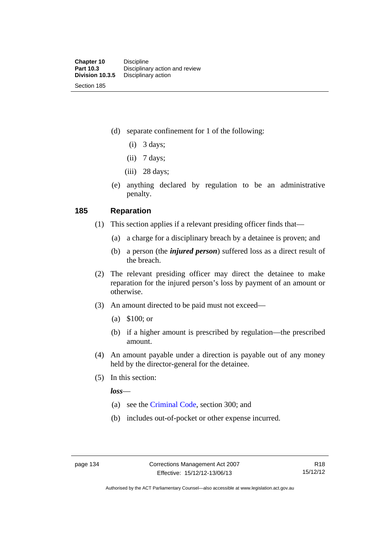(d) separate confinement for 1 of the following:

- $(i)$  3 days;
- $(ii)$  7 days;
- (iii) 28 days;
- (e) anything declared by regulation to be an administrative penalty.

### **185 Reparation**

- (1) This section applies if a relevant presiding officer finds that—
	- (a) a charge for a disciplinary breach by a detainee is proven; and
	- (b) a person (the *injured person*) suffered loss as a direct result of the breach.
- (2) The relevant presiding officer may direct the detainee to make reparation for the injured person's loss by payment of an amount or otherwise.
- (3) An amount directed to be paid must not exceed—
	- (a) \$100; or
	- (b) if a higher amount is prescribed by regulation—the prescribed amount.
- (4) An amount payable under a direction is payable out of any money held by the director-general for the detainee.
- (5) In this section:

*loss*—

- (a) see the [Criminal Code](http://www.legislation.act.gov.au/a/2002-51), section 300; and
- (b) includes out-of-pocket or other expense incurred.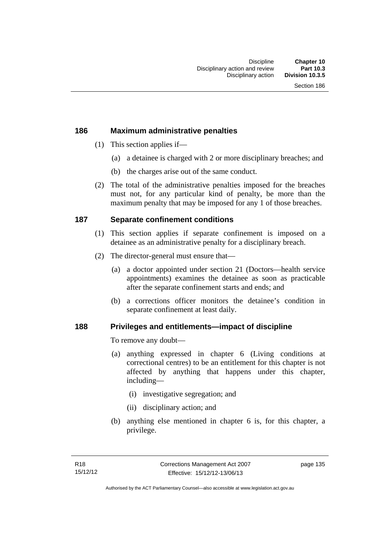### **186 Maximum administrative penalties**

- (1) This section applies if—
	- (a) a detainee is charged with 2 or more disciplinary breaches; and
	- (b) the charges arise out of the same conduct.
- (2) The total of the administrative penalties imposed for the breaches must not, for any particular kind of penalty, be more than the maximum penalty that may be imposed for any 1 of those breaches.

### **187 Separate confinement conditions**

- (1) This section applies if separate confinement is imposed on a detainee as an administrative penalty for a disciplinary breach.
- (2) The director-general must ensure that—
	- (a) a doctor appointed under section 21 (Doctors—health service appointments) examines the detainee as soon as practicable after the separate confinement starts and ends; and
	- (b) a corrections officer monitors the detainee's condition in separate confinement at least daily.

### **188 Privileges and entitlements—impact of discipline**

To remove any doubt—

- (a) anything expressed in chapter 6 (Living conditions at correctional centres) to be an entitlement for this chapter is not affected by anything that happens under this chapter, including—
	- (i) investigative segregation; and
	- (ii) disciplinary action; and
- (b) anything else mentioned in chapter 6 is, for this chapter, a privilege.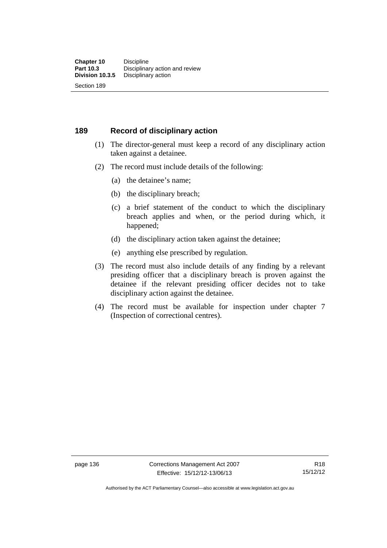### **189 Record of disciplinary action**

- (1) The director-general must keep a record of any disciplinary action taken against a detainee.
- (2) The record must include details of the following:
	- (a) the detainee's name;
	- (b) the disciplinary breach;
	- (c) a brief statement of the conduct to which the disciplinary breach applies and when, or the period during which, it happened;
	- (d) the disciplinary action taken against the detainee;
	- (e) anything else prescribed by regulation.
- (3) The record must also include details of any finding by a relevant presiding officer that a disciplinary breach is proven against the detainee if the relevant presiding officer decides not to take disciplinary action against the detainee.
- (4) The record must be available for inspection under chapter 7 (Inspection of correctional centres).

R18 15/12/12

Authorised by the ACT Parliamentary Counsel—also accessible at www.legislation.act.gov.au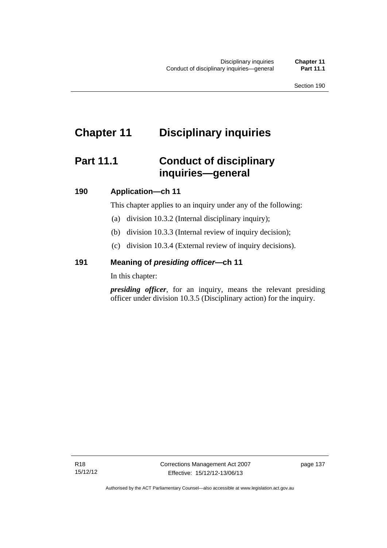# **Chapter 11 Disciplinary inquiries**

# **Part 11.1 Conduct of disciplinary inquiries—general**

### **190 Application—ch 11**

This chapter applies to an inquiry under any of the following:

- (a) division 10.3.2 (Internal disciplinary inquiry);
- (b) division 10.3.3 (Internal review of inquiry decision);
- (c) division 10.3.4 (External review of inquiry decisions).

### **191 Meaning of** *presiding officer—***ch 11**

In this chapter:

*presiding officer*, for an inquiry, means the relevant presiding officer under division 10.3.5 (Disciplinary action) for the inquiry.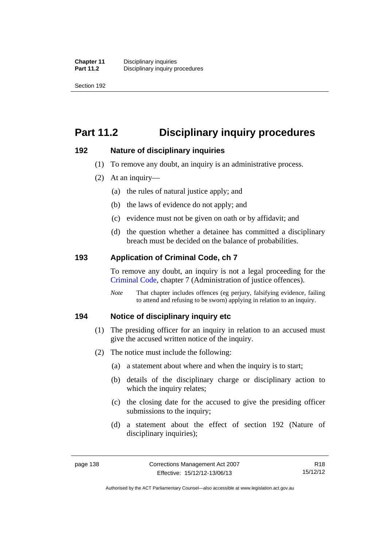Section 192

# **Part 11.2 Disciplinary inquiry procedures**

### **192 Nature of disciplinary inquiries**

- (1) To remove any doubt, an inquiry is an administrative process.
- (2) At an inquiry—
	- (a) the rules of natural justice apply; and
	- (b) the laws of evidence do not apply; and
	- (c) evidence must not be given on oath or by affidavit; and
	- (d) the question whether a detainee has committed a disciplinary breach must be decided on the balance of probabilities.

### **193 Application of Criminal Code, ch 7**

To remove any doubt, an inquiry is not a legal proceeding for the [Criminal Code](http://www.legislation.act.gov.au/a/2002-51), chapter 7 (Administration of justice offences).

*Note* That chapter includes offences (eg perjury, falsifying evidence, failing to attend and refusing to be sworn) applying in relation to an inquiry.

### **194 Notice of disciplinary inquiry etc**

- (1) The presiding officer for an inquiry in relation to an accused must give the accused written notice of the inquiry.
- (2) The notice must include the following:
	- (a) a statement about where and when the inquiry is to start;
	- (b) details of the disciplinary charge or disciplinary action to which the inquiry relates:
	- (c) the closing date for the accused to give the presiding officer submissions to the inquiry;
	- (d) a statement about the effect of section 192 (Nature of disciplinary inquiries);

R18 15/12/12

Authorised by the ACT Parliamentary Counsel—also accessible at www.legislation.act.gov.au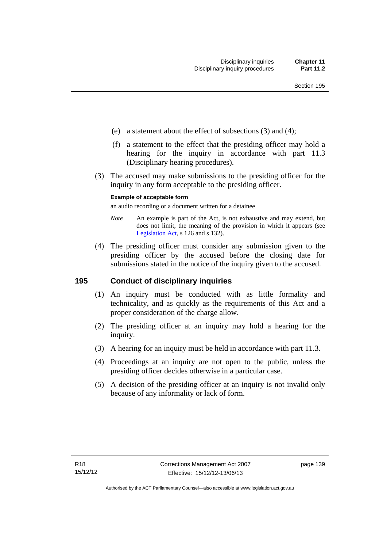- (e) a statement about the effect of subsections (3) and (4);
- (f) a statement to the effect that the presiding officer may hold a hearing for the inquiry in accordance with part 11.3 (Disciplinary hearing procedures).
- (3) The accused may make submissions to the presiding officer for the inquiry in any form acceptable to the presiding officer.

#### **Example of acceptable form**

an audio recording or a document written for a detainee

- *Note* An example is part of the Act, is not exhaustive and may extend, but does not limit, the meaning of the provision in which it appears (see [Legislation Act,](http://www.legislation.act.gov.au/a/2001-14) s 126 and s 132).
- (4) The presiding officer must consider any submission given to the presiding officer by the accused before the closing date for submissions stated in the notice of the inquiry given to the accused.

### **195 Conduct of disciplinary inquiries**

- (1) An inquiry must be conducted with as little formality and technicality, and as quickly as the requirements of this Act and a proper consideration of the charge allow.
- (2) The presiding officer at an inquiry may hold a hearing for the inquiry.
- (3) A hearing for an inquiry must be held in accordance with part 11.3.
- (4) Proceedings at an inquiry are not open to the public, unless the presiding officer decides otherwise in a particular case.
- (5) A decision of the presiding officer at an inquiry is not invalid only because of any informality or lack of form.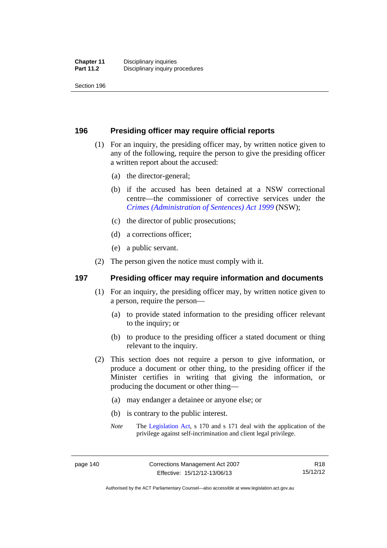Section 196

### **196 Presiding officer may require official reports**

- (1) For an inquiry, the presiding officer may, by written notice given to any of the following, require the person to give the presiding officer a written report about the accused:
	- (a) the director-general;
	- (b) if the accused has been detained at a NSW correctional centre—the commissioner of corrective services under the *[Crimes \(Administration of Sentences\) Act 1999](http://www.legislation.nsw.gov.au/maintop/view/inforce/act+93+1999+cd+0+N)* (NSW);
	- (c) the director of public prosecutions;
	- (d) a corrections officer;
	- (e) a public servant.
- (2) The person given the notice must comply with it.

### **197 Presiding officer may require information and documents**

- (1) For an inquiry, the presiding officer may, by written notice given to a person, require the person—
	- (a) to provide stated information to the presiding officer relevant to the inquiry; or
	- (b) to produce to the presiding officer a stated document or thing relevant to the inquiry.
- (2) This section does not require a person to give information, or produce a document or other thing, to the presiding officer if the Minister certifies in writing that giving the information, or producing the document or other thing—
	- (a) may endanger a detainee or anyone else; or
	- (b) is contrary to the public interest.
	- *Note* The [Legislation Act,](http://www.legislation.act.gov.au/a/2001-14) s 170 and s 171 deal with the application of the privilege against self-incrimination and client legal privilege.

Authorised by the ACT Parliamentary Counsel—also accessible at www.legislation.act.gov.au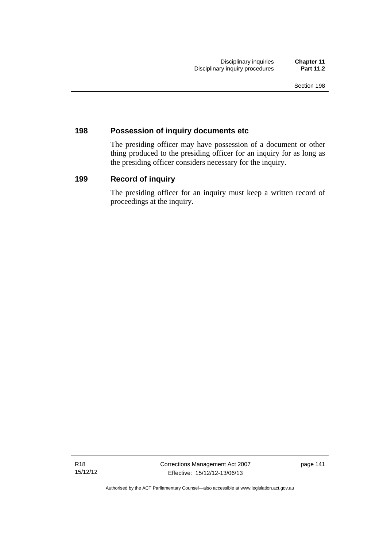### **198 Possession of inquiry documents etc**

The presiding officer may have possession of a document or other thing produced to the presiding officer for an inquiry for as long as the presiding officer considers necessary for the inquiry.

### **199 Record of inquiry**

The presiding officer for an inquiry must keep a written record of proceedings at the inquiry.

R18 15/12/12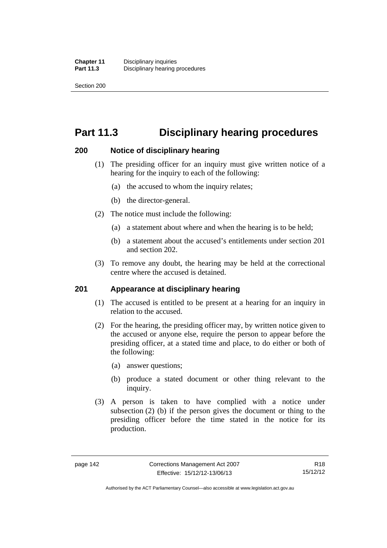Section 200

# **Part 11.3 Disciplinary hearing procedures**

### **200 Notice of disciplinary hearing**

- (1) The presiding officer for an inquiry must give written notice of a hearing for the inquiry to each of the following:
	- (a) the accused to whom the inquiry relates;
	- (b) the director-general.
- (2) The notice must include the following:
	- (a) a statement about where and when the hearing is to be held;
	- (b) a statement about the accused's entitlements under section 201 and section 202.
- (3) To remove any doubt, the hearing may be held at the correctional centre where the accused is detained.

### **201 Appearance at disciplinary hearing**

- (1) The accused is entitled to be present at a hearing for an inquiry in relation to the accused.
- (2) For the hearing, the presiding officer may, by written notice given to the accused or anyone else, require the person to appear before the presiding officer, at a stated time and place, to do either or both of the following:
	- (a) answer questions;
	- (b) produce a stated document or other thing relevant to the inquiry.
- (3) A person is taken to have complied with a notice under subsection (2) (b) if the person gives the document or thing to the presiding officer before the time stated in the notice for its production.

Authorised by the ACT Parliamentary Counsel—also accessible at www.legislation.act.gov.au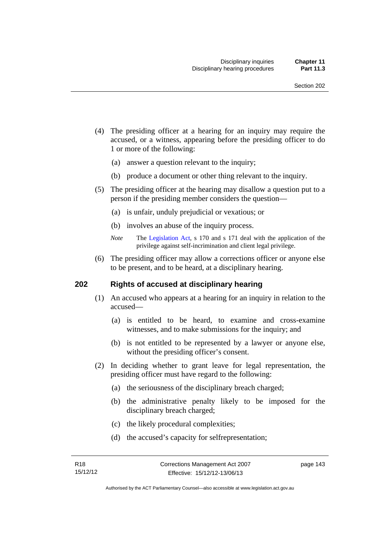- (4) The presiding officer at a hearing for an inquiry may require the accused, or a witness, appearing before the presiding officer to do 1 or more of the following:
	- (a) answer a question relevant to the inquiry;
	- (b) produce a document or other thing relevant to the inquiry.
- (5) The presiding officer at the hearing may disallow a question put to a person if the presiding member considers the question—
	- (a) is unfair, unduly prejudicial or vexatious; or
	- (b) involves an abuse of the inquiry process.
	- *Note* The [Legislation Act,](http://www.legislation.act.gov.au/a/2001-14) s 170 and s 171 deal with the application of the privilege against self-incrimination and client legal privilege.
- (6) The presiding officer may allow a corrections officer or anyone else to be present, and to be heard, at a disciplinary hearing.

### **202 Rights of accused at disciplinary hearing**

- (1) An accused who appears at a hearing for an inquiry in relation to the accused—
	- (a) is entitled to be heard, to examine and cross-examine witnesses, and to make submissions for the inquiry; and
	- (b) is not entitled to be represented by a lawyer or anyone else, without the presiding officer's consent.
- (2) In deciding whether to grant leave for legal representation, the presiding officer must have regard to the following:
	- (a) the seriousness of the disciplinary breach charged;
	- (b) the administrative penalty likely to be imposed for the disciplinary breach charged;
	- (c) the likely procedural complexities;
	- (d) the accused's capacity for selfrepresentation;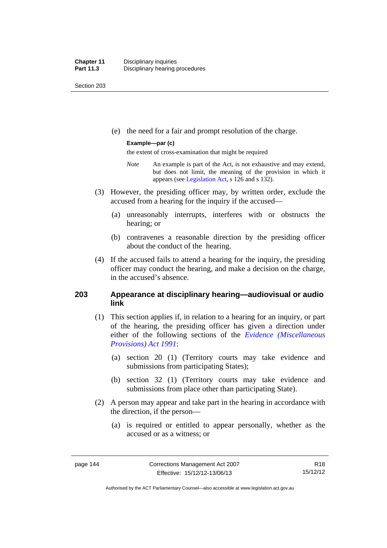Section 203

(e) the need for a fair and prompt resolution of the charge.

#### **Example—par (c)**

the extent of cross-examination that might be required

- *Note* An example is part of the Act, is not exhaustive and may extend, but does not limit, the meaning of the provision in which it appears (see [Legislation Act,](http://www.legislation.act.gov.au/a/2001-14) s 126 and s 132).
- (3) However, the presiding officer may, by written order, exclude the accused from a hearing for the inquiry if the accused—
	- (a) unreasonably interrupts, interferes with or obstructs the hearing; or
	- (b) contravenes a reasonable direction by the presiding officer about the conduct of the hearing.
- (4) If the accused fails to attend a hearing for the inquiry, the presiding officer may conduct the hearing, and make a decision on the charge, in the accused's absence.

### **203 Appearance at disciplinary hearing—audiovisual or audio link**

- (1) This section applies if, in relation to a hearing for an inquiry, or part of the hearing, the presiding officer has given a direction under either of the following sections of the *[Evidence \(Miscellaneous](http://www.legislation.act.gov.au/a/1991-34)  [Provisions\) Act 1991](http://www.legislation.act.gov.au/a/1991-34)*:
	- (a) section 20 (1) (Territory courts may take evidence and submissions from participating States);
	- (b) section 32 (1) (Territory courts may take evidence and submissions from place other than participating State).
- (2) A person may appear and take part in the hearing in accordance with the direction, if the person—
	- (a) is required or entitled to appear personally, whether as the accused or as a witness; or

Authorised by the ACT Parliamentary Counsel—also accessible at www.legislation.act.gov.au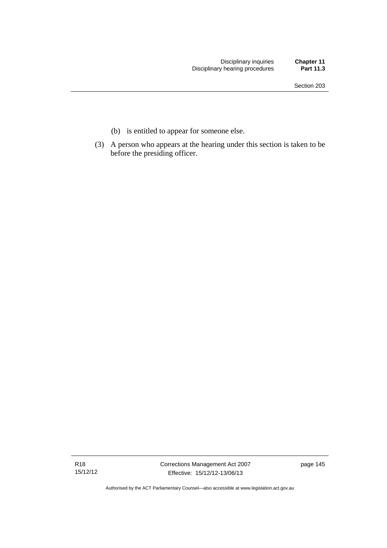- (b) is entitled to appear for someone else.
- (3) A person who appears at the hearing under this section is taken to be before the presiding officer.

R18 15/12/12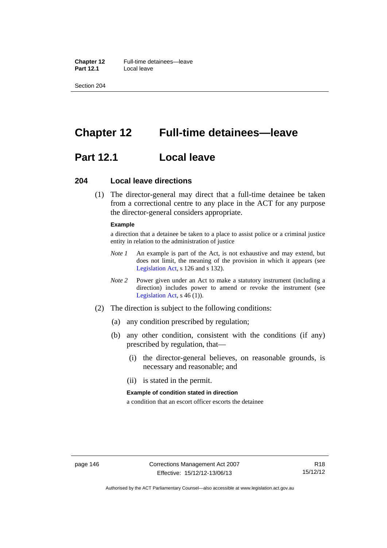**Chapter 12** Full-time detainees—leave<br>**Part 12.1** Local leave **Part 12.1** 

Section 204

## **Chapter 12 Full-time detainees—leave**

## **Part 12.1 Local leave**

#### **204 Local leave directions**

 (1) The director-general may direct that a full-time detainee be taken from a correctional centre to any place in the ACT for any purpose the director-general considers appropriate.

#### **Example**

a direction that a detainee be taken to a place to assist police or a criminal justice entity in relation to the administration of justice

- *Note 1* An example is part of the Act, is not exhaustive and may extend, but does not limit, the meaning of the provision in which it appears (see [Legislation Act,](http://www.legislation.act.gov.au/a/2001-14) s 126 and s 132).
- *Note 2* Power given under an Act to make a statutory instrument (including a direction) includes power to amend or revoke the instrument (see [Legislation Act,](http://www.legislation.act.gov.au/a/2001-14) s 46 (1)).
- (2) The direction is subject to the following conditions:
	- (a) any condition prescribed by regulation;
	- (b) any other condition, consistent with the conditions (if any) prescribed by regulation, that—
		- (i) the director-general believes, on reasonable grounds, is necessary and reasonable; and
		- (ii) is stated in the permit.

#### **Example of condition stated in direction**

a condition that an escort officer escorts the detainee

Authorised by the ACT Parliamentary Counsel—also accessible at www.legislation.act.gov.au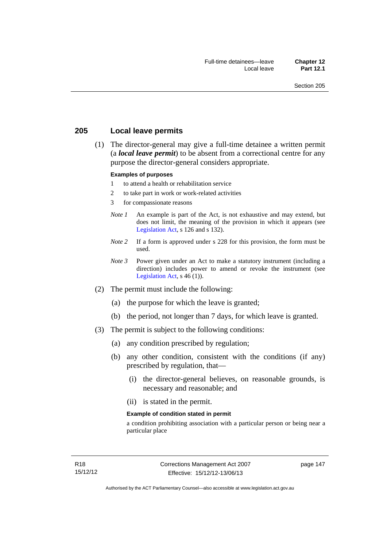### **205 Local leave permits**

 (1) The director-general may give a full-time detainee a written permit (a *local leave permit*) to be absent from a correctional centre for any purpose the director-general considers appropriate.

#### **Examples of purposes**

- 1 to attend a health or rehabilitation service
- 2 to take part in work or work-related activities
- 3 for compassionate reasons
- *Note 1* An example is part of the Act, is not exhaustive and may extend, but does not limit, the meaning of the provision in which it appears (see [Legislation Act,](http://www.legislation.act.gov.au/a/2001-14) s 126 and s 132).
- *Note* 2 If a form is approved under s 228 for this provision, the form must be used.
- *Note 3* Power given under an Act to make a statutory instrument (including a direction) includes power to amend or revoke the instrument (see [Legislation Act,](http://www.legislation.act.gov.au/a/2001-14)  $s$  46 (1)).
- (2) The permit must include the following:
	- (a) the purpose for which the leave is granted;
	- (b) the period, not longer than 7 days, for which leave is granted.
- (3) The permit is subject to the following conditions:
	- (a) any condition prescribed by regulation;
	- (b) any other condition, consistent with the conditions (if any) prescribed by regulation, that—
		- (i) the director-general believes, on reasonable grounds, is necessary and reasonable; and
		- (ii) is stated in the permit.

#### **Example of condition stated in permit**

a condition prohibiting association with a particular person or being near a particular place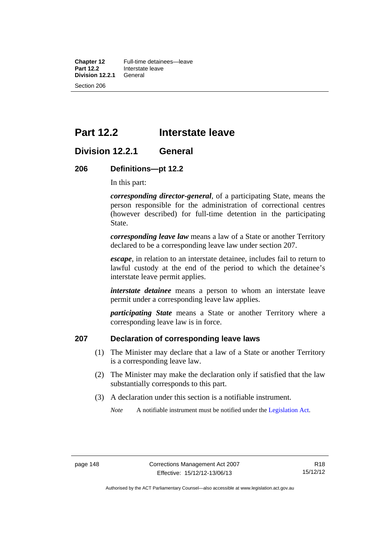**Chapter 12** Full-time detainees—leave<br>**Part 12.2** Interstate leave **Interstate leave**<br>General **Division 12.2.1** Section 206

## **Part 12.2 Interstate leave**

## **Division 12.2.1 General**

### **206 Definitions—pt 12.2**

In this part:

*corresponding director-general*, of a participating State, means the person responsible for the administration of correctional centres (however described) for full-time detention in the participating State.

*corresponding leave law* means a law of a State or another Territory declared to be a corresponding leave law under section 207.

*escape*, in relation to an interstate detainee, includes fail to return to lawful custody at the end of the period to which the detainee's interstate leave permit applies.

*interstate detainee* means a person to whom an interstate leave permit under a corresponding leave law applies.

*participating State* means a State or another Territory where a corresponding leave law is in force.

### **207 Declaration of corresponding leave laws**

- (1) The Minister may declare that a law of a State or another Territory is a corresponding leave law.
- (2) The Minister may make the declaration only if satisfied that the law substantially corresponds to this part.
- (3) A declaration under this section is a notifiable instrument.

*Note* A notifiable instrument must be notified under the [Legislation Act](http://www.legislation.act.gov.au/a/2001-14).

Authorised by the ACT Parliamentary Counsel—also accessible at www.legislation.act.gov.au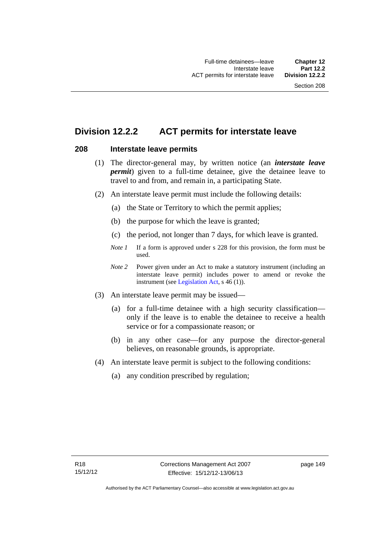## **Division 12.2.2 ACT permits for interstate leave**

### **208 Interstate leave permits**

- (1) The director-general may, by written notice (an *interstate leave permit*) given to a full-time detainee, give the detainee leave to travel to and from, and remain in, a participating State.
- (2) An interstate leave permit must include the following details:
	- (a) the State or Territory to which the permit applies;
	- (b) the purpose for which the leave is granted;
	- (c) the period, not longer than 7 days, for which leave is granted.
	- *Note 1* If a form is approved under s 228 for this provision, the form must be used.
	- *Note 2* Power given under an Act to make a statutory instrument (including an interstate leave permit) includes power to amend or revoke the instrument (see [Legislation Act,](http://www.legislation.act.gov.au/a/2001-14) s 46 (1)).
- (3) An interstate leave permit may be issued—
	- (a) for a full-time detainee with a high security classification only if the leave is to enable the detainee to receive a health service or for a compassionate reason; or
	- (b) in any other case—for any purpose the director-general believes, on reasonable grounds, is appropriate.
- (4) An interstate leave permit is subject to the following conditions:
	- (a) any condition prescribed by regulation;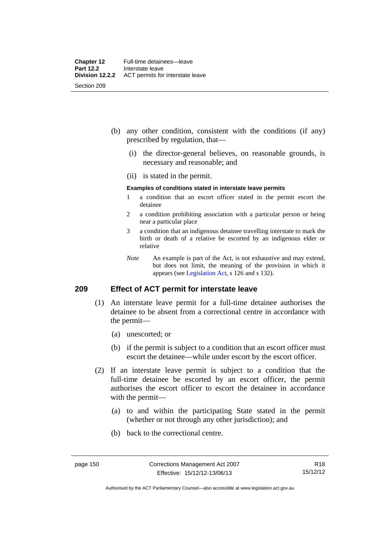- (b) any other condition, consistent with the conditions (if any) prescribed by regulation, that—
	- (i) the director-general believes, on reasonable grounds, is necessary and reasonable; and
	- (ii) is stated in the permit.

#### **Examples of conditions stated in interstate leave permits**

- 1 a condition that an escort officer stated in the permit escort the detainee
- 2 a condition prohibiting association with a particular person or being near a particular place
- 3 a condition that an indigenous detainee travelling interstate to mark the birth or death of a relative be escorted by an indigenous elder or relative
- *Note* An example is part of the Act, is not exhaustive and may extend, but does not limit, the meaning of the provision in which it appears (see [Legislation Act,](http://www.legislation.act.gov.au/a/2001-14) s 126 and s 132).

### **209 Effect of ACT permit for interstate leave**

- (1) An interstate leave permit for a full-time detainee authorises the detainee to be absent from a correctional centre in accordance with the permit—
	- (a) unescorted; or
	- (b) if the permit is subject to a condition that an escort officer must escort the detainee—while under escort by the escort officer.
- (2) If an interstate leave permit is subject to a condition that the full-time detainee be escorted by an escort officer, the permit authorises the escort officer to escort the detainee in accordance with the permit—
	- (a) to and within the participating State stated in the permit (whether or not through any other jurisdiction); and
	- (b) back to the correctional centre.

Authorised by the ACT Parliamentary Counsel—also accessible at www.legislation.act.gov.au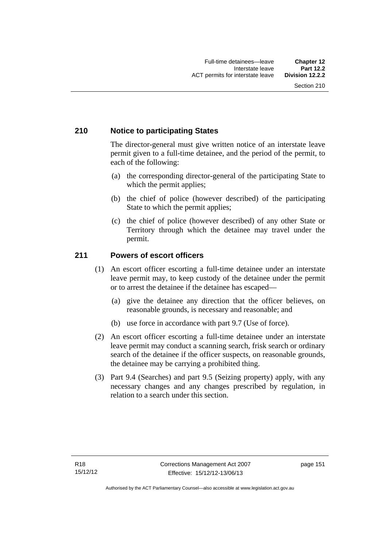### **210 Notice to participating States**

The director-general must give written notice of an interstate leave permit given to a full-time detainee, and the period of the permit, to each of the following:

- (a) the corresponding director-general of the participating State to which the permit applies;
- (b) the chief of police (however described) of the participating State to which the permit applies;
- (c) the chief of police (however described) of any other State or Territory through which the detainee may travel under the permit.

### **211 Powers of escort officers**

- (1) An escort officer escorting a full-time detainee under an interstate leave permit may, to keep custody of the detainee under the permit or to arrest the detainee if the detainee has escaped—
	- (a) give the detainee any direction that the officer believes, on reasonable grounds, is necessary and reasonable; and
	- (b) use force in accordance with part 9.7 (Use of force).
- (2) An escort officer escorting a full-time detainee under an interstate leave permit may conduct a scanning search, frisk search or ordinary search of the detainee if the officer suspects, on reasonable grounds, the detainee may be carrying a prohibited thing.
- (3) Part 9.4 (Searches) and part 9.5 (Seizing property) apply, with any necessary changes and any changes prescribed by regulation, in relation to a search under this section.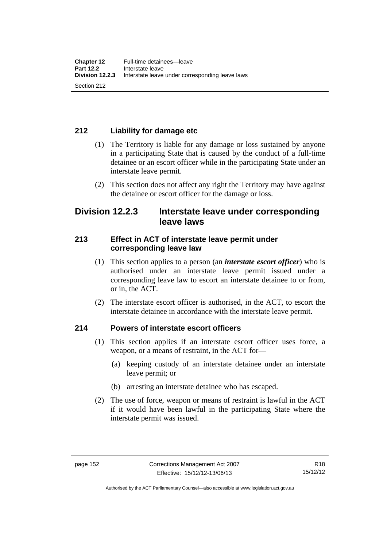### **212 Liability for damage etc**

- (1) The Territory is liable for any damage or loss sustained by anyone in a participating State that is caused by the conduct of a full-time detainee or an escort officer while in the participating State under an interstate leave permit.
- (2) This section does not affect any right the Territory may have against the detainee or escort officer for the damage or loss.

## **Division 12.2.3 Interstate leave under corresponding leave laws**

### **213 Effect in ACT of interstate leave permit under corresponding leave law**

- (1) This section applies to a person (an *interstate escort officer*) who is authorised under an interstate leave permit issued under a corresponding leave law to escort an interstate detainee to or from, or in, the ACT.
- (2) The interstate escort officer is authorised, in the ACT, to escort the interstate detainee in accordance with the interstate leave permit.

### **214 Powers of interstate escort officers**

- (1) This section applies if an interstate escort officer uses force, a weapon, or a means of restraint, in the ACT for—
	- (a) keeping custody of an interstate detainee under an interstate leave permit; or
	- (b) arresting an interstate detainee who has escaped.
- (2) The use of force, weapon or means of restraint is lawful in the ACT if it would have been lawful in the participating State where the interstate permit was issued.

Authorised by the ACT Parliamentary Counsel—also accessible at www.legislation.act.gov.au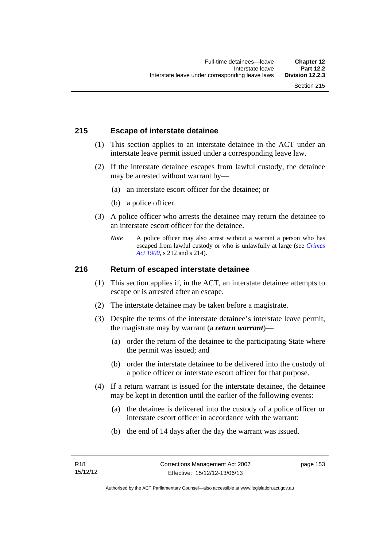### **215 Escape of interstate detainee**

- (1) This section applies to an interstate detainee in the ACT under an interstate leave permit issued under a corresponding leave law.
- (2) If the interstate detainee escapes from lawful custody, the detainee may be arrested without warrant by—
	- (a) an interstate escort officer for the detainee; or
	- (b) a police officer.
- (3) A police officer who arrests the detainee may return the detainee to an interstate escort officer for the detainee.
	- *Note* A police officer may also arrest without a warrant a person who has escaped from lawful custody or who is unlawfully at large (see *[Crimes](http://www.legislation.act.gov.au/a/1900-40)  [Act 1900](http://www.legislation.act.gov.au/a/1900-40)*, s 212 and s 214).

### **216 Return of escaped interstate detainee**

- (1) This section applies if, in the ACT, an interstate detainee attempts to escape or is arrested after an escape.
- (2) The interstate detainee may be taken before a magistrate.
- (3) Despite the terms of the interstate detainee's interstate leave permit, the magistrate may by warrant (a *return warrant*)—
	- (a) order the return of the detainee to the participating State where the permit was issued; and
	- (b) order the interstate detainee to be delivered into the custody of a police officer or interstate escort officer for that purpose.
- (4) If a return warrant is issued for the interstate detainee, the detainee may be kept in detention until the earlier of the following events:
	- (a) the detainee is delivered into the custody of a police officer or interstate escort officer in accordance with the warrant;
	- (b) the end of 14 days after the day the warrant was issued.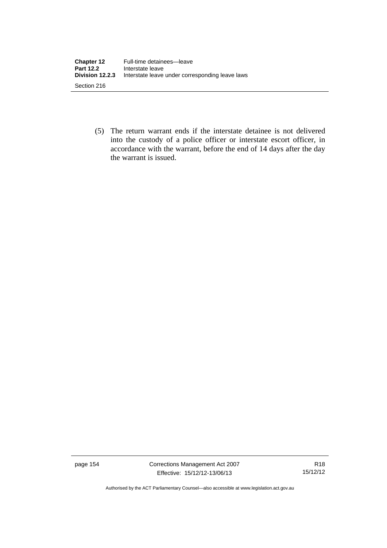| <b>Chapter 12</b><br><b>Part 12.2</b> | Full-time detainees-leave<br>Interstate leave   |
|---------------------------------------|-------------------------------------------------|
| Division 12.2.3                       | Interstate leave under corresponding leave laws |
| Section 216                           |                                                 |

 (5) The return warrant ends if the interstate detainee is not delivered into the custody of a police officer or interstate escort officer, in accordance with the warrant, before the end of 14 days after the day the warrant is issued.

page 154 Corrections Management Act 2007 Effective: 15/12/12-13/06/13

R18 15/12/12

Authorised by the ACT Parliamentary Counsel—also accessible at www.legislation.act.gov.au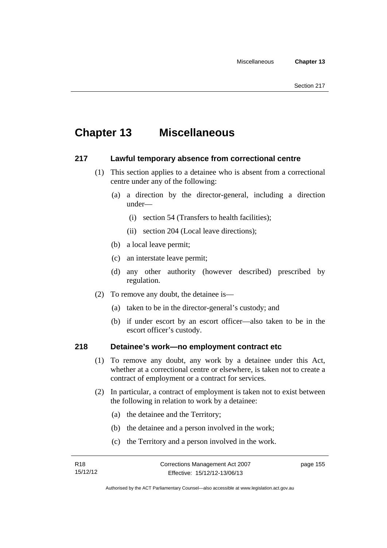# **Chapter 13 Miscellaneous**

### **217 Lawful temporary absence from correctional centre**

- (1) This section applies to a detainee who is absent from a correctional centre under any of the following:
	- (a) a direction by the director-general, including a direction under—
		- (i) section 54 (Transfers to health facilities);
		- (ii) section 204 (Local leave directions);
	- (b) a local leave permit;
	- (c) an interstate leave permit;
	- (d) any other authority (however described) prescribed by regulation.
- (2) To remove any doubt, the detainee is—
	- (a) taken to be in the director-general's custody; and
	- (b) if under escort by an escort officer—also taken to be in the escort officer's custody.

### **218 Detainee's work—no employment contract etc**

- (1) To remove any doubt, any work by a detainee under this Act, whether at a correctional centre or elsewhere, is taken not to create a contract of employment or a contract for services.
- (2) In particular, a contract of employment is taken not to exist between the following in relation to work by a detainee:
	- (a) the detainee and the Territory;
	- (b) the detainee and a person involved in the work;
	- (c) the Territory and a person involved in the work.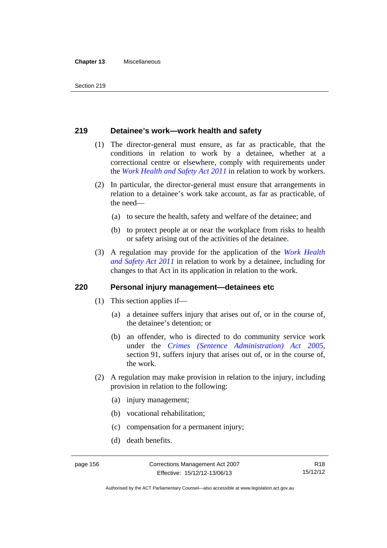#### **Chapter 13** Miscellaneous

### **219 Detainee's work—work health and safety**

- (1) The director-general must ensure, as far as practicable, that the conditions in relation to work by a detainee, whether at a correctional centre or elsewhere, comply with requirements under the *[Work Health and Safety Act 2011](http://www.legislation.act.gov.au/a/2011-35)* in relation to work by workers.
- (2) In particular, the director-general must ensure that arrangements in relation to a detainee's work take account, as far as practicable, of the need—
	- (a) to secure the health, safety and welfare of the detainee; and
	- (b) to protect people at or near the workplace from risks to health or safety arising out of the activities of the detainee.
- (3) A regulation may provide for the application of the *[Work Health](http://www.legislation.act.gov.au/a/2011-35)  [and Safety Act 2011](http://www.legislation.act.gov.au/a/2011-35)* in relation to work by a detainee, including for changes to that Act in its application in relation to the work.

#### **220 Personal injury management—detainees etc**

- (1) This section applies if—
	- (a) a detainee suffers injury that arises out of, or in the course of, the detainee's detention; or
	- (b) an offender, who is directed to do community service work under the *[Crimes \(Sentence Administration\) Act 2005](http://www.legislation.act.gov.au/a/2005-59)*, section 91, suffers injury that arises out of, or in the course of, the work.
- (2) A regulation may make provision in relation to the injury, including provision in relation to the following:
	- (a) injury management;
	- (b) vocational rehabilitation;
	- (c) compensation for a permanent injury;
	- (d) death benefits.

Authorised by the ACT Parliamentary Counsel—also accessible at www.legislation.act.gov.au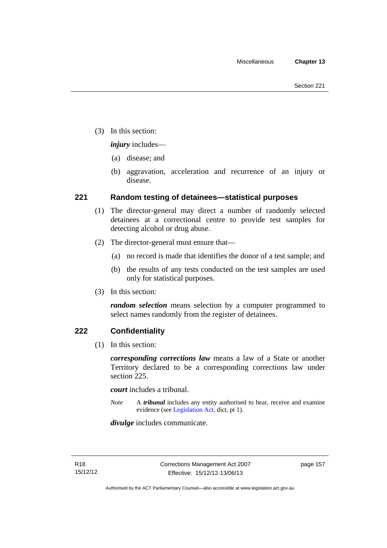(3) In this section:

*injury* includes—

- (a) disease; and
- (b) aggravation, acceleration and recurrence of an injury or disease.

### **221 Random testing of detainees—statistical purposes**

- (1) The director-general may direct a number of randomly selected detainees at a correctional centre to provide test samples for detecting alcohol or drug abuse.
- (2) The director-general must ensure that—
	- (a) no record is made that identifies the donor of a test sample; and
	- (b) the results of any tests conducted on the test samples are used only for statistical purposes.
- (3) In this section:

*random selection* means selection by a computer programmed to select names randomly from the register of detainees.

### **222 Confidentiality**

(1) In this section:

*corresponding corrections law* means a law of a State or another Territory declared to be a corresponding corrections law under section 225.

*court* includes a tribunal.

*Note* A *tribunal* includes any entity authorised to hear, receive and examine evidence (see [Legislation Act,](http://www.legislation.act.gov.au/a/2001-14) dict, pt 1).

*divulge* includes communicate.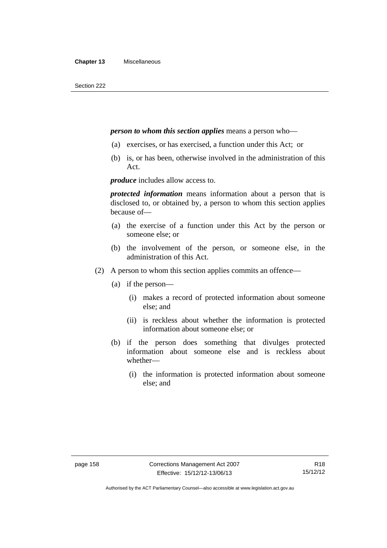### *person to whom this section applies* means a person who—

- (a) exercises, or has exercised, a function under this Act; or
- (b) is, or has been, otherwise involved in the administration of this Act.

*produce* includes allow access to.

*protected information* means information about a person that is disclosed to, or obtained by, a person to whom this section applies because of—

- (a) the exercise of a function under this Act by the person or someone else; or
- (b) the involvement of the person, or someone else, in the administration of this Act.
- (2) A person to whom this section applies commits an offence—
	- (a) if the person—
		- (i) makes a record of protected information about someone else; and
		- (ii) is reckless about whether the information is protected information about someone else; or
	- (b) if the person does something that divulges protected information about someone else and is reckless about whether—
		- (i) the information is protected information about someone else; and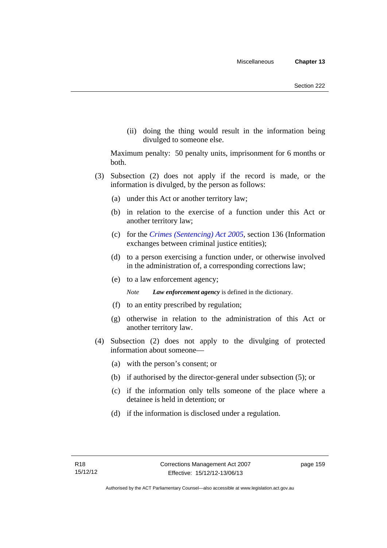(ii) doing the thing would result in the information being divulged to someone else.

Maximum penalty: 50 penalty units, imprisonment for 6 months or both.

- (3) Subsection (2) does not apply if the record is made, or the information is divulged, by the person as follows:
	- (a) under this Act or another territory law;
	- (b) in relation to the exercise of a function under this Act or another territory law;
	- (c) for the *[Crimes \(Sentencing\) Act 2005](http://www.legislation.act.gov.au/a/2005-58)*, section 136 (Information exchanges between criminal justice entities);
	- (d) to a person exercising a function under, or otherwise involved in the administration of, a corresponding corrections law;
	- (e) to a law enforcement agency;

*Note Law enforcement agency* is defined in the dictionary.

- (f) to an entity prescribed by regulation;
- (g) otherwise in relation to the administration of this Act or another territory law.
- (4) Subsection (2) does not apply to the divulging of protected information about someone—
	- (a) with the person's consent; or
	- (b) if authorised by the director-general under subsection (5); or
	- (c) if the information only tells someone of the place where a detainee is held in detention; or
	- (d) if the information is disclosed under a regulation.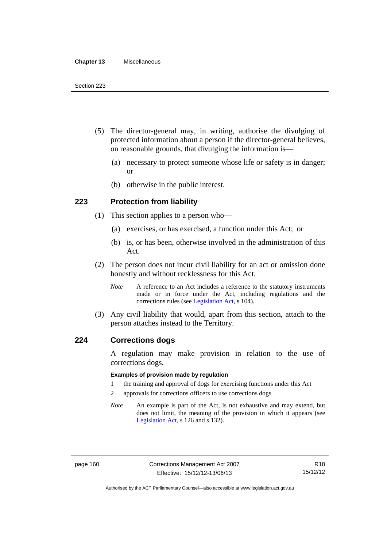#### **Chapter 13** Miscellaneous

- (5) The director-general may, in writing, authorise the divulging of protected information about a person if the director-general believes, on reasonable grounds, that divulging the information is—
	- (a) necessary to protect someone whose life or safety is in danger; or
	- (b) otherwise in the public interest.

### **223 Protection from liability**

- (1) This section applies to a person who—
	- (a) exercises, or has exercised, a function under this Act; or
	- (b) is, or has been, otherwise involved in the administration of this Act.
- (2) The person does not incur civil liability for an act or omission done honestly and without recklessness for this Act.
	- *Note* A reference to an Act includes a reference to the statutory instruments made or in force under the Act, including regulations and the corrections rules (see [Legislation Act,](http://www.legislation.act.gov.au/a/2001-14) s 104).
- (3) Any civil liability that would, apart from this section, attach to the person attaches instead to the Territory.

#### **224 Corrections dogs**

A regulation may make provision in relation to the use of corrections dogs.

#### **Examples of provision made by regulation**

- 1 the training and approval of dogs for exercising functions under this Act
- 2 approvals for corrections officers to use corrections dogs
- *Note* An example is part of the Act, is not exhaustive and may extend, but does not limit, the meaning of the provision in which it appears (see [Legislation Act,](http://www.legislation.act.gov.au/a/2001-14) s 126 and s 132).

Authorised by the ACT Parliamentary Counsel—also accessible at www.legislation.act.gov.au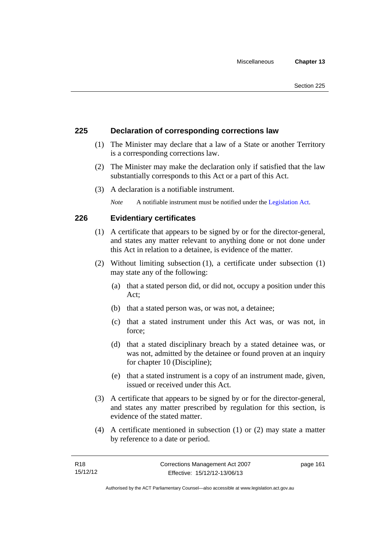### **225 Declaration of corresponding corrections law**

- (1) The Minister may declare that a law of a State or another Territory is a corresponding corrections law.
- (2) The Minister may make the declaration only if satisfied that the law substantially corresponds to this Act or a part of this Act.
- (3) A declaration is a notifiable instrument.

*Note* A notifiable instrument must be notified under the [Legislation Act](http://www.legislation.act.gov.au/a/2001-14).

### **226 Evidentiary certificates**

- (1) A certificate that appears to be signed by or for the director-general, and states any matter relevant to anything done or not done under this Act in relation to a detainee, is evidence of the matter.
- (2) Without limiting subsection (1), a certificate under subsection (1) may state any of the following:
	- (a) that a stated person did, or did not, occupy a position under this Act;
	- (b) that a stated person was, or was not, a detainee;
	- (c) that a stated instrument under this Act was, or was not, in force;
	- (d) that a stated disciplinary breach by a stated detainee was, or was not, admitted by the detainee or found proven at an inquiry for chapter 10 (Discipline);
	- (e) that a stated instrument is a copy of an instrument made, given, issued or received under this Act.
- (3) A certificate that appears to be signed by or for the director-general, and states any matter prescribed by regulation for this section, is evidence of the stated matter.
- (4) A certificate mentioned in subsection (1) or (2) may state a matter by reference to a date or period.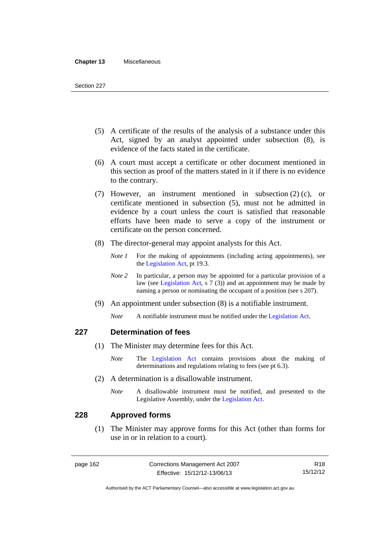#### **Chapter 13** Miscellaneous

- (5) A certificate of the results of the analysis of a substance under this Act, signed by an analyst appointed under subsection (8), is evidence of the facts stated in the certificate.
- (6) A court must accept a certificate or other document mentioned in this section as proof of the matters stated in it if there is no evidence to the contrary.
- (7) However, an instrument mentioned in subsection (2) (c), or certificate mentioned in subsection (5), must not be admitted in evidence by a court unless the court is satisfied that reasonable efforts have been made to serve a copy of the instrument or certificate on the person concerned.
- (8) The director-general may appoint analysts for this Act.
	- *Note 1* For the making of appointments (including acting appointments), see the [Legislation Act,](http://www.legislation.act.gov.au/a/2001-14) pt 19.3.
	- *Note* 2 In particular, a person may be appointed for a particular provision of a law (see [Legislation Act,](http://www.legislation.act.gov.au/a/2001-14) s 7 (3)) and an appointment may be made by naming a person or nominating the occupant of a position (see s 207).
- (9) An appointment under subsection (8) is a notifiable instrument.
	- *Note* A notifiable instrument must be notified under the [Legislation Act](http://www.legislation.act.gov.au/a/2001-14).

### **227 Determination of fees**

- (1) The Minister may determine fees for this Act.
	- *Note* The [Legislation Act](http://www.legislation.act.gov.au/a/2001-14) contains provisions about the making of determinations and regulations relating to fees (see pt 6.3).
- (2) A determination is a disallowable instrument.
	- *Note* A disallowable instrument must be notified, and presented to the Legislative Assembly, under the [Legislation Act.](http://www.legislation.act.gov.au/a/2001-14)

#### **228 Approved forms**

 (1) The Minister may approve forms for this Act (other than forms for use in or in relation to a court).

R18 15/12/12

Authorised by the ACT Parliamentary Counsel—also accessible at www.legislation.act.gov.au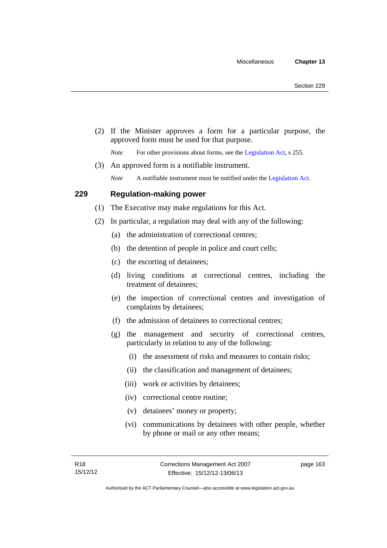(2) If the Minister approves a form for a particular purpose, the approved form must be used for that purpose.

*Note* For other provisions about forms, see the [Legislation Act,](http://www.legislation.act.gov.au/a/2001-14) s 255.

(3) An approved form is a notifiable instrument.

*Note* A notifiable instrument must be notified under the [Legislation Act](http://www.legislation.act.gov.au/a/2001-14).

### **229 Regulation-making power**

- (1) The Executive may make regulations for this Act.
- (2) In particular, a regulation may deal with any of the following:
	- (a) the administration of correctional centres;
	- (b) the detention of people in police and court cells;
	- (c) the escorting of detainees;
	- (d) living conditions at correctional centres, including the treatment of detainees;
	- (e) the inspection of correctional centres and investigation of complaints by detainees;
	- (f) the admission of detainees to correctional centres;
	- (g) the management and security of correctional centres, particularly in relation to any of the following:
		- (i) the assessment of risks and measures to contain risks;
		- (ii) the classification and management of detainees;
		- (iii) work or activities by detainees;
		- (iv) correctional centre routine;
		- (v) detainees' money or property;
		- (vi) communications by detainees with other people, whether by phone or mail or any other means;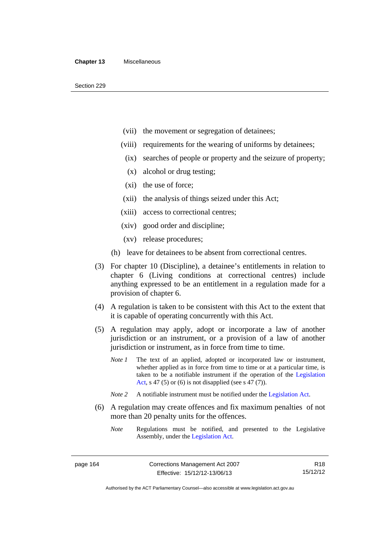- (vii) the movement or segregation of detainees;
- (viii) requirements for the wearing of uniforms by detainees;
	- (ix) searches of people or property and the seizure of property;
	- (x) alcohol or drug testing;
- (xi) the use of force;
- (xii) the analysis of things seized under this Act;
- (xiii) access to correctional centres;
- (xiv) good order and discipline;
- (xv) release procedures;
- (h) leave for detainees to be absent from correctional centres.
- (3) For chapter 10 (Discipline), a detainee's entitlements in relation to chapter 6 (Living conditions at correctional centres) include anything expressed to be an entitlement in a regulation made for a provision of chapter 6.
- (4) A regulation is taken to be consistent with this Act to the extent that it is capable of operating concurrently with this Act.
- (5) A regulation may apply, adopt or incorporate a law of another jurisdiction or an instrument, or a provision of a law of another jurisdiction or instrument, as in force from time to time.
	- *Note 1* The text of an applied, adopted or incorporated law or instrument, whether applied as in force from time to time or at a particular time, is taken to be a notifiable instrument if the operation of the [Legislation](http://www.legislation.act.gov.au/a/2001-14)  [Act,](http://www.legislation.act.gov.au/a/2001-14) s 47 (5) or (6) is not disapplied (see s 47 (7)).
	- *Note 2* A notifiable instrument must be notified under the [Legislation Act](http://www.legislation.act.gov.au/a/2001-14).
- (6) A regulation may create offences and fix maximum penalties of not more than 20 penalty units for the offences.
	- *Note* Regulations must be notified, and presented to the Legislative Assembly, under the [Legislation Act](http://www.legislation.act.gov.au/a/2001-14).

R18 15/12/12

Authorised by the ACT Parliamentary Counsel—also accessible at www.legislation.act.gov.au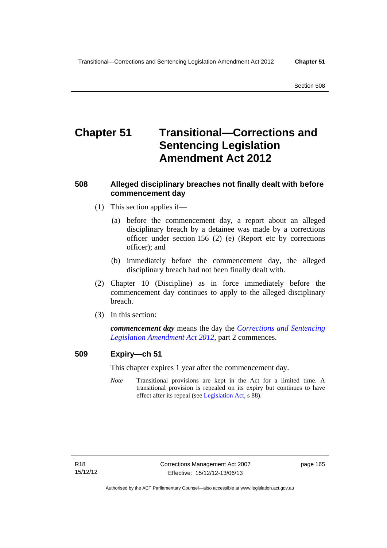# **Chapter 51 Transitional—Corrections and Sentencing Legislation Amendment Act 2012**

# **508 Alleged disciplinary breaches not finally dealt with before commencement day**

- (1) This section applies if—
	- (a) before the commencement day, a report about an alleged disciplinary breach by a detainee was made by a corrections officer under section 156 (2) (e) (Report etc by corrections officer); and
	- (b) immediately before the commencement day, the alleged disciplinary breach had not been finally dealt with.
- (2) Chapter 10 (Discipline) as in force immediately before the commencement day continues to apply to the alleged disciplinary breach.
- (3) In this section:

*commencement day* means the day the *[Corrections and Sentencing](http://www.legislation.act.gov.au/a/2012-34)  [Legislation Amendment Act 2012](http://www.legislation.act.gov.au/a/2012-34)*, part 2 commences.

# **509 Expiry—ch 51**

This chapter expires 1 year after the commencement day.

*Note* Transitional provisions are kept in the Act for a limited time. A transitional provision is repealed on its expiry but continues to have effect after its repeal (see [Legislation Act,](http://www.legislation.act.gov.au/a/2001-14) s 88).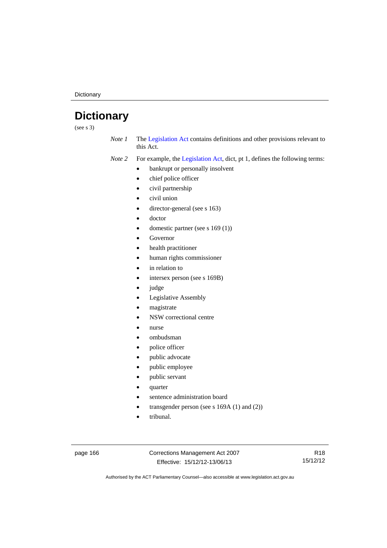**Dictionary** 

# **Dictionary**

(see s 3)

*Note 1* The [Legislation Act](http://www.legislation.act.gov.au/a/2001-14) contains definitions and other provisions relevant to this Act.

*Note 2* For example, the [Legislation Act,](http://www.legislation.act.gov.au/a/2001-14) dict, pt 1, defines the following terms:

- bankrupt or personally insolvent
- chief police officer
- civil partnership
- civil union
- director-general (see s 163)
- doctor
- domestic partner (see s 169 (1))
- Governor
- health practitioner
- human rights commissioner
- in relation to
- intersex person (see s 169B)
- judge
- Legislative Assembly
- magistrate
- NSW correctional centre
- nurse
- ombudsman
- police officer
- public advocate
- public employee
- public servant
- quarter
- sentence administration board
- transgender person (see s 169A (1) and (2))
- tribunal.

page 166 Corrections Management Act 2007 Effective: 15/12/12-13/06/13

R18 15/12/12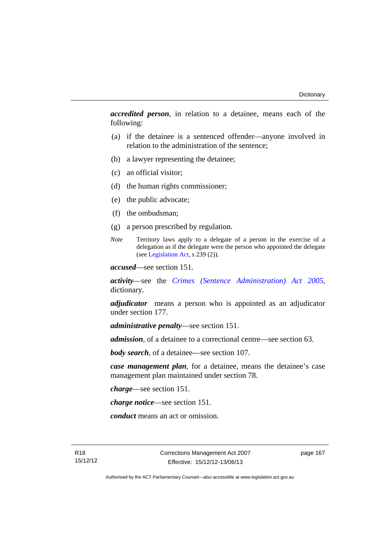*accredited person*, in relation to a detainee, means each of the following:

- (a) if the detainee is a sentenced offender—anyone involved in relation to the administration of the sentence;
- (b) a lawyer representing the detainee;
- (c) an official visitor;
- (d) the human rights commissioner;
- (e) the public advocate;
- (f) the ombudsman;
- (g) a person prescribed by regulation.
- *Note* Territory laws apply to a delegate of a person in the exercise of a delegation as if the delegate were the person who appointed the delegate (see [Legislation Act,](http://www.legislation.act.gov.au/a/2001-14) s 239 (2)).

*accused*—see section 151.

*activity*—see the *[Crimes \(Sentence Administration\) Act 2005](http://www.legislation.act.gov.au/a/2005-59)*, dictionary.

*adjudicator* means a person who is appointed as an adjudicator under section 177.

*administrative penalty*—see section 151.

*admission*, of a detainee to a correctional centre—see section 63.

*body search*, of a detainee—see section 107.

*case management plan*, for a detainee, means the detainee's case management plan maintained under section 78.

*charge*—see section 151.

*charge notice*—see section 151.

*conduct* means an act or omission.

R18 15/12/12 page 167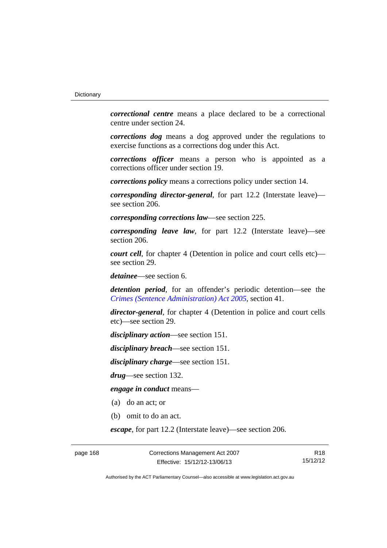*correctional centre* means a place declared to be a correctional centre under section 24.

*corrections dog* means a dog approved under the regulations to exercise functions as a corrections dog under this Act.

*corrections officer* means a person who is appointed as a corrections officer under section 19.

*corrections policy* means a corrections policy under section 14.

*corresponding director-general*, for part 12.2 (Interstate leave) see section 206.

*corresponding corrections law*—see section 225.

*corresponding leave law*, for part 12.2 (Interstate leave)—see section 206.

*court cell*, for chapter 4 (Detention in police and court cells etc) see section 29.

*detainee*—see section 6.

*detention period*, for an offender's periodic detention—see the *[Crimes \(Sentence Administration\) Act 2005](http://www.legislation.act.gov.au/a/2005-59)*, section 41.

*director-general*, for chapter 4 (Detention in police and court cells etc)—see section 29.

*disciplinary action*—see section 151.

*disciplinary breach*—see section 151.

*disciplinary charge*—see section 151.

*drug*—see section 132.

*engage in conduct* means—

- (a) do an act; or
- (b) omit to do an act.

*escape*, for part 12.2 (Interstate leave)—see section 206.

page 168 Corrections Management Act 2007 Effective: 15/12/12-13/06/13

R18 15/12/12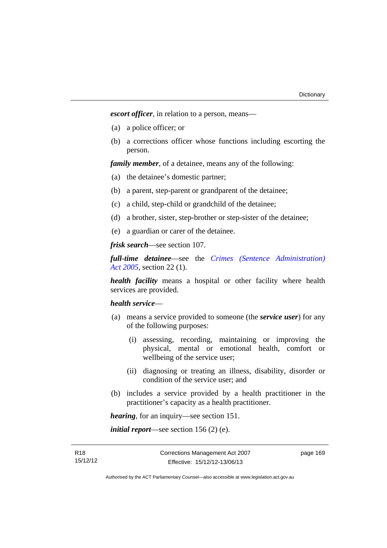*escort officer*, in relation to a person, means—

- (a) a police officer; or
- (b) a corrections officer whose functions including escorting the person.

*family member*, of a detainee, means any of the following:

- (a) the detainee's domestic partner;
- (b) a parent, step-parent or grandparent of the detainee;
- (c) a child, step-child or grandchild of the detainee;
- (d) a brother, sister, step-brother or step-sister of the detainee;
- (e) a guardian or carer of the detainee.

*frisk search*—see section 107.

*full-time detainee*—see the *[Crimes \(Sentence Administration\)](http://www.legislation.act.gov.au/a/2005-59)  [Act 2005](http://www.legislation.act.gov.au/a/2005-59)*, section 22 (1).

*health facility* means a hospital or other facility where health services are provided.

### *health service*—

- (a) means a service provided to someone (the *service user*) for any of the following purposes:
	- (i) assessing, recording, maintaining or improving the physical, mental or emotional health, comfort or wellbeing of the service user;
	- (ii) diagnosing or treating an illness, disability, disorder or condition of the service user; and
- (b) includes a service provided by a health practitioner in the practitioner's capacity as a health practitioner.

*hearing*, for an inquiry—see section 151.

*initial report*—see section 156 (2) (e).

R18 15/12/12 page 169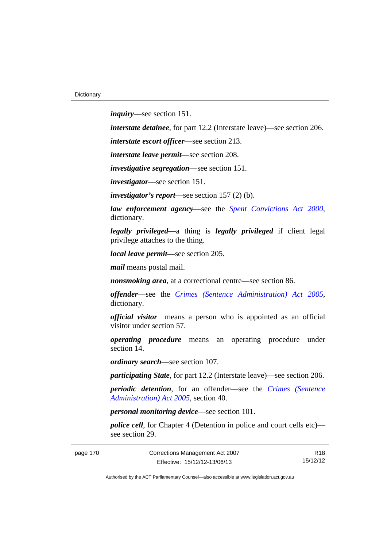*inquiry*—see section 151.

*interstate detainee*, for part 12.2 (Interstate leave)—see section 206.

*interstate escort officer*—see section 213.

*interstate leave permit*—see section 208.

*investigative segregation*—see section 151.

*investigator*—see section 151.

*investigator's report*—see section 157 (2) (b).

*law enforcement agency*—see the *[Spent Convictions Act 2000](http://www.legislation.act.gov.au/a/2000-48)*, dictionary.

*legally privileged—*a thing is *legally privileged* if client legal privilege attaches to the thing.

*local leave permit—*see section 205.

*mail* means postal mail.

*nonsmoking area*, at a correctional centre—see section 86.

*offender*—see the *[Crimes \(Sentence Administration\) Act 2005](http://www.legislation.act.gov.au/a/2005-59)*, dictionary.

*official visitor* means a person who is appointed as an official visitor under section 57.

*operating procedure* means an operating procedure under section 14.

*ordinary search*—see section 107.

*participating State*, for part 12.2 (Interstate leave)—see section 206.

*periodic detention*, for an offender—see the *[Crimes \(Sentence](http://www.legislation.act.gov.au/a/2005-59)  [Administration\) Act 2005](http://www.legislation.act.gov.au/a/2005-59)*, section 40.

*personal monitoring device*—see section 101.

*police cell*, for Chapter 4 (Detention in police and court cells etc) see section 29.

R18 15/12/12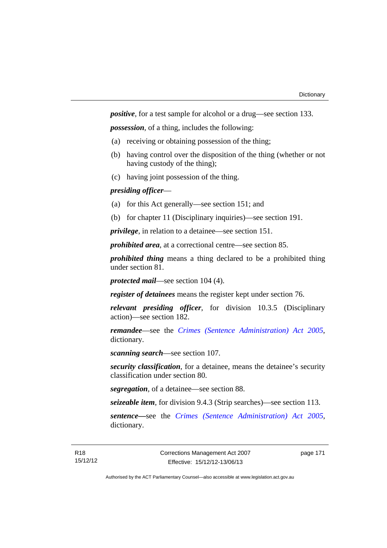*positive*, for a test sample for alcohol or a drug—see section 133.

*possession*, of a thing, includes the following:

- (a) receiving or obtaining possession of the thing;
- (b) having control over the disposition of the thing (whether or not having custody of the thing);
- (c) having joint possession of the thing.

# *presiding officer*—

- (a) for this Act generally—see section 151; and
- (b) for chapter 11 (Disciplinary inquiries)—see section 191.

*privilege*, in relation to a detainee—see section 151.

*prohibited area*, at a correctional centre—see section 85.

*prohibited thing* means a thing declared to be a prohibited thing under section 81.

*protected mail*—see section 104 (4).

*register of detainees* means the register kept under section 76.

*relevant presiding officer*, for division 10.3.5 (Disciplinary action)—see section 182.

*remandee*—see the *[Crimes \(Sentence Administration\) Act 2005](http://www.legislation.act.gov.au/a/2005-59)*, dictionary.

*scanning search*—see section 107.

*security classification*, for a detainee, means the detainee's security classification under section 80.

*segregation*, of a detainee—see section 88.

*seizeable item*, for division 9.4.3 (Strip searches)—see section 113.

*sentence—*see the *[Crimes \(Sentence Administration\) Act 2005](http://www.legislation.act.gov.au/a/2005-59)*, dictionary.

page 171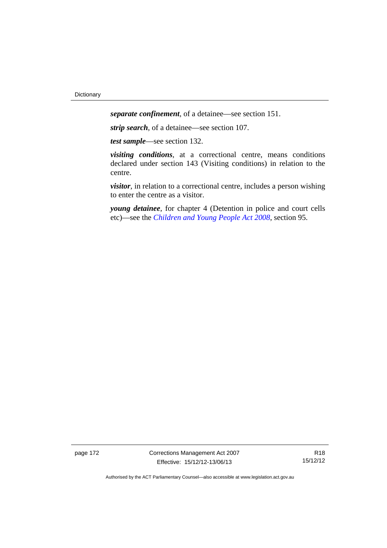*separate confinement*, of a detainee—see section 151.

*strip search*, of a detainee—see section 107.

*test sample*—see section 132.

*visiting conditions*, at a correctional centre, means conditions declared under section 143 (Visiting conditions) in relation to the centre.

*visitor*, in relation to a correctional centre, includes a person wishing to enter the centre as a visitor.

*young detainee*, for chapter 4 (Detention in police and court cells etc)—see the *[Children and Young People Act 2008](http://www.legislation.act.gov.au/a/2008-19)*, section 95.

page 172 Corrections Management Act 2007 Effective: 15/12/12-13/06/13

R18 15/12/12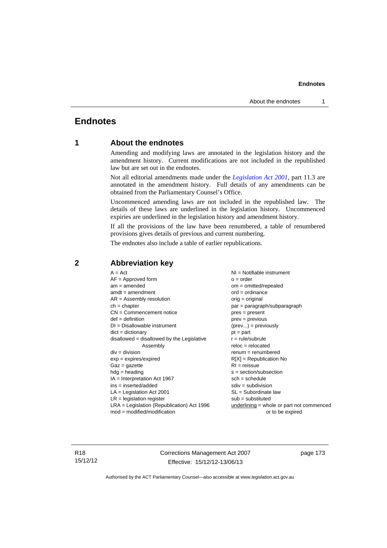# **Endnotes**

# **1 About the endnotes**

Amending and modifying laws are annotated in the legislation history and the amendment history. Current modifications are not included in the republished law but are set out in the endnotes.

Not all editorial amendments made under the *[Legislation Act 2001](http://www.legislation.act.gov.au/a/2001-14)*, part 11.3 are annotated in the amendment history. Full details of any amendments can be obtained from the Parliamentary Counsel's Office.

Uncommenced amending laws are not included in the republished law. The details of these laws are underlined in the legislation history. Uncommenced expiries are underlined in the legislation history and amendment history.

If all the provisions of the law have been renumbered, a table of renumbered provisions gives details of previous and current numbering.

The endnotes also include a table of earlier republications.

| $AF =$ Approved form<br>$am = amended$<br>$amdt = amendment$<br>$AR = Assembly resolution$<br>$ch = chapter$<br>$CN =$ Commencement notice<br>$def = definition$<br>$DI = Disallowable instrument$<br>$dict = dictionary$<br>$disallowed = disallowed by the Legislative$<br>Assembly<br>$div = division$<br>$exp = expires/expired$ | $NI =$ Notifiable instrument<br>$o = order$<br>$om = omitted/repealed$<br>$ord = ordinance$<br>$orig = original$<br>par = paragraph/subparagraph<br>$pres = present$<br>$prev = previous$<br>$(\text{prev}) = \text{previously}$<br>$pt = part$<br>$r = rule/subrule$<br>$reloc = relocated$<br>$renum = renumbered$ |
|--------------------------------------------------------------------------------------------------------------------------------------------------------------------------------------------------------------------------------------------------------------------------------------------------------------------------------------|----------------------------------------------------------------------------------------------------------------------------------------------------------------------------------------------------------------------------------------------------------------------------------------------------------------------|
|                                                                                                                                                                                                                                                                                                                                      |                                                                                                                                                                                                                                                                                                                      |
|                                                                                                                                                                                                                                                                                                                                      |                                                                                                                                                                                                                                                                                                                      |
|                                                                                                                                                                                                                                                                                                                                      |                                                                                                                                                                                                                                                                                                                      |
|                                                                                                                                                                                                                                                                                                                                      |                                                                                                                                                                                                                                                                                                                      |
|                                                                                                                                                                                                                                                                                                                                      |                                                                                                                                                                                                                                                                                                                      |
|                                                                                                                                                                                                                                                                                                                                      |                                                                                                                                                                                                                                                                                                                      |
|                                                                                                                                                                                                                                                                                                                                      |                                                                                                                                                                                                                                                                                                                      |
|                                                                                                                                                                                                                                                                                                                                      |                                                                                                                                                                                                                                                                                                                      |
|                                                                                                                                                                                                                                                                                                                                      | $R[X]$ = Republication No                                                                                                                                                                                                                                                                                            |
| $Gaz = gazette$                                                                                                                                                                                                                                                                                                                      | $RI = reissue$                                                                                                                                                                                                                                                                                                       |
| $hdg = heading$                                                                                                                                                                                                                                                                                                                      | $s = section/subsection$                                                                                                                                                                                                                                                                                             |
| $IA = Interpretation Act 1967$                                                                                                                                                                                                                                                                                                       | $sch = schedule$                                                                                                                                                                                                                                                                                                     |
| $ins = inserted/added$                                                                                                                                                                                                                                                                                                               | $sdiv = subdivision$                                                                                                                                                                                                                                                                                                 |
| $LA =$ Legislation Act 2001                                                                                                                                                                                                                                                                                                          | $SL = Subordinate$ law                                                                                                                                                                                                                                                                                               |
| $LR =$ legislation register                                                                                                                                                                                                                                                                                                          | $sub =$ substituted                                                                                                                                                                                                                                                                                                  |
| $LRA =$ Legislation (Republication) Act 1996                                                                                                                                                                                                                                                                                         | $underlining = whole or part not commenced$                                                                                                                                                                                                                                                                          |
| $mod = modified/modification$                                                                                                                                                                                                                                                                                                        | or to be expired                                                                                                                                                                                                                                                                                                     |

# **2 Abbreviation key**

R18 15/12/12 Corrections Management Act 2007 Effective: 15/12/12-13/06/13

page 173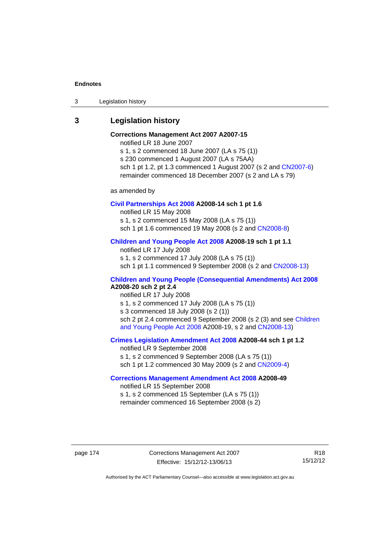3 Legislation history

# **3 Legislation history**

# **Corrections Management Act 2007 A2007-15**

notified LR 18 June 2007

s 1, s 2 commenced 18 June 2007 (LA s 75 (1)) s 230 commenced 1 August 2007 (LA s 75AA) sch 1 pt 1.2, pt 1.3 commenced 1 August 2007 (s 2 and [CN2007-6](http://www.legislation.act.gov.au/cn/2007-6/default.asp)) remainder commenced 18 December 2007 (s 2 and LA s 79)

as amended by

#### **[Civil Partnerships Act 2008](http://www.legislation.act.gov.au/a/2008-14) A2008-14 sch 1 pt 1.6**

notified LR 15 May 2008

s 1, s 2 commenced 15 May 2008 (LA s 75 (1))

sch 1 pt 1.6 commenced 19 May 2008 (s 2 and [CN2008-8\)](http://www.legislation.act.gov.au/cn/2008-8/default.asp)

# **[Children and Young People Act 2008](http://www.legislation.act.gov.au/a/2008-19) A2008-19 sch 1 pt 1.1**

notified LR 17 July 2008 s 1, s 2 commenced 17 July 2008 (LA s 75 (1)) sch 1 pt 1.1 commenced 9 September 2008 (s 2 and [CN2008-13\)](http://www.legislation.act.gov.au/cn/2008-13/default.asp)

# **[Children and Young People \(Consequential Amendments\) Act 2008](http://www.legislation.act.gov.au/a/2008-20) A2008-20 sch 2 pt 2.4**

notified LR 17 July 2008 s 1, s 2 commenced 17 July 2008 (LA s 75 (1)) s 3 commenced 18 July 2008 (s 2 (1)) sch 2 pt 2.4 commenced 9 September 2008 (s 2 (3) and see Children [and Young People Act 2008](http://www.legislation.act.gov.au/a/2008-19) A2008-19, s 2 and [CN2008-13](http://www.legislation.act.gov.au/cn/2008-13/default.asp))

### **[Crimes Legislation Amendment Act 2008](http://www.legislation.act.gov.au/a/2008-44) A2008-44 sch 1 pt 1.2**

notified LR 9 September 2008 s 1, s 2 commenced 9 September 2008 (LA s 75 (1)) sch 1 pt 1.2 commenced 30 May 2009 (s 2 and [CN2009-4\)](http://www.legislation.act.gov.au/cn/2009-4/default.asp)

# **[Corrections Management Amendment Act 2008](http://www.legislation.act.gov.au/a/2008-49) A2008-49**

notified LR 15 September 2008 s 1, s 2 commenced 15 September (LA s 75 (1)) remainder commenced 16 September 2008 (s 2)

page 174 Corrections Management Act 2007 Effective: 15/12/12-13/06/13

R18 15/12/12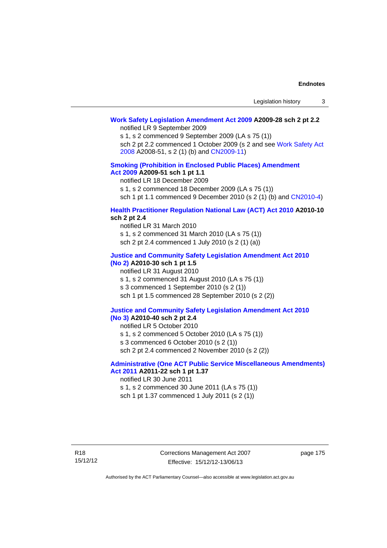# **[Work Safety Legislation Amendment Act 2009](http://www.legislation.act.gov.au/a/2009-28) A2009-28 sch 2 pt 2.2**

notified LR 9 September 2009

s 1, s 2 commenced 9 September 2009 (LA s 75 (1))

sch 2 pt 2.2 commenced 1 October 2009 (s 2 and see [Work Safety Act](http://www.legislation.act.gov.au/a/2008-51)  [2008](http://www.legislation.act.gov.au/a/2008-51) A2008-51, s 2 (1) (b) and [CN2009-11\)](http://www.legislation.act.gov.au/cn/2009-11/default.asp)

### **[Smoking \(Prohibition in Enclosed Public Places\) Amendment](http://www.legislation.act.gov.au/a/2009-51)  [Act 2009](http://www.legislation.act.gov.au/a/2009-51) A2009-51 sch 1 pt 1.1**

notified LR 18 December 2009

s 1, s 2 commenced 18 December 2009 (LA s 75 (1))

sch 1 pt 1.1 commenced 9 December 2010 (s 2 (1) (b) and [CN2010-4\)](http://www.legislation.act.gov.au/cn/2010-4/default.asp)

### **[Health Practitioner Regulation National Law \(ACT\) Act 2010](http://www.legislation.act.gov.au/a/2010-10) A2010-10 sch 2 pt 2.4**

notified LR 31 March 2010 s 1, s 2 commenced 31 March 2010 (LA s 75 (1)) sch 2 pt 2.4 commenced 1 July 2010 (s 2 (1) (a))

#### **[Justice and Community Safety Legislation Amendment Act 2010](http://www.legislation.act.gov.au/a/2010-30)**

# **[\(No 2\)](http://www.legislation.act.gov.au/a/2010-30) A2010-30 sch 1 pt 1.5**

notified LR 31 August 2010 s 1, s 2 commenced 31 August 2010 (LA s 75 (1)) s 3 commenced 1 September 2010 (s 2 (1)) sch 1 pt 1.5 commenced 28 September 2010 (s 2 (2))

#### **[Justice and Community Safety Legislation Amendment Act 2010](http://www.legislation.act.gov.au/a/2010-40)  [\(No 3\)](http://www.legislation.act.gov.au/a/2010-40) A2010-40 sch 2 pt 2.4**

notified LR 5 October 2010

s 1, s 2 commenced 5 October 2010 (LA s 75 (1))

s 3 commenced 6 October 2010 (s 2 (1))

sch 2 pt 2.4 commenced 2 November 2010 (s 2 (2))

### **[Administrative \(One ACT Public Service Miscellaneous Amendments\)](http://www.legislation.act.gov.au/a/2011-22)  [Act 2011](http://www.legislation.act.gov.au/a/2011-22) A2011-22 sch 1 pt 1.37**

notified LR 30 June 2011

s 1, s 2 commenced 30 June 2011 (LA s 75 (1)) sch 1 pt 1.37 commenced 1 July 2011 (s 2 (1))

page 175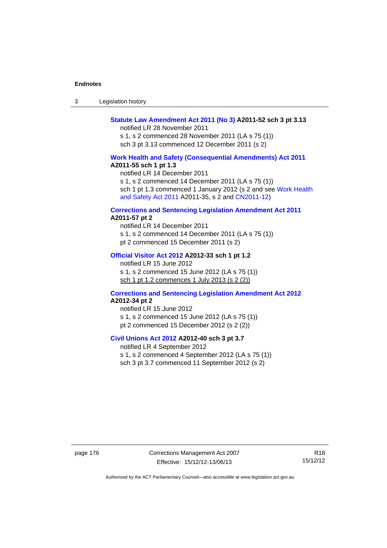| -3 | Legislation history |  |
|----|---------------------|--|
|----|---------------------|--|

## **[Statute Law Amendment Act 2011 \(No 3\)](http://www.legislation.act.gov.au/a/2011-52) A2011-52 sch 3 pt 3.13**

notified LR 28 November 2011

s 1, s 2 commenced 28 November 2011 (LA s 75 (1)) sch 3 pt 3.13 commenced 12 December 2011 (s 2)

#### **[Work Health and Safety \(Consequential Amendments\) Act 2011](http://www.legislation.act.gov.au/a/2011-55) A2011-55 sch 1 pt 1.3**

notified LR 14 December 2011

s 1, s 2 commenced 14 December 2011 (LA s 75 (1))

sch 1 pt 1.3 commenced 1 January 2012 (s 2 and see Work Health [and Safety Act 2011](http://www.legislation.act.gov.au/a/2011-35) A2011-35, s 2 and [CN2011-12\)](http://www.legislation.act.gov.au/cn/2011-12/default.asp)

#### **[Corrections and Sentencing Legislation Amendment Act 2011](http://www.legislation.act.gov.au/a/2011-57) A2011-57 pt 2**

notified LR 14 December 2011 s 1, s 2 commenced 14 December 2011 (LA s 75 (1)) pt 2 commenced 15 December 2011 (s 2)

#### **[Official Visitor Act 2012](http://www.legislation.act.gov.au/a/2012-33) A2012-33 sch 1 pt 1.2**

notified LR 15 June 2012 s 1, s 2 commenced 15 June 2012 (LA s 75 (1)) sch 1 pt 1.2 commences 1 July 2013 (s 2 (2))

## **[Corrections and Sentencing Legislation Amendment Act 2012](http://www.legislation.act.gov.au/a/2012-34) A2012-34 pt 2**

notified LR 15 June 2012 s 1, s 2 commenced 15 June 2012 (LA s 75 (1)) pt 2 commenced 15 December 2012 (s 2 (2))

# **[Civil Unions Act 2012](http://www.legislation.act.gov.au/a/2012-40) A2012-40 sch 3 pt 3.7**

notified LR 4 September 2012 s 1, s 2 commenced 4 September 2012 (LA s 75 (1)) sch 3 pt 3.7 commenced 11 September 2012 (s 2)

page 176 Corrections Management Act 2007 Effective: 15/12/12-13/06/13

R18 15/12/12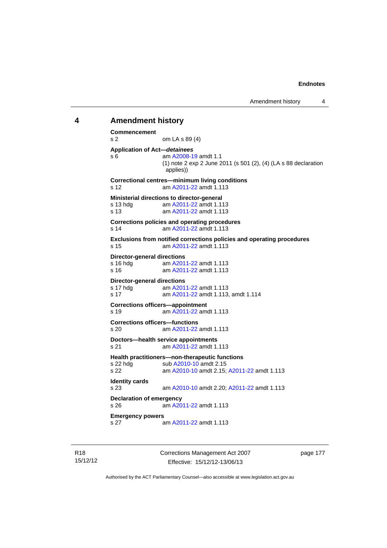# **4 Amendment history Commencement**  s 2 om LA s 89 (4) **Application of Act—***detainees* s 6 am [A2008-19](http://www.legislation.act.gov.au/a/2008-19) amdt 1.1 (1) note 2 exp 2 June 2011 (s 501 (2), (4) (LA s 88 declaration applies)) **Correctional centres—minimum living conditions**  s 12 am [A2011-22](http://www.legislation.act.gov.au/a/2011-22) amdt 1.113 **Ministerial directions to director-general**  s 13 hdg am [A2011-22](http://www.legislation.act.gov.au/a/2011-22) amdt 1.113 s 13 am [A2011-22](http://www.legislation.act.gov.au/a/2011-22) amdt 1.113 **Corrections policies and operating procedures**  s 14 am [A2011-22](http://www.legislation.act.gov.au/a/2011-22) amdt 1.113 **Exclusions from notified corrections policies and operating procedures**  s 15 am [A2011-22](http://www.legislation.act.gov.au/a/2011-22) amdt 1.113 **Director-general directions**  s 16 hdg am [A2011-22](http://www.legislation.act.gov.au/a/2011-22) amdt 1.113 s 16 am [A2011-22](http://www.legislation.act.gov.au/a/2011-22) amdt 1.113 **Director-general directions**  s 17 hdg am [A2011-22](http://www.legislation.act.gov.au/a/2011-22) amdt 1.113 s 17 am [A2011-22](http://www.legislation.act.gov.au/a/2011-22) amdt 1.113, amdt 1.114 **Corrections officers—appointment**  s 19 am [A2011-22](http://www.legislation.act.gov.au/a/2011-22) amdt 1.113 **Corrections officers—functions**  s 20 am [A2011-22](http://www.legislation.act.gov.au/a/2011-22) amdt 1.113 **Doctors—health service appointments**  s 21 am [A2011-22](http://www.legislation.act.gov.au/a/2011-22) amdt 1.113 **Health practitioners—non-therapeutic functions**  s 22 hdg sub [A2010-10](http://www.legislation.act.gov.au/a/2010-10) amdt 2.15 s 22 am [A2010-10](http://www.legislation.act.gov.au/a/2010-10) amdt 2.15; [A2011-22](http://www.legislation.act.gov.au/a/2011-22) amdt 1.113 **Identity cards**  s 23 am [A2010-10](http://www.legislation.act.gov.au/a/2010-10) amdt 2.20; [A2011-22](http://www.legislation.act.gov.au/a/2011-22) amdt 1.113 **Declaration of emergency**  s 26 am [A2011-22](http://www.legislation.act.gov.au/a/2011-22) amdt 1.113 **Emergency powers**  s 27 am [A2011-22](http://www.legislation.act.gov.au/a/2011-22) amdt 1.113

R18 15/12/12 Corrections Management Act 2007 Effective: 15/12/12-13/06/13

page 177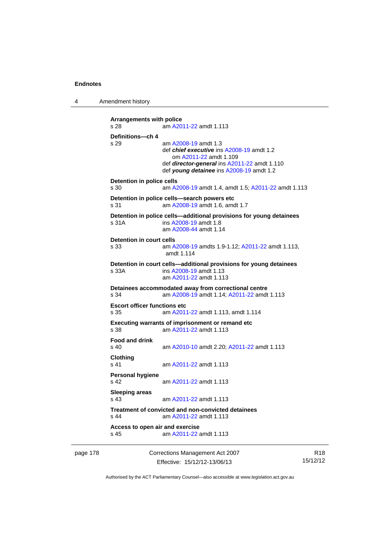4 Amendment history

```
Arrangements with police 
s 28 am A2011-22 amdt 1.113
Definitions—ch 4 
s 29 am A2008-19 amdt 1.3
                def chief executive ins A2008-19 amdt 1.2 
                    om A2011-22 amdt 1.109
                 def director-general ins A2011-22 amdt 1.110 
                 def young detainee ins A2008-19 amdt 1.2 
Detention in police cells 
s 30 am A2008-19 amdt 1.4, amdt 1.5; A2011-22 amdt 1.113
Detention in police cells—search powers etc 
s 31 am A2008-19 amdt 1.6, amdt 1.7 
Detention in police cells—additional provisions for young detainees 
s 31A ins A2008-19 amdt 1.8 
                am A2008-44 amdt 1.14
Detention in court cells 
s 33 am A2008-19 amdts 1.9-1.12; A2011-22 amdt 1.113, 
                amdt 1.114 
Detention in court cells—additional provisions for young detainees 
s 33A ins A2008-19 amdt 1.13 
                 am A2011-22 amdt 1.113
Detainees accommodated away from correctional centre 
s 34 am A2008-19 amdt 1.14; A2011-22 amdt 1.113 
Escort officer functions etc 
s 35 am A2011-22 amdt 1.113, amdt 1.114 
Executing warrants of imprisonment or remand etc 
s 38 am A2011-22 amdt 1.113
Food and drink 
s 40 am A2010-10 amdt 2.20; A2011-22 amdt 1.113 
Clothing 
s 41 A2011-22 amdt 1.113
Personal hygiene 
s 42  A2011-22 amdt 1.113
Sleeping areas 
s 43  A2011-22 amdt 1.113
Treatment of convicted and non-convicted detainees 
s 44 am A2011-22 amdt 1.113
Access to open air and exercise 
s 45 am A2011-22 amdt 1.113
```
page 178 Corrections Management Act 2007 Effective: 15/12/12-13/06/13

R18 15/12/12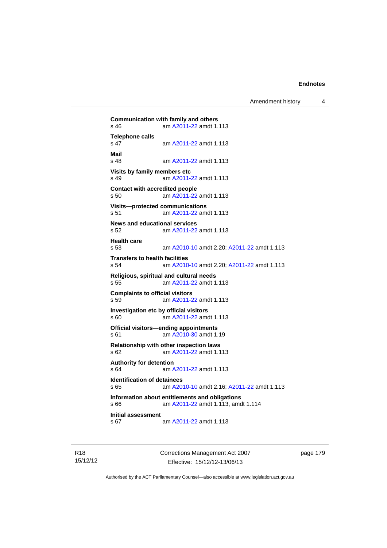Amendment history 4

```
Communication with family and others<br>s 46 am A2011-22 amdt 1.
               A2011-22 amdt 1.113
Telephone calls 
                 A2011-22 amdt 1.113
Mail 
                A2011-22 amdt 1.113
Visits by family members etc 
s 49 am A2011-22 amdt 1.113
Contact with accredited people 
s 50 am A2011-22 amdt 1.113
Visits—protected communications 
s 51 am A2011-22 amdt 1.113
News and educational services 
s 52 am A2011-22 amdt 1.113
Health care 
s 53 am A2010-10 amdt 2.20; A2011-22 amdt 1.113 
Transfers to health facilities 
s 54 am A2010-10 amdt 2.20; A2011-22 amdt 1.113 
Religious, spiritual and cultural needs 
s 55 am A2011-22 amdt 1.113
Complaints to official visitors 
s 59 am A2011-22 amdt 1.113
Investigation etc by official visitors 
s 60 am A2011-22 amdt 1.113
Official visitors—ending appointments 
 A2010-30 amdt 1.19
Relationship with other inspection laws 
s 62 am A2011-22 amdt 1.113
Authority for detention 
s 64 am A2011-22 amdt 1.113
Identification of detainees 
s 65 am A2010-10 amdt 2.16; A2011-22 amdt 1.113 
Information about entitlements and obligations 
s 66 am A2011-22 amdt 1.113, amdt 1.114 
Initial assessment 
s 67 am A2011-22 amdt 1.113
```
R18 15/12/12 Corrections Management Act 2007 Effective: 15/12/12-13/06/13

page 179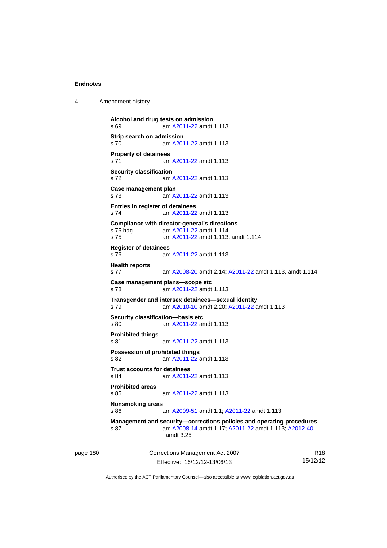4 Amendment history

```
Alcohol and drug tests on admission 
s 69 am A2011-22 amdt 1.113
Strip search on admission 
s 70 am A2011-22 amdt 1.113
Property of detainees 
 A2011-22 amdt 1.113
Security classification 
s 72 am A2011-22 amdt 1.113
Case management plan 
s 73 am A2011-22 amdt 1.113
Entries in register of detainees 
s 74 am A2011-22 amdt 1.113
Compliance with director-general's directions 
s 75 hdg am A2011-22 amdt 1.114
s 75 am A2011-22 amdt 1.113, amdt 1.114 
Register of detainees 
s 76 am A2011-22 amdt 1.113
Health reports 
s 77 am A2008-20 amdt 2.14; A2011-22 amdt 1.113, amdt 1.114 
Case management plans—scope etc 
s 78 am A2011-22 amdt 1.113
Transgender and intersex detainees—sexual identity 
s 79 am A2010-10 amdt 2.20; A2011-22 amdt 1.113 
Security classification—basis etc 
s 80 A2011-22 amdt 1.113
Prohibited things 
s 81 am A2011-22 amdt 1.113
Possession of prohibited things 
s 82 am A2011-22 amdt 1.113
Trust accounts for detainees 
s 84 am A2011-22 amdt 1.113
Prohibited areas 
s 85 am A2011-22 amdt 1.113
Nonsmoking areas 
s 86 am A2009-51 amdt 1.1; A2011-22 amdt 1.113 
Management and security—corrections policies and operating procedures 
s 87 am A2008-14 amdt 1.17; A2011-22 amdt 1.113; A2012-40
                amdt 3.25
```
page 180 Corrections Management Act 2007 Effective: 15/12/12-13/06/13

R18 15/12/12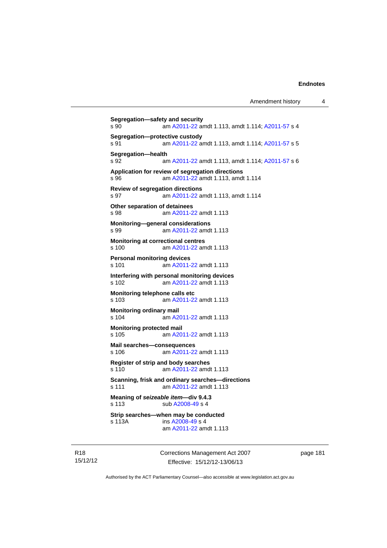```
Segregation—safety and security 
s 90 am A2011-22 amdt 1.113, amdt 1.114; A2011-57 s 4 
Segregation—protective custody 
s 91 am A2011-22 amdt 1.113, amdt 1.114; A2011-57 s 5 
Segregation—health 
s 92  A2011-22A2011-57 s 6
Application for review of segregation directions 
s 96 am A2011-22 amdt 1.113, amdt 1.114 
Review of segregation directions 
s 97 am A2011-22 amdt 1.113, amdt 1.114 
Other separation of detainees 
s 98 am A2011-22 amdt 1.113
Monitoring—general considerations 
s 99 am A2011-22 amdt 1.113
Monitoring at correctional centres 
s 100 am A2011-22 amdt 1.113
Personal monitoring devices 
s 101 am A2011-22 amdt 1.113
Interfering with personal monitoring devices 
s 102 am A2011-22 amdt 1.113
Monitoring telephone calls etc 
s 103 am A2011-22 amdt 1.113
Monitoring ordinary mail 
s 104 am A2011-22 amdt 1.113
Monitoring protected mail 
s 105 am A2011-22 amdt 1.113
Mail searches—consequences 
s 106 am A2011-22 amdt 1.113
Register of strip and body searches 
s 110 am A2011-22 amdt 1.113
Scanning, frisk and ordinary searches—directions 
s 111 am A2011-22 amdt 1.113
Meaning of seizeable item—div 9.4.3 
A2008-49 s 4
Strip searches—when may be conducted 
s 113A  A2008-49 s 4
                am A2011-22 amdt 1.113
```
R18 15/12/12 Corrections Management Act 2007 Effective: 15/12/12-13/06/13

page 181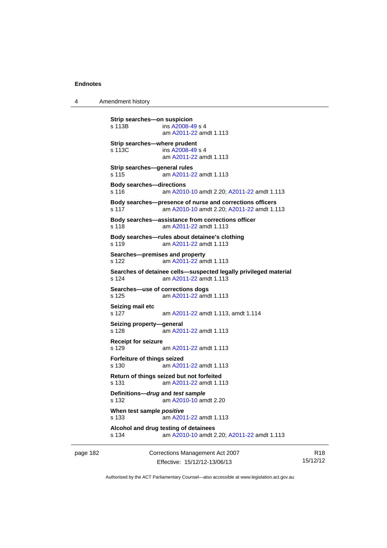4 Amendment history

```
Strip searches—on suspicion 
s 113B ins A2008-49 s 4
                am A2011-22 amdt 1.113
Strip searches—where prudent 
s 113C ins A2008-49 s 4
                am A2011-22 amdt 1.113
Strip searches—general rules 
s 115 am A2011-22 amdt 1.113
Body searches—directions 
s 116 am A2010-10 amdt 2.20; A2011-22 amdt 1.113 
Body searches—presence of nurse and corrections officers 
s 117 am A2010-10 amdt 2.20; A2011-22 amdt 1.113 
Body searches—assistance from corrections officer 
s 118 am A2011-22 amdt 1.113
Body searches—rules about detainee's clothing 
s 119 am A2011-22 amdt 1.113
Searches—premises and property 
s 122 am A2011-22 amdt 1.113
Searches of detainee cells—suspected legally privileged material 
s 124 am A2011-22 amdt 1.113
Searches—use of corrections dogs 
s 125 am A2011-22 amdt 1.113
Seizing mail etc 
s 127 am A2011-22 amdt 1.113, amdt 1.114 
Seizing property—general 
s 128 am A2011-22 amdt 1.113
Receipt for seizure 
s 129 am A2011-22 amdt 1.113
Forfeiture of things seized 
s 130 am A2011-22 amdt 1.113
Return of things seized but not forfeited 
s 131 am A2011-22 amdt 1.113
Definitions—drug and test sample
s 132 am A2010-10 amdt 2.20
When test sample positive
s 133 am A2011-22 amdt 1.113
Alcohol and drug testing of detainees 
s 134 am A2010-10 amdt 2.20; A2011-22 amdt 1.113
```
page 182 Corrections Management Act 2007 Effective: 15/12/12-13/06/13

R18 15/12/12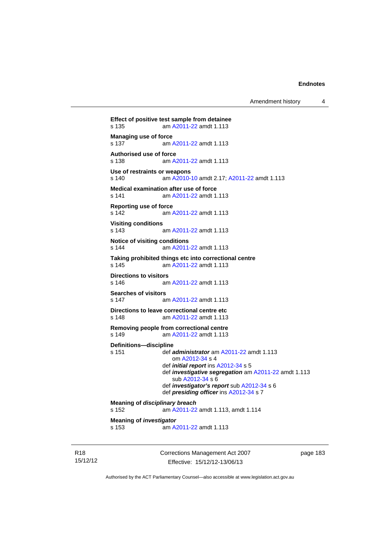```
Effect of positive test sample from detainee 
s 135 am A2011-22 amdt 1.113
Managing use of force<br>s 137 am
                 A2011-22 amdt 1.113
Authorised use of force 
s 138 am A2011-22 amdt 1.113
Use of restraints or weapons 
s 140 am A2010-10 amdt 2.17; A2011-22 amdt 1.113 
Medical examination after use of force 
s 141 am A2011-22 amdt 1.113
Reporting use of force 
s 142 am A2011-22 amdt 1.113
Visiting conditions 
s 143 am A2011-22 amdt 1.113
Notice of visiting conditions 
s 144 am A2011-22 amdt 1.113
Taking prohibited things etc into correctional centre 
s 145 am A2011-22 amdt 1.113
Directions to visitors<br>s 146 am
                 A2011-22 amdt 1.113
Searches of visitors 
s 147 am A2011-22 amdt 1.113
Directions to leave correctional centre etc 
s 148 am A2011-22 amdt 1.113
Removing people from correctional centre 
s 149 am A2011-22 amdt 1.113
Definitions—discipline 
s 151 def administrator am A2011-22 amdt 1.113 
                    om A2012-34 s 4 
                 def initial report ins A2012-34 s 5 
                 def investigative segregation am A2011-22 amdt 1.113 
                    sub A2012-34 s 6 
                 def investigator's report sub A2012-34 s 6 
                 def presiding officer ins A2012-34 s 7 
Meaning of disciplinary breach
s 152 am A2011-22 amdt 1.113, amdt 1.114 
Meaning of investigator
s 153 am A2011-22 amdt 1.113
```
R18 15/12/12 Corrections Management Act 2007 Effective: 15/12/12-13/06/13

page 183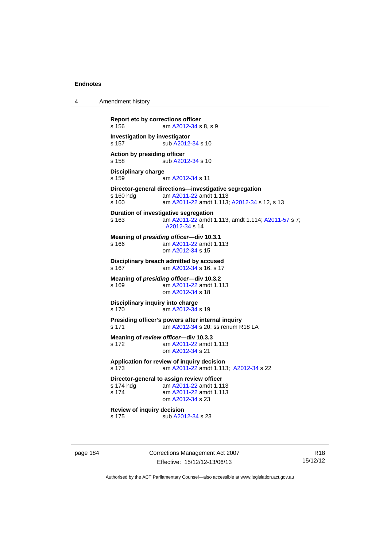4 Amendment history

```
Report etc by corrections officer 
A2012-34 s 8, s 9
Investigation by investigator 
A2012-34 s 10
Action by presiding officer 
A2012-34 s 10
Disciplinary charge 
s 159 am A2012-34 s 11 
Director-general directions—investigative segregation 
s 160 hdg am A2011-22 amdt 1.113
s 160 am A2011-22 amdt 1.113; A2012-34 s 12, s 13
Duration of investigative segregation 
s 163 am A2011-22 amdt 1.113, amdt 1.114; A2011-57 s 7; 
                 A2012-34 s 14 
Meaning of presiding officer—div 10.3.1 
s 166 A2011-22 amdt 1.113
                 om A2012-34 s 15 
Disciplinary breach admitted by accused 
s 167  A2012-34 s 16, s 17
Meaning of presiding officer—div 10.3.2 
s 169 am A2011-22 amdt 1.113
                 om A2012-34 s 18 
Disciplinary inquiry into charge 
s 170 am A2012-34 s 19 
Presiding officer's powers after internal inquiry 
s 171  A2012-34 s 20; ss renum R18 LA
Meaning of review officer—div 10.3.3 
s 172 am A2011-22 amdt 1.113
                 om A2012-34 s 21 
Application for review of inquiry decision 
s 173 am A2011-22 amdt 1.113; A2012-34 s 22 
Director-general to assign review officer<br>s 174 hdg am A2011-22 amdt 1.11
                 A2011-22 amdt 1.113
 A2011-22 amdt 1.113
                 om A2012-34 s 23 
Review of inquiry decision<br>s 175 b sub A20
                A2012-34 s 23
```
page 184 Corrections Management Act 2007 Effective: 15/12/12-13/06/13

R18 15/12/12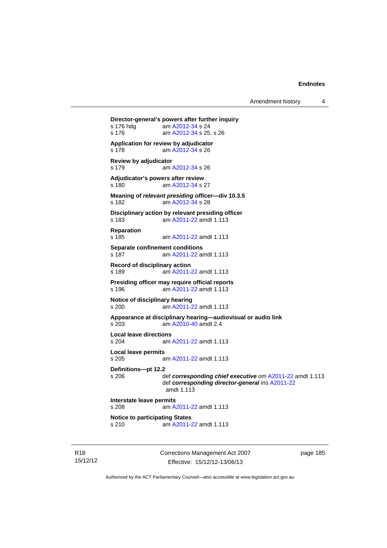Amendment history 4

```
Director-general's powers after further inquiry 
 A2012-34 s 24
 A2012-34 s 25, s 26
Application for review by adjudicator 
s 178 am A2012-34 s 26 
Review by adjudicator 
s 179 am A2012-34 s 26 
Adjudicator's powers after review 
s 180 am A2012-34 s 27 
Meaning of relevant presiding officer—div 10.3.5 
s 182 am A2012-34 s 28 
Disciplinary action by relevant presiding officer 
s 183 am A2011-22 amdt 1.113
Reparation 
s 185 am A2011-22 amdt 1.113
Separate confinement conditions 
s 187 am A2011-22 amdt 1.113
Record of disciplinary action 
s 189 am A2011-22 amdt 1.113
Presiding officer may require official reports<br>s 196 am A2011-22 amdt 1.113
                 A2011-22 amdt 1.113
Notice of disciplinary hearing 
s 200 am A2011-22 amdt 1.113
Appearance at disciplinary hearing—audiovisual or audio link 
s 203 am A2010-40 amdt 2.4
Local leave directions 
s 204 am A2011-22 amdt 1.113
Local leave permits 
s 205 am A2011-22 amdt 1.113
Definitions—pt 12.2 
s 206 def corresponding chief executive om A2011-22 amdt 1.113 
                 def corresponding director-general ins A2011-22
                 amdt 1.113
Interstate leave permits 
s 208 am A2011-22 amdt 1.113
Notice to participating States<br>s 210 am A2011-2
                 A2011-22 amdt 1.113
```
R18 15/12/12 Corrections Management Act 2007 Effective: 15/12/12-13/06/13

page 185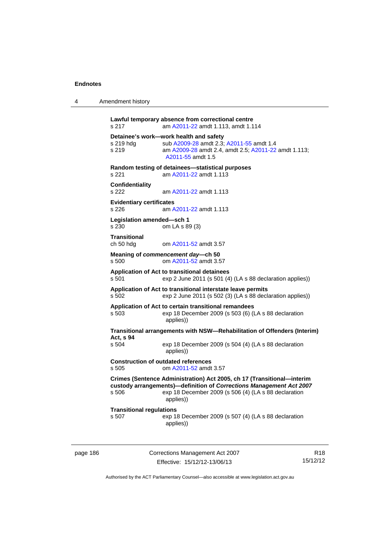| 4 | Amendment history |
|---|-------------------|
|---|-------------------|

```
Lawful temporary absence from correctional centre 
s 217 am A2011-22 amdt 1.113, amdt 1.114 
Detainee's work—work health and safety<br>s 219 hdg sub A2009-28 amdt 2.3
                A2009-28A2011-55 amdt 1.4
s 219 am A2009-28 amdt 2.4, amdt 2.5; A2011-22 amdt 1.113; 
                  A2011-55 amdt 1.5 
Random testing of detainees—statistical purposes 
s 221 am A2011-22 amdt 1.113
Confidentiality 
s 222 am A2011-22 amdt 1.113
Evidentiary certificates 
s 226 am A2011-22 amdt 1.113
Legislation amended—sch 1 
s 230 om LA s 89 (3) 
Transitional 
ch 50 hdg om A2011-52 amdt 3.57
Meaning of commencement day—ch 50 
s 500 om A2011-52 amdt 3.57
Application of Act to transitional detainees 
s 501 exp 2 June 2011 (s 501 (4) (LA s 88 declaration applies)) 
Application of Act to transitional interstate leave permits 
s 502 exp 2 June 2011 (s 502 (3) (LA s 88 declaration applies)) 
Application of Act to certain transitional remandees 
s 503 exp 18 December 2009 (s 503 (6) (LA s 88 declaration 
                  applies)) 
Transitional arrangements with NSW—Rehabilitation of Offenders (Interim) 
Act, s 94 
s 504 exp 18 December 2009 (s 504 (4) (LA s 88 declaration 
                  applies)) 
Construction of outdated references 
s 505 om A2011-52 amdt 3.57
Crimes (Sentence Administration) Act 2005, ch 17 (Transitional—interim 
custody arrangements)—definition of Corrections Management Act 2007
s 506 exp 18 December 2009 (s 506 (4) (LA s 88 declaration 
                  applies)) 
Transitional regulations 
s 507 exp 18 December 2009 (s 507 (4) (LA s 88 declaration 
                  applies))
```
page 186 Corrections Management Act 2007 Effective: 15/12/12-13/06/13

R18 15/12/12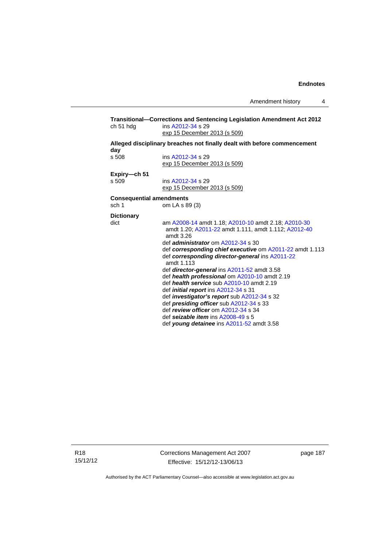|                                                    | Transitional—Corrections and Sentencing Legislation Amendment Act 2012<br>ins A2012-34 s 29<br>ch 51 hdg |                                                                                                                            |  |
|----------------------------------------------------|----------------------------------------------------------------------------------------------------------|----------------------------------------------------------------------------------------------------------------------------|--|
|                                                    |                                                                                                          | <u>exp 15 December 2013 (s 509)</u>                                                                                        |  |
|                                                    | Alleged disciplinary breaches not finally dealt with before commencement<br>day                          |                                                                                                                            |  |
|                                                    | s 508                                                                                                    | ins A2012-34 s 29                                                                                                          |  |
|                                                    |                                                                                                          | exp 15 December 2013 (s 509)                                                                                               |  |
|                                                    | Expiry-ch 51                                                                                             |                                                                                                                            |  |
|                                                    | s 509                                                                                                    | ins A2012-34 s 29                                                                                                          |  |
|                                                    |                                                                                                          | exp 15 December 2013 (s 509)                                                                                               |  |
|                                                    | <b>Consequential amendments</b>                                                                          |                                                                                                                            |  |
|                                                    | sch 1                                                                                                    | om LA s 89 (3)                                                                                                             |  |
|                                                    | <b>Dictionary</b>                                                                                        |                                                                                                                            |  |
|                                                    | dict                                                                                                     | am A2008-14 amdt 1.18; A2010-10 amdt 2.18; A2010-30<br>amdt 1.20; A2011-22 amdt 1.111, amdt 1.112; A2012-40<br>amdt $3.26$ |  |
| def <i>administrator</i> om A2012-34 s 30          |                                                                                                          |                                                                                                                            |  |
|                                                    |                                                                                                          | def corresponding chief executive om A2011-22 amdt 1.113                                                                   |  |
|                                                    |                                                                                                          | def corresponding director-general ins A2011-22<br>amdt 1.113                                                              |  |
| def <i>director-general</i> ins A2011-52 amdt 3.58 |                                                                                                          |                                                                                                                            |  |
| def health professional om A2010-10 amdt 2.19      |                                                                                                          |                                                                                                                            |  |
|                                                    |                                                                                                          | def health service sub A2010-10 amdt 2.19                                                                                  |  |
|                                                    |                                                                                                          | def <i>initial report</i> ins A2012-34 s 31                                                                                |  |
|                                                    |                                                                                                          | def <i>investigator's report</i> sub A2012-34 s 32<br>def presiding officer sub A2012-34 s 33                              |  |
|                                                    |                                                                                                          | def review officer om A2012-34 s 34                                                                                        |  |
|                                                    |                                                                                                          | def seizable item ins A2008-49 s 5                                                                                         |  |
|                                                    |                                                                                                          | def young detainee ins A2011-52 amdt 3.58                                                                                  |  |
|                                                    |                                                                                                          |                                                                                                                            |  |

Corrections Management Act 2007 Effective: 15/12/12-13/06/13

page 187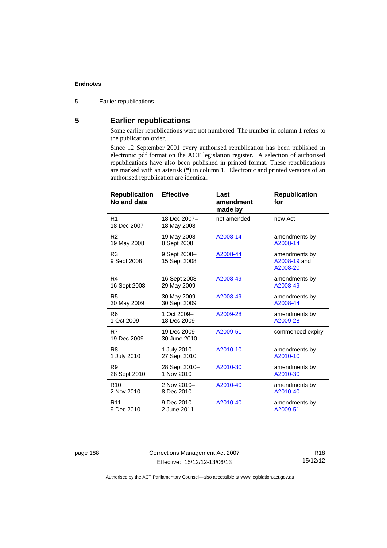5 Earlier republications

# **5 Earlier republications**

Some earlier republications were not numbered. The number in column 1 refers to the publication order.

Since 12 September 2001 every authorised republication has been published in electronic pdf format on the ACT legislation register. A selection of authorised republications have also been published in printed format. These republications are marked with an asterisk (\*) in column 1. Electronic and printed versions of an authorised republication are identical.

| <b>Republication</b><br>No and date | <b>Effective</b>             | Last<br>amendment<br>made by | <b>Republication</b><br>for               |
|-------------------------------------|------------------------------|------------------------------|-------------------------------------------|
| R <sub>1</sub><br>18 Dec 2007       | 18 Dec 2007-<br>18 May 2008  | not amended                  | new Act                                   |
| R <sub>2</sub>                      | 19 May 2008-                 | A2008-14                     | amendments by                             |
| 19 May 2008                         | 8 Sept 2008                  |                              | A2008-14                                  |
| R <sub>3</sub><br>9 Sept 2008       | 9 Sept 2008-<br>15 Sept 2008 | A2008-44                     | amendments by<br>A2008-19 and<br>A2008-20 |
| R4                                  | 16 Sept 2008-                | A2008-49                     | amendments by                             |
| 16 Sept 2008                        | 29 May 2009                  |                              | A2008-49                                  |
| R <sub>5</sub>                      | 30 May 2009-                 | A2008-49                     | amendments by                             |
| 30 May 2009                         | 30 Sept 2009                 |                              | A2008-44                                  |
| R <sub>6</sub>                      | 1 Oct 2009-                  | A2009-28                     | amendments by                             |
| 1 Oct 2009                          | 18 Dec 2009                  |                              | A2009-28                                  |
| R7<br>19 Dec 2009                   | 19 Dec 2009-<br>30 June 2010 | A2009-51                     | commenced expiry                          |
| R <sub>8</sub>                      | 1 July 2010-                 | A2010-10                     | amendments by                             |
| 1 July 2010                         | 27 Sept 2010                 |                              | A2010-10                                  |
| R <sub>9</sub>                      | 28 Sept 2010-                | A2010-30                     | amendments by                             |
| 28 Sept 2010                        | 1 Nov 2010                   |                              | A2010-30                                  |
| R <sub>10</sub>                     | 2 Nov 2010-                  | A2010-40                     | amendments by                             |
| 2 Nov 2010                          | 8 Dec 2010                   |                              | A2010-40                                  |
| R <sub>11</sub>                     | 9 Dec 2010-                  | A2010-40                     | amendments by                             |
| 9 Dec 2010                          | 2 June 2011                  |                              | A2009-51                                  |

page 188 Corrections Management Act 2007 Effective: 15/12/12-13/06/13

R18 15/12/12